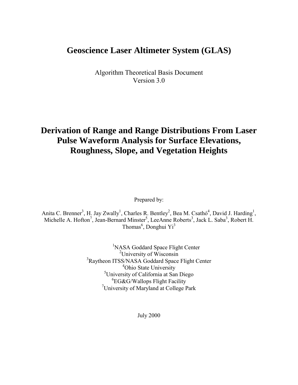# **Geoscience Laser Altimeter System (GLAS)**

Algorithm Theoretical Basis Document Version 3.0

# **Derivation of Range and Range Distributions From Laser Pulse Waveform Analysis for Surface Elevations, Roughness, Slope, and Vegetation Heights**

Prepared by:

Anita C. Brenner<sup>3</sup>, H. Jay Zwally<sup>1</sup>, Charles R. Bentley<sup>2</sup>, Bea M. Csathó<sup>4</sup>, David J. Harding<sup>1</sup>, Michelle A. Hofton<sup>7</sup>, Jean-Bernard Minster<sup>5</sup>, LeeAnne Roberts<sup>3</sup>, Jack L. Saba<sup>3</sup>, Robert H. Thomas<sup>6</sup>, Donghui Yi<sup>3</sup>

> <sup>1</sup>NASA Goddard Space Flight Center <sup>2</sup>University of Wisconsin <sup>3</sup>Raytheon ITSS/NASA Goddard Space Flight Center 4 Ohio State University 5 University of California at San Diego 6 EG&G/Wallops Flight Facility 7 University of Maryland at College Park

> > July 2000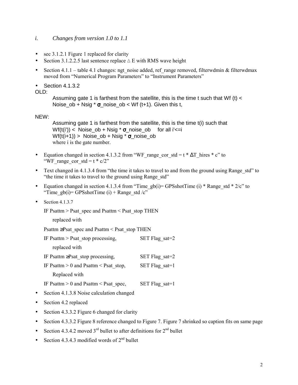### <span id="page-1-0"></span>*i. Changes from version 1.0 to 1.1*

- sec  $3.1.2.1$  Figure 1 replaced for clarity
- Section 3.1.2.2.5 last sentence replace  $\triangle E$  with RMS wave height
- Section 4.1.1 table 4.1 changes: ngt noise added, ref range removed, filterwdmin & filterwdmax moved from "Numerical Program Parameters" to "Instrument Parameters"
- Section 4.1.3.2

 $OLD$ 

Assuming gate 1 is farthest from the satellite, this is the time t such that Wf (t)  $\lt$ Noise\_ob + Nsig  $*$   $\sigma$ \_noise\_ob < Wf (t+1). Given this t,

### NEW:

Assuming gate 1 is farthest from the satellite, this is the time t(i) such that  $Wf(t(i')) < Noise\_ob + Nsig * \sigma\_noise\_ob$  for all i' $\lt = i$  $Wf(t(i+1))$  > Noise\_ob + Nsig  $*$   $\sigma$ \_noise\_ob where i is the gate number.

- Equation changed in section 4.1.3.2 from "WF\_range\_cor\_std = t \*  $\Delta T$ \_hires \* c" to "WF range cor std =  $t * c/2$ "
- Text changed in 4.1.3.4 from "the time it takes to travel to and from the ground using Range std" to "the time it takes to travel to the ground using Range std"
- Equation changed in section 4.1.3.4 from "Time\_gb(i)= GPSshotTime (i) \* Range\_std \* 2/c" to "Time\_gb(i)= GPSshotTime (i) + Range\_std /c"
- Section  $4.1.3.7$

IF Psattm  $>$  Psat\_spec and Psattm  $<$  Psat\_stop THEN

replaced with

Psattm ≥Psat\_spec and Psattm < Psat\_stop THEN

| IF Psattm $>$ Psat stop processing,       | SET Flag sat= $2$ |
|-------------------------------------------|-------------------|
| replaced with                             |                   |
| IF Psattm $\geq$ Psat stop processing,    | SET Flag sat=2    |
| IF Psattm $> 0$ and Psattm $<$ Psat stop, | SET Flag sat= $1$ |
| Replaced with                             |                   |
| IF Psattm $> 0$ and Psattm $<$ Psat spec, | SET Flag sat= $1$ |

- Section 4.1.3.8 Noise calculation changed
- Section 4.2 replaced
- Section 4.3.3.2 Figure 6 changed for clarity
- Section 4.3.3.2 Figure 8 reference changed to Figure 7. Figure 7 shrinked so caption fits on same page
- Section 4.3.4.2 moved  $3<sup>rd</sup>$  bullet to after definitions for  $2<sup>nd</sup>$  bullet
- Section 4.3.4.3 modified words of  $2<sup>nd</sup>$  bullet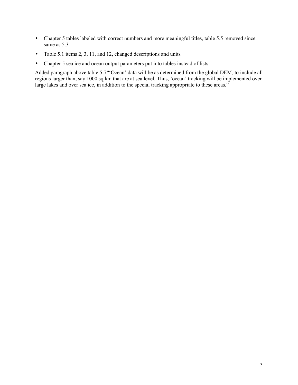- Chapter 5 tables labeled with correct numbers and more meaningful titles, table 5.5 removed since same as 5.3
- Table 5.1 items 2, 3, 11, and 12, changed descriptions and units
- Chapter 5 sea ice and ocean output parameters put into tables instead of lists

Added paragraph above table 5-7"<sup>o</sup>Cean' data will be as determined from the global DEM, to include all regions larger than, say 1000 sq km that are at sea level. Thus, 'ocean' tracking will be implemented over large lakes and over sea ice, in addition to the special tracking appropriate to these areas.<sup>"</sup>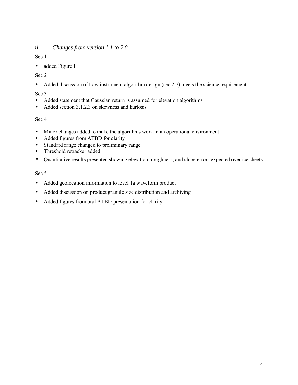## <span id="page-3-0"></span>*ii. Changes from version 1.1 to 2.0*

Sec 1

• added Figure 1

## Sec 2

• Added discussion of how instrument algorithm design (sec 2.7) meets the science requirements

## Sec 3

- Added statement that Gaussian return is assumed for elevation algorithms
- Added section 3.1.2.3 on skewness and kurtosis

## Sec 4

- Minor changes added to make the algorithms work in an operational environment
- Added figures from ATBD for clarity
- Standard range changed to preliminary range
- Threshold retracker added
- Quantitative results presented showing elevation, roughness, and slope errors expected over ice sheets

### Sec 5

- Added geolocation information to level 1a waveform product
- Added discussion on product granule size distribution and archiving
- Added figures from oral ATBD presentation for clarity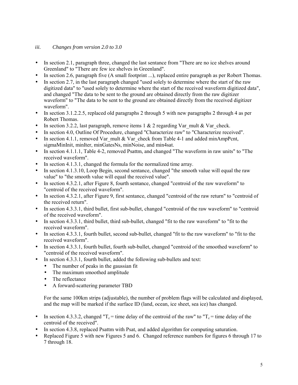### <span id="page-4-0"></span>*iii. Changes from version 2.0 to 3.0*

- In section 2.1, paragraph three, changed the last sentance from "There are no ice shelves around Greenland" to "There are few ice shelves in Greenland".
- In section 2.6, paragraph five (A small footprint ...), replaced entire paragraph as per Robert Thomas.
- In section 2.7, in the last paragraph changed "used solely to determine where the start of the raw digitized data" to "used solely to determine where the start of the received waveform digitized data", and changed "The data to be sent to the ground are obtained directly from the raw digitizer waveform" to "The data to be sent to the ground are obtained directly from the received digitizer waveform".
- In section 3.1.2.2.5, replaced old paragraphs 2 through 5 with new paragraphs 2 through 4 as per Robert Thomas.
- In section 3.2.2, last paragraph, remove items 1 & 2 regarding Var\_mult & Var\_check.
- In section 4.0, Outline Of Procedure, changed "Characterize raw" to "Characterize received".
- In section 4.1.1, removed Var\_mult  $&$  Var\_check from Table 4-1 and added minAmpPcnt, sigmaMinInit, minIter, minGatesNs, minNoise, and min4sat.
- In section 4.1.1.1, Table 4-2, removed Psattm, and changed "The waveform in raw units" to "The received waveform".
- In section 4.1.3.1, changed the formula for the normalized time array.
- In section 4.1.3.10, Loop Begin, second sentance, changed "the smooth value will equal the raw value" to "the smooth value will equal the received value".
- In section 4.3.2.1, after Figure 8, fourth sentance, changed "centroid of the raw waveform" to "centroid of the received waveform".
- In section 4.3.2.1, after Figure 9, first sentance, changed "centroid of the raw return" to "centroid of the received return".
- In section 4.3.3.1, third bullet, first sub-bullet, changed "centroid of the raw waveform" to "centroid of the received waveform".
- In section 4.3.3.1, third bullet, third sub-bullet, changed "fit to the raw waveform" to "fit to the received waveform".
- In section 4.3.3.1, fourth bullet, second sub-bullet, changed "fit to the raw waveform" to "fit to the received waveform".
- In section 4.3.3.1, fourth bullet, fourth sub-bullet, changed "centroid of the smoothed waveform" to "centroid of the received waveform".
- In section 4.3.3.1, fourth bullet, added the following sub-bullets and text:
	- The number of peaks in the gaussian fit
	- The maximum smoothed amplitude
	- The reflectance
	- A forward-scattering parameter TBD

For the same 100km strips (adjustable), the number of problem flags will be calculated and displayed, and the map will be marked if the surface ID (land, ocean, ice sheet, sea ice) has changed.

- In section 4.3.3.2, changed " $T_c$  = time delay of the centroid of the raw" to " $T_c$  = time delay of the centroid of the received".
- In section 4.3.8, replaced Psattm with Psat, and added algorithm for computing saturation.
- Replaced Figure 5 with new Figures 5 and 6. Changed reference numbers for figures 6 through 17 to 7 through 18.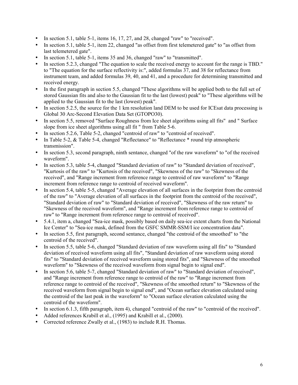- In section 5.1, table 5-1, items 16, 17, 27, and 28, changed "raw" to "received".
- In section 5.1, table 5-1, item 22, changed "as offset from first telemetered gate" to "as offset from last telemetered gate".
- In section 5.1, table 5-1, items 35 and 36, changed "raw" to "transmitted".
- In section 5.2.3, changed "The equation to scale the received energy to account for the range is TBD." to "The equation for the surface reflectivity is:", added formulas 37, and 38 for reflectance from instrument team, and added formulas 39, 40, and 41, and a procedure for determining transmitted and received energy.
- In the first paragraph in section 5.5, changed "These algorithms will be applied both to the full set of stored Gaussian fits and also to the Gaussian fit to the last (lowest) peak" to "These algorithms will be applied to the Gaussian fit to the last (lowest) peak".
- In section 5.2.5, the source for the 1 km resolution land DEM to be used for ICEs at data processing is Global 30 Arc-Second Elevation Data Set (GTOPO30).
- In section 5.5, removed "Surface Roughness from Ice sheet algorithms using all fits" and " Surface slope from ice sheet algorithms using all fit " from Table 5-6.
- In section 5.2.6, Table 5-2, changed "centroid of raw" to "centroid of received".
- In Table 5-2, & Table 5-4, changed "Reflectance" to "Reflectance \* round trip atmospheric transmission".
- In section 5.3, second paragraph, ninth sentance, changed "of the raw waveform" to "of the received waveform".
- In section 5.3, table 5-4, changed "Standard deviation of raw" to "Standard deviation of received", "Kurtosis of the raw" to "Kurtosis of the received", "Skewness of the raw" to "Skewness of the received", and "Range increment from reference range to centroid of raw waveform" to "Range increment from reference range to centroid of received waveform".
- In section 5.4, table 5-5, changed "Average elevation of all surfaces in the footprint from the centroid of the raw" to "Average elevation of all surfaces in the footprint from the centroid of the received", "Standard deviation of raw" to "Standard deviation of received", "Skewness of the raw return" to "Skewness of the received waveform", and "Range increment from reference range to centroid of raw" to "Range increment from reference range to centroid of received".
- 5.4.1, item a, changed "Sea-ice mask, possibly based on daily sea-ice extent charts from the National Ice Center" to "Sea-ice mask, defined from the GSFC SMMR-SSM/I ice concentration data".
- In section 5.5, first paragraph, second sentance, changed "the centroid of the smoothed" to "the centroid of the received".
- In section 5.5, table 5-6, changed "Standard deviation of raw waveform using all fits" to "Standard deviation of received waveform using all fits", "Standard deviation of raw waveform using stored fits" to "Standard deviation of received waveform using stored fits", and "Skewness of the smoothed waveform" to "Skewness of the received waveform from signal begin to signal end".
- In section 5.6, table 5-7, changed "Standard deviation of raw" to "Standard deviation of received", and "Range increment from reference range to centroid of the raw" to "Range increment from reference range to centroid of the received", "Skewness of the smoothed return" to "Skewness of the received waveform from signal begin to signal end", and "Ocean surface elevation calculated using the centroid of the last peak in the waveform" to "Ocean surface elevation calculated using the centroid of the waveform".
- In section 6.1.3, fifth paragraph, item 4), changed "centroid of the raw" to "centroid of the received".
- Added references Krabill et al., (1995) and Krabill et al., (2000).
- Corrected reference Zwally et al., (1983) to include R.H. Thomas.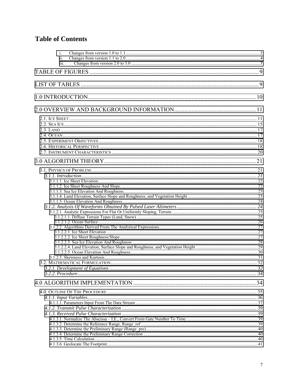# **Table of Contents**

| i.<br>ii.<br>iii. |  |
|-------------------|--|
|                   |  |
|                   |  |
|                   |  |
|                   |  |
|                   |  |
|                   |  |
|                   |  |
|                   |  |
|                   |  |
|                   |  |
|                   |  |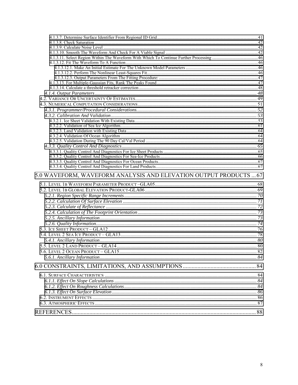| 5.0 WAVEFORM, WAVEFORM ANALYSIS AND ELEVATION OUTPUT PRODUCTS  67 |  |
|-------------------------------------------------------------------|--|
|                                                                   |  |
|                                                                   |  |
|                                                                   |  |
|                                                                   |  |
|                                                                   |  |
|                                                                   |  |
|                                                                   |  |
|                                                                   |  |
|                                                                   |  |
|                                                                   |  |
|                                                                   |  |
|                                                                   |  |
|                                                                   |  |
|                                                                   |  |
|                                                                   |  |
|                                                                   |  |
|                                                                   |  |
|                                                                   |  |
|                                                                   |  |
|                                                                   |  |
|                                                                   |  |
|                                                                   |  |
|                                                                   |  |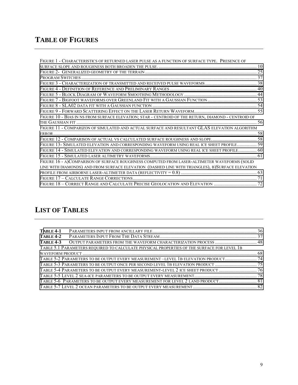# <span id="page-8-0"></span>**TABLE OF FIGURES**

| FIGURE 1 - CHARACTERISTICS OF RETURNED LASER PULSE AS A FUNCTION OF SURFACE TYPE. PRESENCE OF       |  |
|-----------------------------------------------------------------------------------------------------|--|
|                                                                                                     |  |
|                                                                                                     |  |
|                                                                                                     |  |
|                                                                                                     |  |
|                                                                                                     |  |
|                                                                                                     |  |
|                                                                                                     |  |
|                                                                                                     |  |
|                                                                                                     |  |
| FIGURE 10 - BIAS IN NS FROM SURFACE ELEVATION; STAR - CENTROID OF THE RETURN, DIAMOND - CENTROID OF |  |
|                                                                                                     |  |
| FIGURE 11 - COMPARIZON OF SIMULATED AND ACTUAL SURFACE AND RESULTANT GLAS ELEVATION ALGORITHM       |  |
|                                                                                                     |  |
|                                                                                                     |  |
| FIGURE 13- SIMULATED ELEVATION AND CORRESPONDING WAVEFORM USING REAL ICE SHEET PROFILE 59           |  |
| FIGURE 14 - SIMULATED ELEVATION AND CORRESPONDING WAVEFORM USING REAL ICE SHEET PROFILE 60          |  |
|                                                                                                     |  |
| FIGURE 16 - A)COMPARISON OF SURFACE ROUGHNESS COMPUTED FROM LASER-ALTIMETER WAVEFORMS (SOLID        |  |
| LINE WITH DIAMONDS) AND FROM SURFACE ELEVATION (DASHED LINE WITH TRIANGLES), B)SURFACE ELEVATION    |  |
|                                                                                                     |  |
|                                                                                                     |  |
|                                                                                                     |  |
|                                                                                                     |  |

# **LIST OF TABLES**

| <b>TABLE 4-1</b>                                                                           |  |
|--------------------------------------------------------------------------------------------|--|
| <b>TABLE 4-2</b>                                                                           |  |
| <b>TABLE 4-3</b>                                                                           |  |
| TABLE 5.1 PARAMETERS REOUIRED TO CALCULATE PHYSICAL PROPERTIES OF THE SURFACE FOR LEVEL 1B |  |
|                                                                                            |  |
| TABLE 5-2 PARAMETERS TO BE OUTPUT EVERY MEASUREMENT -LEVEL 1B ELEVATION PRODUCT 74         |  |
|                                                                                            |  |
|                                                                                            |  |
|                                                                                            |  |
| TABLE 5-6 PARAMETERS TO BE OUTPUT EVERY MEASUREMENT FOR LEVEL 2 LAND PRODUCT 81            |  |
|                                                                                            |  |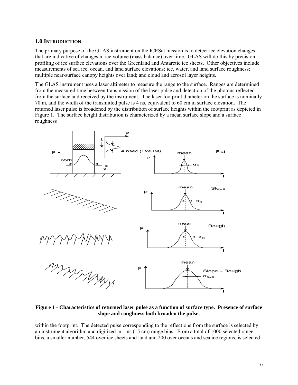## <span id="page-9-0"></span>**1.0 INTRODUCTION**

The primary purpose of the GLAS instrument on the ICESat mission is to detect ice elevation changes that are indicative of changes in ice volume (mass balance) over time. GLAS will do this by precision profiling of ice surface elevations over the Greenland and Antarctic ice sheets. Other objectives include measurements of sea ice, ocean, and land surface elevations; ice, water, and land surface roughness; multiple near-surface canopy heights over land; and cloud and aerosol layer heights.

The GLAS instrument uses a laser altimeter to measure the range to the surface. Ranges are determined from the measured time between transmission of the laser pulse and detection of the photons reflected from the surface and received by the instrument. The laser footprint diameter on the surface is nominally 70 m, and the width of the transmitted pulse is 4 ns, equivalent to 60 cm in surface elevation. The returned laser pulse is broadened by the distribution of surface heights within the footprint as depicted in Figure 1. The surface height distribution is characterized by a mean surface slope and a surface roughness



**Figure 1 - Characteristics of returned laser pulse as a function of surface type. Presence of surface slope and roughness both broaden the pulse.** 

within the footprint. The detected pulse corresponding to the reflections from the surface is selected by an instrument algorithm and digitized in 1 ns (15 cm) range bins. From a total of 1000 selected range bins, a smaller number, 544 over ice sheets and land and 200 over oceans and sea ice regions, is selected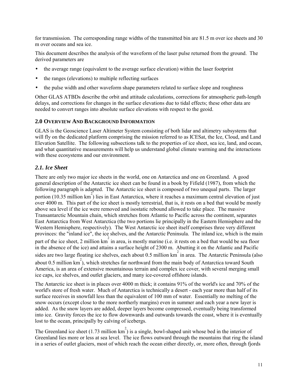<span id="page-10-0"></span>for transmission. The corresponding range widths of the transmitted bin are 81.5 m over ice sheets and 30 m over oceans and sea ice.

This document describes the analysis of the waveform of the laser pulse returned from the ground. The derived parameters are

- the average range (equivalent to the average surface elevation) within the laser footprint
- the ranges (elevations) to multiple reflecting surfaces
- the pulse width and other waveform shape parameters related to surface slope and roughness

Other GLAS ATBDs describe the orbit and attitude calculations, corrections for atmospheric path-length delays, and corrections for changes in the surface elevations due to tidal effects; these other data are needed to convert ranges into absolute surface elevations with respect to the geoid.

## **2.0 OVERVIEW AND BACKGROUND INFORMATION**

GLAS is the Geoscience Laser Altimeter System consisting of both lidar and altimetry subsystems that will fly on the dedicated platform comprising the mission referred to as ICESat, the Ice, Cloud, and Land Elevation Satellite. The following subsections talk to the properties of ice sheet, sea ice, land, and ocean, and what quantitative measurements will help us understand global climate warming and the interactions with these ecosystems and our environment.

## *2.1. Ice Sheet*

There are only two major ice sheets in the world, one on Antarctica and one on Greenland. A good general description of the Antarctic ice sheet can be found in a book by Fifield (1987), from which the following paragraph is adapted. The Antarctic ice sheet is composed of two unequal parts. The larger portion (10.35 million km<sup>2</sup>) lies in East Antarctica, where it reaches a maximum central elevation of just over 4000 m. This part of the ice sheet is mostly terrestrial, that is, it rests on a bed that would be mostly above sea level if the ice were removed and isostatic rebound allowed to take place. The massive Transantarctic Mountain chain, which stretches from Atlantic to Pacific across the continent, separates East Antarctica from West Antarctica (the two portions lie principally in the Eastern Hemisphere and the Western Hemisphere, respectively). The West Antarctic ice sheet itself comprises three very different provinces: the "inland ice", the ice shelves, and the Antarctic Peninsula. The inland ice, which is the main part of the ice sheet, 2 million km<sup>2</sup> in area, is mostly marine (i.e. it rests on a bed that would be sea floor in the absence of the ice) and attains a surface height of 2300 m. Abutting it on the Atlantic and Pacific sides are two large floating ice shelves, each about 0.5 million km<sup>2</sup> in area. The Antarctic Peninsula (also about 0.5 million  $km^2$ ), which stretches far northward from the main body of Antarctica toward South America, is an area of extensive mountainous terrain and complex ice cover, with several merging small ice caps, ice shelves, and outlet glaciers, and many ice-covered offshore islands.

The Antarctic ice sheet is in places over 4000 m thick; it contains 91% of the world's ice and 70% of the world's store of fresh water. Much of Antarctica is technically a desert - each year more than half of its surface receives in snowfall less than the equivalent of 100 mm of water. Essentially no melting of the snow occurs (except close to the more northerly margins) even in summer and each year a new layer is added. As the snow layers are added, deeper layers become compressed, eventually being transformed into ice. Gravity forces the ice to flow downwards and outwards towards the coast, where it is eventually lost to the ocean, principally by calving of icebergs.

The Greenland ice sheet (1.73 million  $km^2$ ) is a single, bowl-shaped unit whose bed in the interior of Greenland lies more or less at sea level. The ice flows outward through the mountains that ring the island in a series of outlet glaciers, most of which reach the ocean either directly, or, more often, through fjords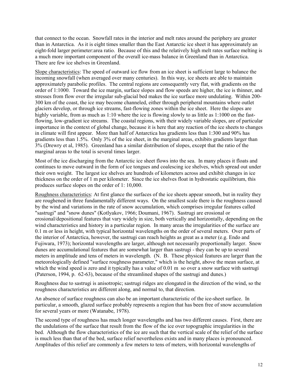that connect to the ocean. Snowfall rates in the interior and melt rates around the periphery are greater than in Antarctica. As it is eight times smaller than the East Antarctic ice sheet it has approximately an eight-fold larger perimeter:area ratio. Because of this and the relatively high melt rates surface melting is a much more important component of the overall ice-mass balance in Greenland than in Antarctica. There are few ice shelves in Greenland.

Slope characteristics: The speed of outward ice flow from an ice sheet is sufficient large to balance the incoming snowfall (when averaged over many centuries). In this way, ice sheets are able to maintain approximately parabolic profiles. The central regions are consequently very flat, with gradients on the order of 1:1000. Toward the ice margin, surface slopes and flow speeds are higher, the ice is thinner, and stresses from flow over the irregular sub-glacial bed makes the ice surface more undulating. Within 200- 300 km of the coast, the ice may become channeled, either through peripheral mountains where outlet glaciers develop, or through ice streams, fast-flowing zones within the ice sheet. Here the slopes are highly variable, from as much as 1:10 where the ice is flowing slowly to as little as 1:1000 on the fastflowing, low-gradient ice streams. The coastal regions, with their widely variable slopes, are of particular importance in the context of global change, because it is here that any reaction of the ice sheets to changes in climate will first appear. More than half of Antarctica has gradients less than 1:300 and 90% has gradients less than 1.5%. Only 3% of the ice sheet, in the marginal areas, exhibits gradients larger than 3% (Drewry et al, 1985). Greenland has a similar distribution of slopes, except that the ratio of the marginal areas to the total is several times larger.

Most of the ice discharging from the Antarctic ice sheet flows into the sea. In many places it floats and continues to move outward in the form of ice tongues and coalescing ice shelves, which spread out under their own weight. The largest ice shelves are hundreds of kilometers across and exhibit changes in ice thickness on the order of 1 m per kilometer. Since the ice shelves float in hydrostatic equilibrium, this produces surface slopes on the order of 1: 10,000.

Roughness characteristics: At first glance the surfaces of the ice sheets appear smooth, but in reality they are roughened in three fundamentally different ways. On the smallest scale there is the roughness caused by the wind and variations in the rate of snow accumulation, which comprises irregular features called "sastrugi" and "snow dunes" (Kotlyakov, 1966; Doumani, 1967). Sastrugi are erosional or erosional/depositional features that vary widely in size, both vertically and horizontally, depending on the wind characteristics and history in a particular region. In many areas the irregularities of the surface are 0.1 m or less in height, with typical horizontal wavelengths on the order of several meters. Over parts of the interior of Antarctica, however, the sastrugi can reach heights as great as a meter (e.g. Endo and Fujiwara, 1973); horizontal wavelengths are larger, although not necessarily proportionally larger. Snow dunes are accumulational features that are somewhat larger than sastrugi - they can be up to several meters in amplitude and tens of meters in wavelength. (N. B. These physical features are larger than the meteorologically defined "surface roughness parameter," which is the height, above the mean surface, at which the wind speed is zero and it typically has a value of 0.01 m so over a snow surface with sastrugi (Paterson, 1994, p. 62-63), because of the streamlined shapes of the sastrugi and dunes.)

Roughness due to sastrugi is anisotropic; sastrugi ridges are elongated in the direction of the wind, so the roughness characteristics are different along, and normal to, that direction.

An absence of surface roughness can also be an important characteristic of the ice-sheet surface. In particular, a smooth, glazed surface probably represents a region that has been free of snow accumulation for several years or more (Watanabe, 1978).

The second type of roughness has much longer wavelengths and has two different causes. First, there are the undulations of the surface that result from the flow of the ice over topographic irregularities in the bed. Although the flow characteristics of the ice are such that the vertical scale of the relief of the surface is much less than that of the bed, surface relief nevertheless exists and in many places is pronounced. Amplitudes of this relief are commonly a few meters to tens of meters, with horizontal wavelengths of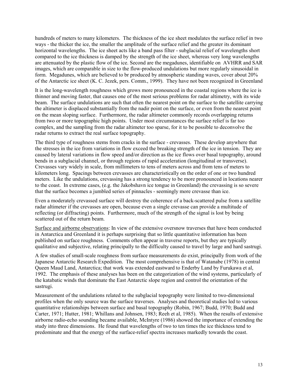hundreds of meters to many kilometers. The thickness of the ice sheet modulates the surface relief in two ways - the thicker the ice, the smaller the amplitude of the surface relief and the greater its dominant horizontal wavelengths. The ice sheet acts like a band pass filter - subglacial relief of wavelengths short compared to the ice thickness is damped by the strength of the ice sheet, whereas very long wavelengths are attenuated by the plastic flow of the ice. Second are the megadunes, identifiable on AVHRR and SAR images, which are comparable in size to the flow-produced undulations but more regularly sinusoidal in form. Megadunes, which are believed to br produced by atmospheric standing waves, cover about 20% of the Antarctic ice sheet (K. C. Jezek, pers. Comm., 1999). They have not been recognized in Greenland

It is the long-wavelength roughness which grows more pronounced in the coastal regions where the ice is thinner and moving faster, that causes one of the most serious problems for radar altimetry, with its wide beam. The surface undulations are such that often the nearest point on the surface to the satellite carrying the altimeter is displaced substantially from the nadir point on the surface, or even from the nearest point on the mean sloping surface. Furthermore, the radar altimeter commonly records overlapping returns from two or more topographic high points. Under most circumstances the surface relief is far too complex, and the sampling from the radar altimeter too sparse, for it to be possible to deconvolve the radar returns to extract the real surface topography.

The third type of roughness stems from cracks in the surface - crevasses. These develop anywhere that the stresses in the ice from variations in flow exceed the breaking strength of the ice in tension. They are caused by lateral variations in flow speed and/or direction as the ice flows over basal topography, around bends in a subglacial channel, or through regions of rapid acceleration (longitudinal or transverse). Crevasses vary widely in scale, from millimeters to tens of meters across and from tens of meters to kilometers long. Spacings between crevasses are characteristically on the order of one or two hundred meters. Like the undulations, crevassing has a strong tendency to be more pronounced in locations nearer to the coast. In extreme cases, (e.g. the Jakobshavn ice tongue in Greenland) the crevassing is so severe that the surface becomes a jumbled series of pinnacles - seemingly more crevasse than ice.

Even a moderately crevassed surface will destroy the coherence of a back-scattered pulse from a satellite radar altimeter if the crevasses are open, because even a single crevasse can provide a multitude of reflecting (or diffracting) points. Furthermore, much of the strength of the signal is lost by being scattered out of the return beam.

Surface and airborne observations: In view of the extensive oversnow traverses that have been conducted in Antarctica and Greenland it is perhaps surprising that so little quantitative information has been published on surface roughness. Comments often appear in traverse reports, but they are typically qualitative and subjective, relating principally to the difficulty caused to travel by large and hard sastrugi.

A few studies of small-scale roughness from surface measurements do exist, principally from work of the Japanese Antarctic Research Expedition. The most comprehensive is that of Watanabe (1978) in central Queen Maud Land, Antarctica; that work was extended eastward to Enderby Land by Furukawa et al, 1992. The emphasis of these analyses has been on the categorization of the wind systems, particularly of the katabatic winds that dominate the East Antarctic slope region and control the orientation of the sastrugi.

Measurement of the undulations related to the subglacial topography were limited to two-dimensional profiles when the only source was the surface traverses. Analyses and theoretical studies led to various quantitative relationships between surface and basal topography (Robin, 1967; Budd, 1970; Budd and Carter, 1971; Hutter, 1981; Whillans and Johnsen, 1983; Reeh et al, 1985). When the results of extensive airborne radio-echo sounding became available, McIntyre (1986) showed the importance of extending the study into three dimensions. He found that wavelengths of two to ten times the ice thickness tend to predominate and that the energy of the surface-relief spectra increases markedly towards the coast.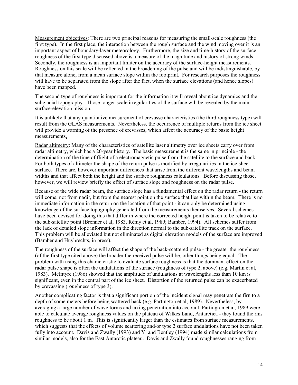Measurement objectives: There are two principal reasons for measuring the small-scale roughness (the first type). In the first place, the interaction between the rough surface and the wind moving over it is an important aspect of boundary-layer meteorology. Furthermore, the size and time-history of the surface roughness of the first type discussed above is a measure of the magnitude and history of strong winds. Secondly, the roughness is an important limiter on the accuracy of the surface-height measurements. Roughness on this scale will be reflected in the broadening of the pulse and will be indistinguishable, by that measure alone, from a mean surface slope within the footprint. For research purposes the roughness will have to be separated from the slope after the fact, when the surface elevations (and hence slopes) have been mapped.

The second type of roughness is important for the information it will reveal about ice dynamics and the subglacial topography. Those longer-scale irregularities of the surface will be revealed by the main surface-elevation mission.

It is unlikely that any quantitative measurement of crevasse characteristics (the third roughness type) will result from the GLAS measurements. Nevertheless, the occurrence of multiple returns from the ice sheet will provide a warning of the presence of crevasses, which affect the accuracy of the basic height measurements.

Radar altimetry: Many of the characteristics of satellite laser altimetry over ice sheets carry over from radar altimetry, which has a 20-year history. The basic measurement is the same in principle - the determination of the time of flight of a electromagnetic pulse from the satellite to the surface and back. For both types of altimeter the shape of the return pulse is modified by irregularities in the ice-sheet surface. There are, however important differences that arise from the different wavelengths and beam widths and that affect both the height and the surface roughness calculations. Before discussing those, however, we will review briefly the effect of surface slope and roughness on the radar pulse.

Because of the wide radar beam, the surface slope has a fundamental effect on the radar return - the return will come, not from nadir, but from the nearest point on the surface that lies within the beam. There is no immediate information in the return on the location of that point - it can only be determined using knowledge of the surface topography generated from the measurements themselves. Several schemes have been devised for doing this that differ in where the corrected height point is taken to be relative to the sub-satellite point (Brenner et al, 1983, Rémy et al, 1989; Bamber, 1994). All schemes suffer from the lack of detailed slope information in the direction normal to the sub-satellite track on the surface. This problem will be alleviated but not eliminated as digital elevation models of the surface are improved (Bamber and Huybrechts, in press).

The roughness of the surface will affect the shape of the back-scattered pulse - the greater the roughness (of the first type cited above) the broader the received pulse will be, other things being equal. The problem with using this characteristic to evaluate surface roughness is that the dominant effect on the radar pulse shape is often the undulations of the surface (roughness of type 2, above) (e.g. Martin et al, 1983). McIntyre (1986) showed that the amplitude of undulations at wavelengths less than 10 km is significant, even in the central part of the ice sheet. Distortion of the returned pulse can be exacerbated by crevassing (roughness of type 3).

Another complicating factor is that a significant portion of the incident signal may penetrate the firn to a depth of some meters before being scattered back (e.g. Partington et al, 1989). Nevertheless, by averaging a large number of wave forms and taking penetration into account, Partington et al, 1989 were able to calculate average roughness values on the plateau of Wilkes Land, Antarctica - they found the rms roughness to be about 1 m. This is significantly larger than the estimates from surface measurements, which suggests that the effects of volume scattering and/or type 2 surface undulations have not been taken fully into account. Davis and Zwally (1993) and Yi and Bentley (1994) made similar calculations from similar models, also for the East Antarctic plateau. Davis and Zwally found roughnesses ranging from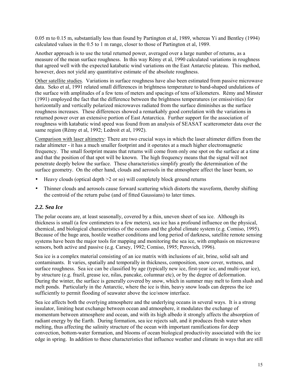<span id="page-14-0"></span>0.05 m to 0.15 m, substantially less than found by Partington et al, 1989, whereas Yi and Bentley (1994) calculated values in the 0.5 to 1 m range, closer to those of Partington et al, 1989.

Another approach is to use the total returned power, averaged over a large number of returns, as a measure of the mean surface roughness. In this way Rémy et al, 1990 calculated variations in roughness that agreed well with the expected katabatic wind variations on the East Antarctic plateau. This method, however, does not yield any quantitative estimate of the absolute roughness.

Other satellite studies. Variations in surface roughness have also been estimated from passive microwave data. Seko et al, 1991 related small differences in brightness temperature to band-shaped undulations of the surface with amplitudes of a few tens of meters and spacings of tens of kilometers. RÈmy and Minster (1991) employed the fact that the difference between the brightness temperatures (or emissivities) for horizontally and vertically polarized microwaves radiated from the surface diminishes as the surface roughness increases. These differences showed a remarkably good correlation with the variations in returned power over an extensive portion of East Antarctica. Further support for the association of roughness with katabatic wind speed was found from an analysis of SEASAT scatterometer data over the same region (Rémy et al, 1992; Ledroit et al, 1992).

Comparison with laser altimetry: There are two crucial ways in which the laser altimeter differs from the radar altimeter - it has a much smaller footprint and it operates at a much higher electromagnetic frequency. The small footprint means that returns will come from only one spot on the surface at a time and that the position of that spot will be known. The high frequency means that the signal will not penetrate deeply below the surface. These characteristics simplify greatly the determination of the surface geometry. On the other hand, clouds and aerosols in the atmosphere affect the laser beam, so

- Heavy clouds (optical depth  $\geq 2$  or so) will completely block ground returns
- Thinner clouds and aerosols cause forward scattering which distorts the waveform, thereby shifting the centroid of the return pulse (and of fitted Gaussians) to later times.

### *2.2. Sea Ice*

The polar oceans are, at least seasonally, covered by a thin, uneven sheet of sea ice. Although its thickness is small (a few centimeters to a few meters), sea ice has a profound influence on the physical, chemical, and biological characteristics of the oceans and the global climate system (e.g. Comiso, 1995). Because of the huge area, hostile weather conditions and long period of darkness, satellite remote sensing systems have been the major tools for mapping and monitoring the sea ice, with emphasis on microwave sensors, both active and passive (e.g. Carsey, 1992; Comiso, 1995; Perovich, 1996).

Sea ice is a complex material consisting of an ice matrix with inclusions of air, brine, solid salt and contaminants. It varies, spatially and temporally in thickness, composition, snow cover, wetness, and surface roughness. Sea ice can be classified by age (typically new ice, first-year ice, and multi-year ice), by structure (e.g. frazil, grease ice, nilas, pancake, columnar etc), or by the degree of deformation. During the winter, the surface is generally covered by snow, which in summer may melt to form slush and melt ponds. Particularly in the Antarctic, where the ice is thin, heavy snow loads can depress the ice sufficiently to permit flooding of seawater above the ice/snow interface.

Sea ice affects both the overlying atmosphere and the underlying oceans in several ways. It is a strong insulator, limiting heat exchange between ocean and atmosphere, it modulates the exchange of momentum between atmosphere and ocean, and with its high albedo it strongly affects the absorption of radiant energy by the Earth. During formation, sea ice rejects salt, and it produces fresh water when melting, thus affecting the salinity structure of the ocean with important ramifications for deep convection, bottom-water formation, and blooms of ocean biological productivity associated with the ice edge in spring. In addition to these characteristics that influence weather and climate in ways that are still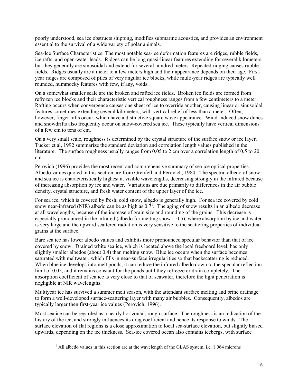poorly understood, sea ice obstructs shipping, modifies submarine acoustics, and provides an environment essential to the survival of a wide variety of polar animals.

Sea-Ice Surface Characteristics: The most notable sea-ice deformation features are ridges, rubble fields, ice rafts, and open-water leads. Ridges can be long quasi-linear features extending for several kilometers, but they generally are sinusoidal and extend for several hundred meters. Repeated ridging causes rubble fields. Ridges usually are a meter to a few meters high and their appearance depends on their age. Firstyear ridges are composed of piles of very angular ice blocks, while multi-year ridges are typically well rounded, hummocky features with few, if any, voids.

On a somewhat smaller scale are the broken and rafted ice fields. Broken ice fields are formed from refrozen ice blocks and their characteristic vertical roughness ranges from a few centimeters to a meter. Rafting occurs when convergence causes one sheet of ice to override another, causing linear or sinusoidal features sometimes extending several kilometers, with vertical relief of less than a meter. Often, however, finger rafts occur, which have a distinctive square wave appearance. Wind-induced snow dunes and snowdrifts also frequently occur on snow-covered sea ice. These typically have vertical dimensions of a few cm to tens of cm.

On a very small scale, roughness is determined by the crystal structure of the surface snow or ice layer. Tucker et al, 1992 summarize the standard deviation and correlation length values published in the literature. The surface roughness usually ranges from 0.05 to 2 cm over a correlation length of 0.5 to 20 cm.

Perovich (1996) provides the most recent and comprehensive summary of sea ice optical properties. Albedo values quoted in this section are from Grenfell and Perovich, 1984. The spectral albedo of snow and sea ice is characteristically highest at visible wavelengths, decreasing strongly in the infrared because of increasing absorption by ice and water. Variations are due primarily to differences in the air bubble density, crystal structure, and fresh water content of the upper layer of the ice.

For sea ice, which is covered by fresh, cold snow, albedo is generally high. For sea ice covered by cold snow near-infrared (NIR) albedo can be as high as  $0.7<sup>1</sup>$ . The aging of snow results in an albedo decrease at all wavelengths, because of the increase of grain size and rounding of the grains. This decrease is especially pronounced in the infrared (albedo for melting snow  $= 0.5$ ), where absorption by ice and water is very large and the upward scattered radiation is very sensitive to the scattering properties of individual grains at the surface.

Bare sea ice has lower albedo values and exhibits more pronounced specular behavior than that of ice covered by snow. Drained white sea ice, which is located above the local freeboard level, has only slightly smaller albedos (about 0.4) than melting snow. Blue ice occurs when the surface becomes saturated with meltwater, which fills in near-surface irregularities so that backscattering is reduced. When blue ice develops into melt ponds, it can reduce the infrared albedo down to the specular reflection limit of 0.05, and it remains constant for the ponds until they refreeze or drain completely. The absorption coefficient of sea ice is very close to that of seawater, therefore the light penetration is negligible at NIR wavelengths.

Multiyear ice has survived a summer melt season, with the attendant surface melting and brine drainage to form a well-developed surface-scattering layer with many air bubbles. Consequently, albedos are typically larger then first-year ice values (Perovich, 1996).

Most sea ice can be regarded as a nearly horizontal, rough surface. The roughness is an indication of the history of the ice, and strongly influences its drag coefficient and hence its response to winds. The surface elevation of flat regions is a close approximation to local sea-surface elevation, but slightly biased upwards, depending on the ice thickness. Sea-ice covered ocean also contains icebergs, with surface

<sup>&</sup>lt;u>1</u> <sup>1</sup> All albedo values in this section are at the wavelength of the GLAS system, i.e. 1.064 microns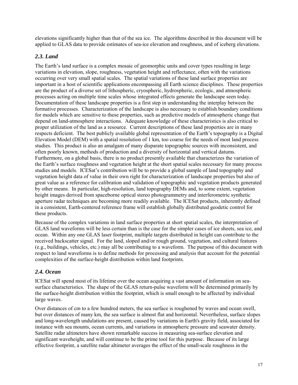<span id="page-16-0"></span>elevations significantly higher than that of the sea ice. The algorithms described in this document will be applied to GLAS data to provide estimates of sea-ice elevation and roughness, and of iceberg elevations.

# *2.3. Land*

The Earth's land surface is a complex mosaic of geomorphic units and cover types resulting in large variations in elevation, slope, roughness, vegetation height and reflectance, often with the variations occurring over very small spatial scales. The spatial variations of these land surface properties are important in a host of scientific applications encompassing all Earth science disciplines. These properties are the product of a diverse set of lithospheric, cryospheric, hydrospheric, ecologic, and atmospheric processes acting on multiple time scales whose integrated effects generate the landscape seen today. Documentation of these landscape properties is a first step in understanding the interplay between the formative processes. Characterization of the landscape is also necessary to establish boundary conditions for models which are sensitive to these properties, such as predictive models of atmospheric change that depend on land-atmosphere interactions. Adequate knowledge of these characteristics is also critical to proper utilization of the land as a resource. Current descriptions of these land properties are in many respects deficient. The best publicly available global representation of the Earth's topography is a Digital Elevation Model (DEM) with a spatial resolution of 1 km, too coarse for the needs of most land process studies. This product is also an amalgam of many disparate topographic sources with inconsistent, and often poorly known, methods of production and a diversity of horizontal and vertical datums. Furthermore, on a global basis, there is no product presently available that characterizes the variation of the Earth's surface roughness and vegetation height at the short spatial scales necessary for many process studies and models. ICESat's contribution will be to provide a global sample of land topography and vegetation height data of value in their own right for characterization of landscape properties but also of great value as a reference for calibration and validation of topographic and vegetation products generated by other means. In particular, high-resolution, land topography DEMs and, to some extent, vegetation height images derived from spaceborne optical stereo photogrammetry and interferometric synthetic aperture radar techniques are becoming more readily available. The ICESat products, inherently defined in a consistent, Earth-centered reference frame will establish globally distributed geodetic control for these products.

Because of the complex variations in land surface properties at short spatial scales, the interpretation of GLAS land waveforms will be less certain than is the case for the simpler cases of ice sheets, sea ice, and ocean. Within any one GLAS laser footprint, multiple targets distributed in height can contribute to the received backscatter signal. For the land, sloped and/or rough ground, vegetation, and cultural features (e.g., buildings, vehicles, etc.) may all be contributing to a waveform. The purpose of this document with respect to land waveforms is to define methods for processing and analysis that account for the potential complexities of the surface-height distribution within land footprints.

## *2.4. Ocean*

ICESat will spend most of its lifetime over the ocean acquiring a vast amount of information on seasurface characteristics. The shape of the GLAS return-pulse waveform will be determined primarily by the surface-height distribution within the footprint, which is small enough to be affected by individual large waves.

Over distances of cm to a few hundred meters, the sea surface is roughened by waves and ocean swell, but over distances of many km, the sea surface is almost flat and horizontal. Nevertheless, surface slopes and long-wavelength undulations are present, caused by variations in Earth's gravity field, associated for instance with sea mounts, ocean currents, and variations in atmospheric pressure and seawater density. Satellite radar altimeters have shown remarkable success in measuring sea-surface elevation and significant waveheight, and will continue to be the prime tool for this purpose. Because of its large effective footprint, a satellite radar altimeter averages the effect of the small-scale roughness in the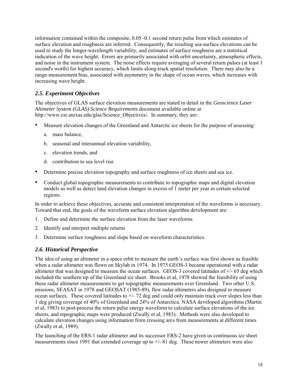<span id="page-17-0"></span>information contained within the composite, 0.05 -0.1 second return pulse from which estimates of surface elevation and roughness are inferred. Consequently, the resulting sea-surface elevations can be used to study the longer-wavelength variability, and estimates of surface roughness are a statistical indication of the wave height. Errors are primarily associated with orbit uncertainty, atmospheric effects, and noise in the instrument system. The noise effects require averaging of several return pulses (at least 1) second's worth) for highest accuracy, which limits along-track spatial resolution. There may also be a range-measurement bias, associated with asymmetry in the shape of ocean waves, which increases with increasing wave height.

# *2.5. Experiment Objectives*

The objectives of GLAS surface elevation measurements are stated in detail in the *Geoscience Laser Altimeter System (GLAS) Science Requirements* document available online at http://www.csr.utexas.edu/glas/Science\_Objectives/*.* In summary, they are:

- Measure elevation changes of the Greenland and Antarctic ice sheets for the purpose of assessing:
	- a. mass balance,
	- b. seasonal and interannual elevation variability,
	- c. elevation trends, and
	- d. contribution to sea level rise
- Determine precise elevation topography and surface roughness of ice sheets and sea ice.
- Conduct global topographic measurements to contribute to topographic maps and digital elevation models as well as detect land elevation changes in excess of 1 meter per year in certain selected regions.

In order to achieve these objectives, accurate and consistent interpretation of the waveforms is necessary. Toward that end, the goals of the waveform surface elevation algorithm development are:

- 1. Define and determine the surface elevation from the laser waveforms
- 2. Identify and interpret multiple returns
- 3. Determine surface roughness and slope based on waveform characteristics.

# *2.6. Historical Perspective*

The idea of using an altimeter in a space orbit to measure the earth's surface was first shown as feasible when a radar altimeter was flown on Skylab in 1974. In 1975 GEOS-3 became operational with a radar altimeter that was designed to measure the ocean surfaces. GEOS-3 covered latitudes of +/- 65 deg which included the southern tip of the Greenland ice sheet. Brooks et al, 1978 showed the feasibility of using these radar altimeter measurements to get topographic measurements over Greenland. Two other U.S. missions, SEASAT in 1978 and GEOSAT (1985-89), flew radar altimeters also designed to measure ocean surfaces. These covered latitudes to  $+/-72$  deg and could only maintain track over slopes less than 1 deg giving coverage of 40% of Greenland and 24% of Antarctica. NASA developed algorithms (Martin et al, 1983) to post-process the return pulse energy waveform to calculate surface elevations of the ice sheets, and topographic maps were produced (Zwally et al, 1983). Methods were also developed to calculate elevation changes using information from crossing arcs from measurements at different times (Zwally et al, 1989).

The launching of the ERS-1 radar altimeter and its successor ERS-2 have given us continuous ice sheet measurements since 1991 that extended coverage up to  $+/$ - 81 deg. These newer altimeters were also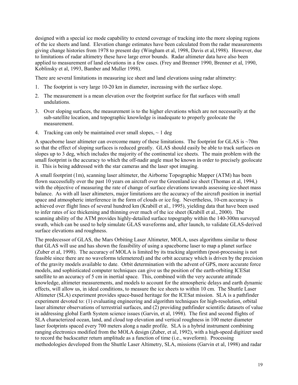designed with a special ice mode capability to extend coverage of tracking into the more sloping regions of the ice sheets and land. Elevation change estimates have been calculated from the radar measurements giving change histories from 1978 to present day (Wingham et al, 1998, Davis et al,1998). However, due to limitations of radar altimetry these have large error bounds. Radar altimeter data have also been applied to measurement of land elevations in a few cases. (Frey and Brenner 1990, Brenner et al, 1990, Koblinsky et al, 1993, Bamber and Muller 1998).

There are several limitations in measuring ice sheet and land elevations using radar altimetry:

- 1. The footprint is very large 10-20 km in diameter, increasing with the surface slope.
- 2. The measurement is a mean elevation over the footprint surface for flat surfaces with small undulations.
- 3. Over sloping surfaces, the measurement is to the higher elevations which are not necessarily at the sub-satellite location, and topographic knowledge is inadequate to properly geolocate the measurement.
- 4. Tracking can only be maintained over small slopes,  $\sim 1$  deg

A spaceborne laser altimeter can overcome many of these limitations. The footprint for GLAS is ~70m so that the effect of sloping surfaces is reduced greatly. GLAS should easily be able to track surfaces on slopes up to 3 deg, which includes the majority of the continental ice sheets. The main problem with the small footprint is the accuracy to which the off-nadir angle must be known in order to precisely geolocate it. This is being addressed with the star cameras and the laser spot imaging.

A small footprint (1m), scanning laser altimeter, the Airborne Topographic Mapper (ATM) has been flown successfully over the past 10 years on aircraft over the Greenland ice sheet (Thomas et al, 1994,) with the objective of measuring the rate of change of surface elevations towards assessing ice-sheet mass balance. As with all laser altimeters, major limitations are the accuracy of the aircraft position in inertial space and atmospheric interference in the form of clouds or ice fog. Nevertheless, 10-cm accuracy is achieved over flight lines of several hundred km (Krabill et al., 1995), yielding data that have been used to infer rates of ice thickening and thinning over much of the ice sheet (Krabill et al., 2000). The scanning ability of the ATM provides highly-detailed surface topography within the 140-300m surveyed swath, which can be used to help simulate GLAS waveforms and, after launch, to validate GLAS-derived surface elevations and roughness.

The predecessor of GLAS, the Mars Orbiting Laser Altimeter, MOLA, uses algorithms similar to those that GLAS will use and has shown the feasibility of using a spaceborne laser to map a planet surface (Zuber et al, 1998). The accuracy of MOLA is limited by its tracking algorithm (post-processing is not feasible since there are no waveforms telemetered) and the orbit accuracy which is driven by the precision of the gravity models available to date. Orbit determination with the advent of GPS, more accurate force models, and sophisticated computer techniques can give us the position of the earth-orbiting ICESat satellite to an accuracy of 5 cm in inertial space. This, combined with the very accurate attitude knowledge, altimeter measurements, and models to account for the atmospheric delays and earth dynamic effects, will allow us, in ideal conditions, to measure the ice sheets to within 10 cm. The Shuttle Laser Altimeter (SLA) experiment provides space-based heritage for the ICESat mission. SLA is a pathfinder experiment devoted to: (1) evaluating engineering and algorithm techniques for high-resolution, orbital laser altimeter observations of terrestrial surfaces, and (2) providing pathfinder scientific datasets of value in addressing global Earth System science issues (Garvin, et al, 1998). The first and second flights of SLA characterized ocean, land, and cloud top elevation and vertical roughness in 100 meter diameter laser footprints spaced every 700 meters along a nadir profile. SLA is a hybrid instrument combining ranging electronics modified from the MOLA design (Zuber, et al, 1992), with a high-speed digitizer used to record the backscatter return amplitude as a function of time (i.e., waveform). Processing methodologies developed from the Shuttle Laser Altimetry, SLA, missions (Garvin et al, 1998) and radar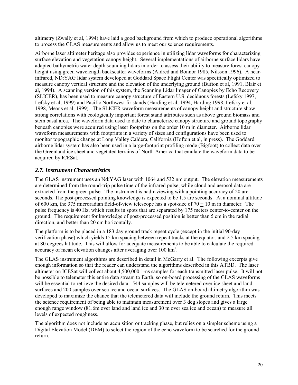<span id="page-19-0"></span>altimetry (Zwally et al, 1994) have laid a good background from which to produce operational algorithms to process the GLAS measurements and allow us to meet our science requirements.

Airborne laser altimeter heritage also provides experience in utilizing lidar waveforms for characterizing surface elevation and vegetation canopy height. Several implementations of airborne surface lidars have adapted bathymetric water depth sounding lidars in order to assess their ability to measure forest canopy height using green wavelength backscatter waveforms (Aldred and Bonnor 1985, Nilsson 1996). A nearinfrared, ND:YAG lidar system developed at Goddard Space Flight Center was specifically optimized to measure canopy vertical structure and the elevation of the underlying ground (Bufton et al, 1991, Blair et al, 1994). A scanning version of this system, the Scanning Lidar Imager of Canopies by Echo Recovery (SLICER), has been used to measure canopy structure of Eastern U.S. deciduous forests (Lefsky 1997, Lefsky et al, 1999) and Pacific Northwest fir stands (Harding et al, 1994, Harding 1998, Lefsky et al, 1998, Means et al, 1999). The SLICER waveform measurements of canopy height and structure show strong correlations with ecologically important forest stand attributes such as above ground biomass and stem basal area. The waveform data used to date to characterize canopy structure and ground topography beneath canopies were acquired using laser footprints on the order 10 m in diameter. Airborne lidar waveform measurements with footprints in a variety of sizes and configurations have been used to monitor topographic change at Long Valley Caldera, California (Hofton et al, in press). The Goddard airborne lidar system has also been used in a large-footprint profiling mode (Bigfoot) to collect data over the Greenland ice sheet and vegetated terrains of North America that emulate the waveform data to be acquired by ICESat.

## *2.7. Instrument Characteristics*

The GLAS instrument uses an Nd:YAG laser with 1064 and 532 nm output. The elevation measurements are determined from the round-trip pulse time of the infrared pulse, while cloud and aerosol data are extracted from the green pulse. The instrument is nadir-viewing with a pointing accuracy of 20 arc seconds. The post-processed pointing knowledge is expected to be 1.5 arc seconds. At a nominal altitude of 600 km, the 375 microradian field-of-view telescope has a spot-size of 70  $\pm$  10 m in diameter. The pulse frequency is 40 Hz, which results in spots that are separated by 175 meters center-to-center on the ground. The requirement for knowledge of post-processed position is better than 5 cm in the radial direction, and better than 20 cm horizontally.

The platform is to be placed in a 183 day ground track repeat cycle (except in the initial 90-day verification phase) which yields 15 km spacing between repeat tracks at the equator, and 2.5 km spacing at 80 degrees latitude. This will allow for adequate measurements to be able to calculate the required accuracy of mean elevation changes after averaging over 100 km<sup>2</sup>.

The GLAS instrument algorithms are described in detail in McGarry et al. The following excerpts give enough information so that the reader can understand the algorithms described in this ATBD. The laser altimeter on ICESat will collect about 4,500,000 1-ns samples for each transmitted laser pulse. It will not be possible to telemeter this entire data stream to Earth, so on-board processing of the GLAS waveforms will be essential to retrieve the desired data. 544 samples will be telemetered over ice sheet and land surfaces and 200 samples over sea ice and ocean surfaces. The GLAS on-board altimetry algorithm was developed to maximize the chance that the telemetered data will include the ground return. This meets the science requirement of being able to maintain measurement over 3 deg slopes and gives a large enough range window (81.6m over land and land ice and 30 m over sea ice and ocean) to measure all levels of expected roughness.

The algorithm does not include an acquisition or tracking phase, but relies on a simpler scheme using a Digital Elevation Model (DEM) to select the region of the echo waveform to be searched for the ground return.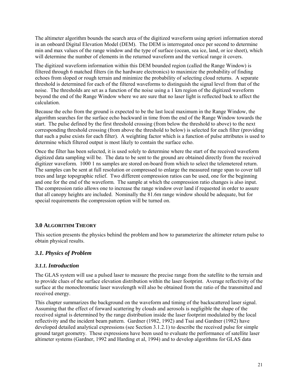<span id="page-20-0"></span>The altimeter algorithm bounds the search area of the digitized waveform using apriori information stored in an onboard Digital Elevation Model (DEM). The DEM is interrogated once per second to determine min and max values of the range window and the type of surface (ocean, sea ice, land, or ice sheet), which will determine the number of elements in the returned waveform and the vertical range it covers.

The digitized waveform information within this DEM bounded region (called the Range Window) is filtered through 6 matched filters (in the hardware electronics) to maximize the probability of finding echoes from sloped or rough terrain and minimize the probability of selecting cloud returns. A separate threshold is determined for each of the filtered waveforms to distinguish the signal level from that of the noise. The thresholds are set as a function of the noise using a 1 km region of the digitized waveform beyond the end of the Range Window where we are sure that no laser light is reflected back to affect the calculation.

Because the echo from the ground is expected to be the last local maximum in the Range Window, the algorithm searches for the surface echo backward in time from the end of the Range Window towards the start. The pulse defined by the first threshold crossing (from below the threshold to above) to the next corresponding threshold crossing (from above the threshold to below) is selected for each filter (providing that such a pulse exists for each filter). A weighting factor which is a function of pulse attributes is used to determine which filtered output is most likely to contain the surface echo.

Once the filter has been selected, it is used solely to determine where the start of the received waveform digitized data sampling will be. The data to be sent to the ground are obtained directly from the received digitizer waveform. 1000 1 ns samples are stored on-board from which to select the telemetered return. The samples can be sent at full resolution or compressed to enlarge the measured range span to cover tall trees and large topographic relief. Two different compression ratios can be used, one for the beginning and one for the end of the waveform. The sample at which the compression ratio changes is also input. The compression ratio allows one to increase the range window over land if requested in order to assure that all canopy heights are included. Nominally the 81.6m range window should be adequate, but for special requirements the compression option will be turned on.

## **3.0 ALGORITHM THEORY**

This section presents the physics behind the problem and how to parameterize the altimeter return pulse to obtain physical results.

## *3.1. Physics of Problem*

### *3.1.1. Introduction*

The GLAS system will use a pulsed laser to measure the precise range from the satellite to the terrain and to provide clues of the surface elevation distribution within the laser footprint. Average reflectivity of the surface at the monochromatic laser wavelength will also be obtained from the ratio of the transmitted and received energy.

This chapter summarizes the background on the waveform and timing of the backscattered laser signal. Assuming that the effect of forward scattering by clouds and aerosols is negligible the shape of the received signal is determined by the range distribution inside the laser footprint modulated by the local reflectivity and the incident beam pattern. Gardner (1982, 1992) and Tsai and Gardner (1982) have developed detailed analytical expressions (see Section 3.1.2.1) to describe the received pulse for simple ground target geometry. These expressions have been used to evaluate the performance of satellite laser altimeter systems (Gardner, 1992 and Harding et al, 1994) and to develop algorithms for GLAS data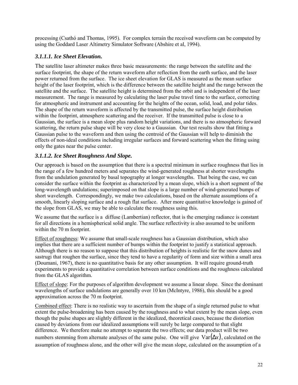<span id="page-21-0"></span>processing (Csathó and Thomas, 1995). For complex terrain the received waveform can be computed by using the Goddard Laser Altimetry Simulator Software (Abshire et al, 1994).

# *3.1.1.1. Ice Sheet Elevation.*

The satellite laser altimeter makes three basic measurements: the range between the satellite and the surface footprint, the shape of the return waveform after reflection from the earth surface, and the laser power returned from the surface. The ice sheet elevation for GLAS is measured as the mean surface height of the laser footprint, which is the difference between the satellite height and the range between the satellite and the surface. The satellite height is determined from the orbit and is independent of the laser measurement. The range is measured by calculating the laser pulse travel time to the surface, correcting for atmospheric and instrument and accounting for the heights of the ocean, solid, load, and polar tides. The shape of the return waveform is affected by the transmitted pulse, the surface height distribution within the footprint, atmosphere scattering and the receiver. If the transmitted pulse is close to a Gaussian, the surface is a mean slope plus random height variations, and there is no atmospheric forward scattering, the return pulse shape will be very close to a Gaussian. Our test results show that fitting a Gaussian pulse to the waveform and then using the centroid of the Gaussian will help to diminish the effects of non-ideal conditions including irregular surfaces and forward scattering when the fitting using only the gates near the pulse center.

# *3.1.1.2. Ice Sheet Roughness And Slope.*

Our approach is based on the assumption that there is a spectral minimum in surface roughness that lies in the range of a few hundred meters and separates the wind-generated roughness at shorter wavelengths from the undulation generated by basal topography at longer wavelengths. That being the case, we can consider the surface within the footprint as characterized by a mean slope, which is a short segment of the long-wavelength undulations; superimposed on that slope is a large number of wind-generated bumps of short wavelength. Correspondingly, we make two calculations, based on the alternate assumptions of a smooth, linearly sloping surface and a rough flat surface. After more quantitative knowledge is gained of the slope from GLAS, we may be able to calculate the roughness using this.

We assume that the surface is a diffuse (Lambertian) reflector, that is the emerging radiance is constant for all directions in a hemispherical solid angle. The surface reflectivity is also assumed to be uniform within the 70 m footprint.

Effect of roughness: We assume that small-scale roughness has a Gaussian distribution, which also implies that there are a sufficient number of bumps within the footprint to justify a statistical approach. Although there is no reason to suppose that this distribution of heights is realistic for the snow dunes and sastrugi that roughen the surface, since they tend to have a regularity of form and size within a small area (Doumani, 1967), there is no quantitative basis for any other assumption. It will require ground-truth experiments to provide a quantitative correlation between surface conditions and the roughness calculated from the GLAS algorithm.

Effect of slope: For the purposes of algorithm development we assume a linear slope. Since the dominant wavelengths of surface undulations are generally over 10 km (McIntyre, 1986), this should be a good approximation across the 70 m footprint.

Combined effect: There is no realistic way to ascertain from the shape of a single returned pulse to what extent the pulse-broadening has been caused by the roughness and to what extent by the mean slope, even though the pulse shapes are slightly different in the idealized, theoretical cases, because the distortion caused by deviations from our idealized assumptions will surely be large compared to that slight difference. We therefore make no attempt to separate the two effects; our data product will be two numbers stemming from alternate analyses of the same pulse. One will give  $\text{Var}(\Delta x)$ , calculated on the assumption of roughness alone, and the other will give the mean slope, calculated on the assumption of a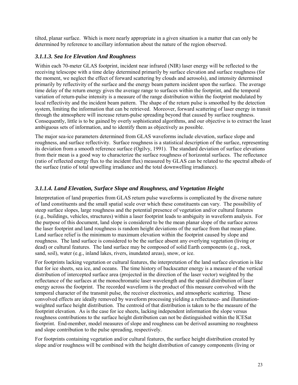<span id="page-22-0"></span>tilted, planar surface. Which is more nearly appropriate in a given situation is a matter that can only be determined by reference to ancillary information about the nature of the region observed.

# *3.1.1.3. Sea Ice Elevation And Roughness*

Within each 70-meter GLAS footprint, incident near infrared (NIR) laser energy will be reflected to the receiving telescope with a time delay determined primarily by surface elevation and surface roughness (for the moment, we neglect the effect of forward scattering by clouds and aerosols), and intensity determined primarily by reflectivity of the surface and the energy beam pattern incident upon the surface. The average time delay of the return energy gives the average range to surfaces within the footprint, and the temporal variation of return-pulse intensity is a measure of the range distribution within the footprint modulated by local reflectivity and the incident beam pattern. The shape of the return pulse is smoothed by the detection system, limiting the information that can be retrieved. Moreover, forward scattering of laser energy in transit through the atmosphere will increase return-pulse spreading beyond that caused by surface roughness. Consequently, little is to be gained by overly sophisticated algorithms, and our objective is to extract the least ambiguous sets of information, and to identify them as objectively as possible.

The major sea-ice parameters determined from GLAS waveforms include elevation, surface slope and roughness, and surface reflectivity. Surface roughness is a statistical description of the surface, representing its deviation from a smooth reference surface (Ogilvy, 1991). The standard deviation of surface elevations from their mean is a good way to characterize the surface roughness of horizontal surfaces. The reflectance (ratio of reflected energy flux to the incident flux) measured by GLAS can be related to the spectral albedo of the surface (ratio of total upwelling irradiance and the total downwelling irradiance).

# *3.1.1.4. Land Elevation, Surface Slope and Roughness, and Vegetation Height*

Interpretation of land properties from GLAS return pulse waveforms is complicated by the diverse nature of land constituents and the small spatial scale over which these constituents can vary. The possibility of steep surface slopes, large roughness and the potential presence of vegetation and/or cultural features (e.g., buildings, vehicles, structures) within a laser footprint leads to ambiguity in waveform analysis. For the purpose of this document, land slope is considered to be the mean planar slope of the surface across the laser footprint and land roughness is random height deviations of the surface from that mean plane. Land surface relief is the minimum to maximum elevation within the footprint caused by slope and roughness. The land surface is considered to be the surface absent any overlying vegetation (living or dead) or cultural features. The land surface may be composed of solid Earth components (e.g., rock, sand, soil), water (e.g., inland lakes, rivers, inundated areas), snow, or ice.

For footprints lacking vegetation or cultural features, the interpretation of the land surface elevation is like that for ice sheets, sea ice, and oceans. The time history of backscatter energy is a measure of the vertical distribution of intercepted surface area (projected in the direction of the laser vector) weighted by the reflectance of the surfaces at the monochromatic laser wavelength and the spatial distribution of laser energy across the footprint. The recorded waveform is the product of this measure convolved with the temporal character of the transmit pulse, the receiver electronics, and atmospheric scattering. These convolved effects are ideally removed by waveform processing yielding a reflectance- and illuminationweighted surface height distribution. The centroid of that distribution is taken to be the measure of the footprint elevation. As is the case for ice sheets, lacking independent information the slope versus roughness contributions to the surface height distribution can not be distinguished within the ICESat footprint. End-member, model measures of slope and roughness can be derived assuming no roughness and slope contribution to the pulse spreading, respectively.

For footprints containing vegetation and/or cultural features, the surface height distribution created by slope and/or roughness will be combined with the height distribution of canopy components (living or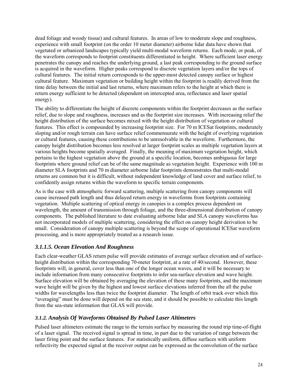<span id="page-23-0"></span>dead foliage and woody tissue) and cultural features. In areas of low to moderate slope and roughness, experience with small footprint (on the order 10 meter diameter) airborne lidar data have shown that vegetated or urbanized landscapes typically yield multi-modal waveform returns. Each mode, or peak, of the waveform corresponds to footprint constituents differentiated in height. Where sufficient laser energy penetrates the canopy and reaches the underlying ground, a last peak corresponding to the ground surface is acquired in the waveform. Higher peaks correspond to discrete vegetation layers and/or the tops of cultural features. The initial return corresponds to the upper-most detected canopy surface or highest cultural feature. Maximum vegetation or building height within the footprint is readily derived from the time delay between the initial and last returns, where maximum refers to the height at which there is return energy sufficient to be detected (dependent on intercepted area, reflectance and laser spatial energy).

The ability to differentiate the height of discrete components within the footprint decreases as the surface relief, due to slope and roughness, increases and as the footprint size increases. With increasing relief the height distribution of the surface becomes mixed with the height distribution of vegetation or cultural features. This effect is compounded by increasing footprint size. For 70 m ICESat footprints, moderately sloping and/or rough terrain can have surface relief commensurate with the height of overlying vegetation or cultural features, causing these contributions to be unresolvable in the waveform. Furthermore, the canopy height distribution becomes less resolved at larger footprint scales as multiple vegetation layers at various heights become spatially averaged. Finally, the meaning of maximum vegetation height, which pertains to the highest vegetation above the ground at a specific location, becomes ambiguous for large footprints where ground relief can be of the same magnitude as vegetation height. Experience with 100 m diameter SLA footprints and 70 m diameter airborne lidar footprints demonstrates that multi-modal returns are common but it is difficult, without independent knowledge of land cover and surface relief, to confidently assign returns within the waveform to specific terrain components.

As is the case with atmospheric forward scattering, multiple scattering from canopy components will cause increased path length and thus delayed return energy in waveforms from footprints containing vegetation. Multiple scattering of optical energy in canopies is a complex process dependent on wavelength, the amount of transmission through foliage, and the three-dimensional distribution of canopy components. The published literature to date evaluating airborne lidar and SLA canopy waveforms has not incorporated models of multiple scattering, considering the effect on canopy height derivation to be small. Consideration of canopy multiple scattering is beyond the scope of operational ICESat waveform processing, and is more appropriately treated as a research issue.

## *3.1.1.5. Ocean Elevation And Roughness*

Each clear-weather GLAS return pulse will provide estimates of average surface elevation and of surfaceheight distribution within the corresponding 70-meter footprint, at a rate of 40/second. However, these footprints will, in general, cover less than one of the longer ocean waves, and it will be necessary to include information from many consecutive footprints to infer sea-surface elevation and wave height. Surface elevation will be obtained by averaging the elevation of these many footprints, and the maximum wave height will be given by the highest and lowest surface elevations inferred from the all the pulse widths for wavelengths less than twice the footprint diameter. The length of orbit track over which this ìaveragingî must be done will depend on the sea state, and it should be possible to calculate this length from the sea-state information that GLAS will provide.

# *3.1.2. Analysis Of Waveforms Obtained By Pulsed Laser Altimeters*

Pulsed laser altimeters estimate the range to the terrain surface by measuring the round trip time-of-flight of a laser signal. The received signal is spread in time, in part due to the variation of range between the laser firing point and the surface features. For statistically uniform, diffuse surfaces with uniform reflectivity the expected signal at the receiver output can be expressed as the convolution of the surface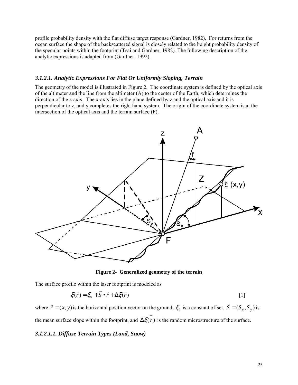<span id="page-24-0"></span>profile probability density with the flat diffuse target response (Gardner, 1982). For returns from the ocean surface the shape of the backscattered signal is closely related to the height probability density of the specular points within the footprint (Tsai and Gardner, 1982). The following description of the analytic expressions is adapted from (Gardner, 1992).

#### *3.1.2.1. Analytic Expressions For Flat Or Uniformly Sloping, Terrain*

The geometry of the model is illustrated in Figure 2. The coordinate system is defined by the optical axis of the altimeter and the line from the altimeter  $(A)$  to the center of the Earth, which determines the direction of the z-axis. The x-axis lies in the plane defined by z and the optical axis and it is perpendicular to z, and y completes the right hand system. The origin of the coordinate system is at the intersection of the optical axis and the terrain surface (F).



**Figure 2- Generalized geometry of the terrain** 

The surface profile within the laser footprint is modeled as

$$
\xi(\vec{r}) = \xi_0 + \vec{S} \bullet \vec{r} + \Delta \xi(\vec{r})
$$
 [1]

where  $\vec{r} = (x, y)$  is the horizontal position vector on the ground,  $\xi_0$  is a constant offset,  $\vec{S} = (S_x, S_y)$  is the mean surface slope within the footprint, and  $\Delta \xi(\vec{r})$  is the random microstructure of the surface.

#### *3.1.2.1.1. Diffuse Terrain Types (Land, Snow)*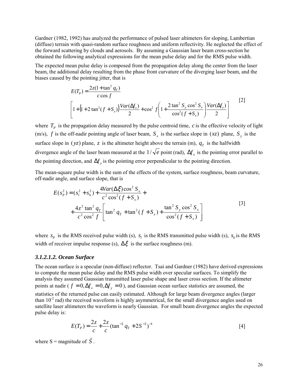<span id="page-25-0"></span>Gardner (1982, 1992) has analyzed the performance of pulsed laser altimeters for sloping, Lambertian (diffuse) terrain with quasi-random surface roughness and uniform reflectivity. He neglected the effect of the forward scattering by clouds and aerosols. By assuming a Gaussian laser beam cross-section he obtained the following analytical expressions for the mean pulse delay and for the RMS pulse width.

The expected mean pulse delay is composed from the propagation delay along the center from the laser beam, the additional delay resulting from the phase front curvature of the diverging laser beam, and the biases caused by the pointing jitter, that is

$$
E(T_P) = \frac{2z(1 + \tan^2 q_T)}{c \cos f}
$$
  
\n
$$
\left[1 + (1 + 2 \tan^2 (f + S_x)) \frac{Var(\Delta f_x)}{2} + \cos^2 f \left(1 + \frac{2 \tan^2 S_y \cos^2 S_x}{\cos^2 (f + S_x)}\right) \frac{Var(\Delta f_y)}{2}\right]
$$
\n[2]

where  $T_p$  is the propagation delay measured by the pulse centroid time,  $c$  is the effective velocity of light (m/s), *f* is the off-nadir pointing angle of laser beam,  $S_x$  is the surface slope in (*xz*) plane,  $S_y$  is the surface slope in ( $yz$ ) plane, *z* is the altimeter height above the terrain (m),  $q_T$  is the halfwidth divergence angle of the laser beam measured at the  $1/\sqrt{e}$  point (rad),  $\Delta f$ <sub>x</sub> is the pointing error parallel to the pointing direction, and  $\Delta f$ <sub>y</sub> is the pointing error perpendicular to the pointing direction.

The mean-square pulse width is the sum of the effects of the system, surface roughness, beam curvature, off-nadir angle, and surface slope, that is

$$
E(s_p^2) = (s_l^2 + s_h^2) + \frac{4Var(\Delta \xi) \cos^2 S_x}{c^2 \cos^2(f + S_x)} + \frac{4z^2 \tan^2 q_T}{c^2 \cos^2 f} \left[ \tan^2 q_T + \tan^2(f + S_x) + \frac{\tan^2 S_y \cos^2 S_x}{\cos^2(f + S_x)} \right]
$$
\n[3]

where  $s_p$  is the RMS received pulse width (s),  $s_l$  is the RMS transmitted pulse width (s),  $s_h$  is the RMS width of receiver impulse response (s),  $\Delta \xi$  is the surface roughness (m).

#### *3.1.2.1.2. Ocean Surface*

The ocean surface is a specular (non-diffuse) reflector. Tsai and Gardner (1982) have derived expressions to compute the mean pulse delay and the RMS pulse width over specular surfaces. To simplify the analysis they assumed Gaussian transmitted laser pulse shape and laser cross section. If the altimeter points at nadir ( $f = 0, \Delta f_x = 0, \Delta f_y = 0$ ), and Gaussian ocean surface statistics are assumed, the statistics of the returned pulse can easily estimated. Although for large beam divergence angles (larger than  $10^{-2}$  rad) the received waveform is highly asymmetrical, for the small divergence angles used on satellite laser altimeters the waveform is nearly Gaussian. For small beam divergence angles the expected pulse delay is:

$$
E(T_P) = \frac{2z}{c} + \frac{2z}{c} (\tan^{-2} q_T + 2S^{-2})^{-1}
$$
 [4]

where S = magnitude of *S*  $\vec{S}$  .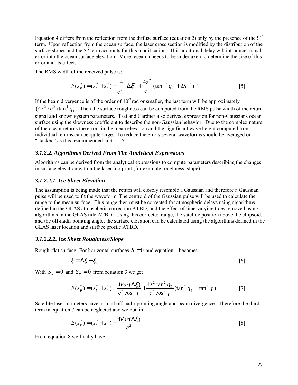<span id="page-26-0"></span>Equation 4 differs from the reflection from the diffuse surface (equation 2) only by the presence of the  $S<sup>2</sup>$ term. Upon reflection from the ocean surface, the laser cross section is modified by the distribution of the surface slopes and the  $S<sup>2</sup>$  term accounts for this modification. This additional delay will introduce a small error into the ocean surface elevation. More research needs to be undertaken to determine the size of this error and its effect.

The RMS width of the received pulse is:

$$
E(s_P^2) = (s_I^2 + s_h^2) + \frac{4}{c^2} \Delta \xi^2 + \frac{4z^2}{c^2} (\tan^{-2} q_T + 2S^{-2})^{-2}
$$
 [5]

If the beam divergence is of the order of  $10^{-3}$  rad or smaller, the last term will be approximately  $(4z^2/c^2)$  tan<sup>4</sup>  $q<sub>r</sub>$ . Then the surface roughness can be computed from the RMS pulse width of the return signal and known system parameters. Tsai and Gardner also derived expression for non-Gaussians ocean surface using the skewness coefficient to describe the non-Gaussian behavior. Due to the complex nature of the ocean returns the errors in the mean elevation and the significant wave height computed from individual returns can be quite large. To reduce the errors several waveforms should be averaged or "stacked" as it is recommended in  $3.1.1.5$ .

#### *3.1.2.2. Algorithms Derived From The Analytical Expressions*

Algorithms can be derived from the analytical expressions to compute parameters describing the changes in surface elevation within the laser footprint (for example roughness, slope).

#### *3.1.2.2.1. Ice Sheet Elevation*

The assumption is being made that the return will closely resemble a Gaussian and therefore a Gaussian pulse will be used to fit the waveform. The centroid of the Gaussian pulse will be used to calculate the range to the mean surface. This range then must be corrected for atmospheric delays using algorithms defined in the GLAS atmospheric correction ATBD, and the effect of time-varying tides removed using algorithms in the GLAS tide ATBD. Using this corrected range, the satellite position above the ellipsoid, and the off-nadir pointing angle; the surface elevation can be calculated using the algorithms defined in the GLAS laser location and surface profile ATBD.

#### *3.1.2.2.2. Ice Sheet Roughness/Slope*

Rough, flat surface: For horizontal surfaces  $\vec{S} = \vec{0}$  and equation 1 becomes

$$
\xi = \Delta \xi + \xi_0 \tag{6}
$$

With  $S_x = 0$  and  $S_y = 0$  from equation 3 we get

$$
E(s_P^2) = (s_I^2 + s_h^2) + \frac{4Var(\Delta \xi)}{c^2 \cos^2 f} + \frac{4z^2 \tan^2 q_T}{c^2 \cos^2 f} (\tan^2 q_T + \tan^2 f)
$$
 [7]

Satellite laser altimeters have a small off-nadir pointing angle and beam divergence. Therefore the third term in equation 7 can be neglected and we obtain

$$
E(s_P^2) = (s_l^2 + s_h^2) + \frac{4Var(\Delta \xi)}{c^2}
$$
 [8]

From equation 8 we finally have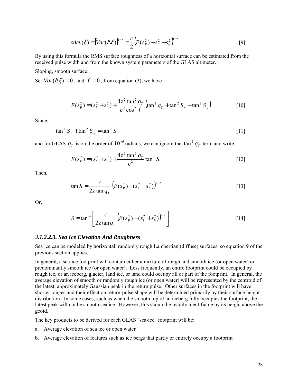$$
sdev(\xi) = [Var(\Delta \xi)]^{1/2} = \frac{c}{2} (E(s_P^2) - s_l^2 - s_h^2)^{1/2}
$$
 [9]

<span id="page-27-0"></span>By using this formula the RMS surface roughness of a horizontal surface can be estimated from the received pulse width and from the known system parameters of the GLAS altimeter.

Sloping, smooth surface:

Set  $Var(\Delta \xi) = 0$ , and  $f = 0$ , from equation (3), we have

$$
E(s_P^2) = (s_I^2 + s_h^2) + \frac{4z^2 \tan^2 q_T}{c^2 \cos^2 f} (\tan^2 q_T + \tan^2 S_x + \tan^2 S_y)
$$
 [10]

Since,

$$
\tan^2 S_x + \tan^2 S_y = \tan^2 S \tag{11}
$$

and for GLAS  $q_T$  is on the order of 10<sup>-5</sup> radians, we can ignore the  $\tan^2 q_T$  term and write,

$$
E(s_P^2) = (s_l^2 + s_h^2) + \frac{4z^2 \tan^2 q_T}{c^2} \tan^2 S
$$
 [12]

Then,

$$
\tan S = \frac{c}{2z \tan q_T} \left( E(s_P^2) - (s_l^2 + s_h^2) \right)^{1/2}
$$
 [13]

Or,

$$
S = \tan^{-1} \left[ \frac{c}{2z \tan q_T} \left( E(s_P^2) - (s_l^2 + s_h^2) \right)^{1/2} \right]
$$
 [14]

#### *3.1.2.2.3. Sea Ice Elevation And Roughness*

Sea ice can be modeled by horizontal, randomly rough Lambertian (diffuse) surfaces, so equation 9 of the previous section applies.

In general, a sea-ice footprint will contain either a mixture of rough and smooth ice (or open water) or predominantly smooth ice (or open water). Less frequently, an entire footprint could be occupied by rough ice, or an iceberg, glacier, land ice, or land could occupy all or part of the footprint. In general, the average elevation of smooth or randomly rough ice (or open water) will be represented by the centroid of the latest, approximately Gaussian peak in the return pulse. Other surfaces in the footprint will have shorter ranges and their effect on return-pulse shape will be determined primarily by their surface height distribution. In some cases, such as when the smooth top of an iceberg fully occupies the footprint, the latest peak will not be smooth sea ice. However, this should be readily identifiable by its height above the geoid.

The key products to be derived for each GLAS "sea-ice" footprint will be:

- a. Average elevation of sea ice or open water
- b. Average elevation of features such as ice bergs that partly or entirely occupy a footprint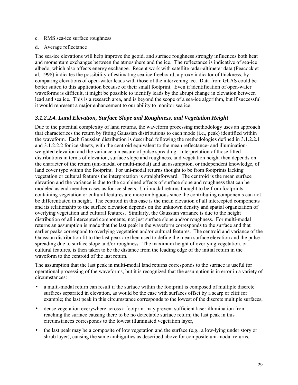- <span id="page-28-0"></span>c. RMS sea-ice surface roughness
- d. Average reflectance

The sea-ice elevations will help improve the geoid, and surface roughness strongly influences both heat and momentum exchanges between the atmosphere and the ice. The reflectance is indicative of sea-ice albedo, which also affects energy exchange. Recent work with satellite radar-altimeter data (Peacock et al, 1998) indicates the possibility of estimating sea-ice freeboard, a proxy indicator of thickness, by comparing elevations of open-water leads with those of the intervening ice. Data from GLAS could be better suited to this application because of their small footprint. Even if identification of open-water waveforms is difficult, it might be possible to identify leads by the abrupt change in elevation between lead and sea ice. This is a research area, and is beyond the scope of a sea-ice algorithm, but if successful it would represent a major enhancement to our ability to monitor sea ice.

## *3.1.2.2.4. Land Elevation, Surface Slope and Roughness, and Vegetation Height*

Due to the potential complexity of land returns, the waveform processing methodology uses an approach that characterizes the return by fitting Gaussian distributions to each mode (i.e., peak) identified within the waveform. Each Gaussian distribution is described following the methodologies defined in 3.1.2.2.1 and 3.1.2.2.2 for ice sheets, with the centroid equivalent to the mean reflectance- and illuminationweighted elevation and the variance a measure of pulse spreading. Interpretation of those fitted distributions in terms of elevation, surface slope and roughness, and vegetation height then depends on the character of the return (uni-modal or multi-modal) and an assumption, or independent knowledge, of land cover type within the footprint. For uni-modal returns thought to be from footprints lacking vegetation or cultural features the interpretation is straightforward. The centroid is the mean surface elevation and the variance is due to the combined effects of surface slope and roughness that can be modeled as end-member cases as for ice sheets. Uni-modal returns thought to be from footprints containing vegetation or cultural features are more ambiguous since the contributing components can not be differentiated in height. The centroid in this case is the mean elevation of all intercepted components and its relationship to the surface elevation depends on the unknown density and spatial organization of overlying vegetation and cultural features. Similarly, the Gaussian variance is due to the height distribution of all intercepted components, not just surface slope and/or roughness. For multi-modal returns an assumption is made that the last peak in the waveform corresponds to the surface and that earlier peaks correspond to overlying vegetation and/or cultural features. The centroid and variance of the Gaussian distribution fit to the last peak are then used to define the mean surface elevation and the pulse spreading due to surface slope and/or roughness. The maximum height of overlying vegetation, or cultural features, is then taken to be the distance from the leading edge of the initial return in the waveform to the centroid of the last return.

The assumption that the last peak in multi-modal land returns corresponds to the surface is useful for operational processing of the waveforms, but it is recognized that the assumption is in error in a variety of circumstances:

- a multi-modal return can result if the surface within the footprint is composed of multiple discrete surfaces separated in elevation, as would be the case with surfaces offset by a scarp or cliff for example; the last peak in this circumstance corresponds to the lowest of the discrete multiple surfaces,
- dense vegetation everywhere across a footprint may prevent sufficient laser illumination from reaching the surface causing there to be no detectable surface return; the last peak in this circumstances corresponds to the lowest illuminated vegetation layer,
- the last peak may be a composite of low vegetation and the surface (e.g.. a low-lying under story or shrub layer), causing the same ambiguities as described above for composite uni-modal returns,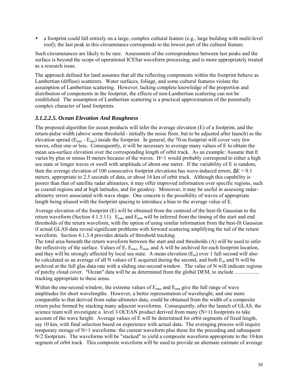<span id="page-29-0"></span>• a footprint could fall entirely on a large, complex cultural feature (e.g., large building with multi-level roof); the last peak in this circumstance corresponds to the lowest part of the cultural feature.

Such circumstances are likely to be rare. Assessment of the correspondence between last peaks and the surface is beyond the scope of operational ICESat waveform processing, and is more appropriately treated as a research issue.

The approach defined for land assumes that all the reflecting components within the footprint behave as Lambertian (diffuse) scatterers. Water surfaces, foliage, and some cultural features violate the assumption of Lambertian scattering. However, lacking complete knowledge of the proportion and distribution of components in the footprint, the effects of non-Lambertian scattering can not be established. The assumption of Lambertian scattering is a practical approximation of the potentially complex character of land footprints.

### *3.1.2.2.5. Ocean Elevation And Roughness*

The proposed algorithm for ocean products will infer the average elevation (E) of a footprint, and the return-pulse width (above some threshold - initially the noise floor, but to be adjusted after launch) as the elevation spread  $(E_{\text{max}} - E_{\text{min}})$  inside the footprint. In general, the 70-m footprint will cover very few waves, often one or less. Consequently, it will be necessary to average many values of E to obtain the mean sea-surface elevation over the corresponding length of orbit track. As an example: Assume that E varies by plus or minus H meters because of the waves. H=1 would probably correspond to either a high sea state or longer waves or swell with amplitude of about one meter. If the variability of E is random, then the average elevation of 100 consecutive footprint elevations has wave-induced errors,  $\Delta E = 0.1$ meters, appropriate to 2.5 seconds of data, or about 16 km of orbit track. Although this capability is poorer than that of satellite radar altimeters, it may offer improved information over specific regions, such as coastal regions and at high latitudes, and for geodesy. Moreover, it may be useful in assessing radaraltimetry errors associated with wave shape. One concern is the possibility of waves of appropriate length being aliased with the footprint spacing to introduce a bias to the average value of E.

Average elevation of the footprint (E) will be obtained from the centroid of the best-fit Gaussian to the return waveform (Section 4.1.3.11). E<sub>max</sub> and E<sub>min</sub> will be inferred from the timing of the start and end thresholds of the return waveform, with the option of using similar information from the best-fit Gaussian if actual GLAS data reveal significant problems with forward scattering amplifying the tail of the return waveform. Section 4.1.3.4 provides details of threshold tracking.

The total area beneath the return waveform between the start and end thresholds (A) will be used to infer the reflectivity of the surface. Values of E,  $E_{\text{max}}$ ,  $E_{\text{min}}$ , and A will be archived for each footprint location, and they will be strongly affected by local sea state. A mean elevation  $(E_m)$  over 1 full second will also be calculated as an average of all N values of E acquired during the second, and both  $E_m$  and N will be archived at the full glas data rate with a sliding one-second window. The value of N will indicate regions of patchy cloud cover. "Ocean" data will be as determined from the global DEM, to include .................. tracking appropriate to these areas.

Within the one-second window, the extreme values of  $E_{\text{max}}$  and  $E_{\text{min}}$  give the full range of wave amplitudes for short wavelengths. However, a better representation of waveheight, and one more comparable to that derived from radar-altimeter data, could be obtained from the width of a composite return pulse formed by stacking many adjacent waveforms. Consequently, after the launch of GLAS, the science team will investigate a level 3 OCEAN product derived from many  $(N+1)$  footprints to take account of the wave height. Average values of E will be determined for orbit segments of fixed length, say 10 km, with final selection based on experience with actual data. The averaging process will require temporary storage of N+1 waveforms: the current waveform plus those for the preceding and subsequent N/2 footprints. The waveforms will be "stacked" to yield a composite waveform appropriate to the 10-km segment of orbit track. This composite waveform will be used to provide an alternate estimate of average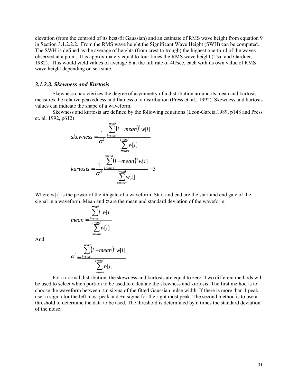<span id="page-30-0"></span>elevation (from the centroid of its best-fit Gaussian) and an estimate of RMS wave height from equation 9 in Section 3.1.2.2.2. From the RMS wave height the Significant Wave Height (SWH) can be computed. The SWH is defined as the average of heights (from crest to trough) the highest one-third of the waves observed at a point. It is approximately equal to four times the RMS wave height (Tsai and Gardner, 1982). This would yield values of average E at the full rate of 40/sec, each with its own value of RMS wave height depending on sea state.

#### *3.1.2.3. Skewness and Kurtosis*

Skewness characterizes the degree of asymmetry of a distribution around its mean and kurtosis measures the relative peakedness and flatness of a distribution (Press et. al., 1992). Skewness and kurtosis values can indicate the shape of a waveform.

 Skewness and kurtosis are defined by the following equations (Leon-Garcia,1989, p148 and Press et. al. 1992, p612)

skewness = 
$$
\frac{1}{\sigma^3} \frac{\sum_{i=start}^{i=end} (i - mean)^3 w[i]}{\sum_{i=start}^{i=end} w[i]}
$$
\nkurtosis = 
$$
\frac{1}{\sigma^4} \frac{\sum_{i=start}^{i=end} (i - mean)^4 w[i]}{\sum_{i=start}^{i=end} w[i]}
$$
 - 3

Where w[i] is the power of the ith gate of a waveform. Start and end are the start and end gate of the signal in a waveform. Mean and  $\sigma$  are the mean and standard deviation of the waveform,

$$
mean = \frac{\sum_{i=start}^{i=end} i w[i]}{\sum_{i=start}^{i=end} w[i]}
$$

And

$$
\sigma^{2} = \frac{\sum_{i=start}^{i=end} (i - mean)^{2} w[i]
$$

$$
\sum_{i=start}^{i=end} w[i]
$$

 For a normal distribution, the skewness and kurtosis are equal to zero. Two different methods will be used to select which portion to be used to calculate the skewness and kurtosis. The first method is to choose the waveform between  $\pm$  n sigma of the fitted Gaussian pulse width. If there is more than 1 peak, use -n sigma for the left most peak and +n sigma for the right most peak. The second method is to use a threshold to determine the data to be used. The threshold is determined by n times the standard deviation of the noise.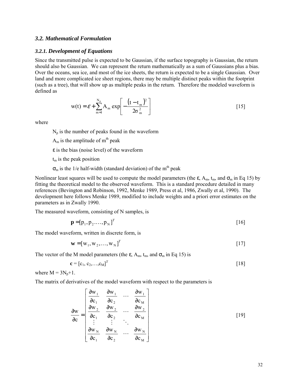#### <span id="page-31-0"></span>*3.2. Mathematical Formulation*

#### *3.2.1. Development of Equations*

Since the transmitted pulse is expected to be Gaussian, if the surface topography is Gaussian, the return should also be Gaussian. We can represent the return mathematically as a sum of Gaussians plus a bias. Over the oceans, sea ice, and most of the ice sheets, the return is expected to be a single Gaussian. Over land and more complicated ice sheet regions, there may be multiple distinct peaks within the footprint (such as a tree), that will show up as multiple peaks in the return. Therefore the modeled waveform is defined as

$$
w(t) = \varepsilon + \sum_{m=1}^{N_p} A_m \exp\left[-\frac{(t - t_m)^2}{2\sigma_m^2}\right]
$$
 [15]

where

 $N_p$  is the number of peaks found in the waveform

 $A_m$  is the amplitude of  $m<sup>th</sup>$  peak

 $\epsilon$  is the bias (noise level) of the waveform

 $t<sub>m</sub>$  is the peak position

 $\sigma_m$  is the 1/e half-width (standard deviation) of the m<sup>th</sup> peak

Nonlinear least squares will be used to compute the model parameters (the  $\varepsilon$ , A<sub>m</sub>, t<sub>m</sub>, and  $\sigma_m$  in Eq 15) by fitting the theoretical model to the observed waveform. This is a standard procedure detailed in many references (Bevington and Robinson, 1992, Menke 1989, Press et al, 1986, Zwally et al, 1990). The development here follows Menke 1989, modified to include weights and a priori error estimates on the parameters as in Zwally 1990.

The measured waveform, consisting of N samples, is

$$
\mathbf{p} = [p_1, p_2, \dots, p_N]^T
$$
 [16]

The model waveform, written in discrete form, is

$$
\mathbf{w} = [\mathbf{w}_1, \mathbf{w}_2, \dots, \mathbf{w}_N]^T
$$

The vector of the M model parameters (the  $\varepsilon$ , A<sub>m</sub>, t<sub>m</sub>, and  $\sigma_m$  in Eq 15) is

$$
\mathbf{c} = [c_1, c_2, \dots, c_M]^T
$$
 [18]

where  $M = 3N_p + 1$ .

The matrix of derivatives of the model waveform with respect to the parameters is

$$
\frac{\partial w}{\partial c} = \begin{bmatrix}\n\frac{\partial w_1}{\partial c_1} & \frac{\partial w_1}{\partial c_2} & \cdots & \frac{\partial w_1}{\partial c_M} \\
\frac{\partial w_2}{\partial c_1} & \frac{\partial w_2}{\partial c_2} & \cdots & \frac{\partial w_2}{\partial c_M} \\
\vdots & \vdots & \ddots & \vdots \\
\frac{\partial w_N}{\partial c_1} & \frac{\partial w_N}{\partial c_2} & \cdots & \frac{\partial w_N}{\partial c_M}\n\end{bmatrix}
$$
\n[19]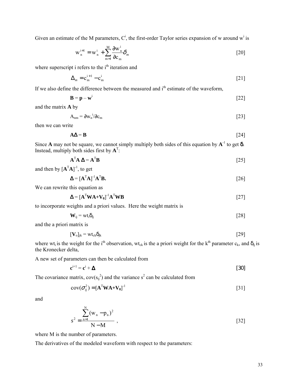Given an estimate of the M parameters,  $C^i$ , the first-order Taylor series expansion of w around w<sup>i</sup> is

$$
\mathbf{w}_{n}^{i+1} = \mathbf{w}_{n}^{i} + \sum_{m=1}^{M} \frac{\partial \mathbf{w}_{n}^{i}}{\partial \mathbf{c}_{m}} \delta_{m}
$$
 [20]

where superscript i refers to the  $i<sup>th</sup>$  iteration and

$$
\Delta_m = \mathbf{c}_m^{i+1} - \mathbf{c}_m^i \tag{21}
$$

If we also define the difference between the measured and  $i<sup>th</sup>$  estimate of the waveform,

$$
\mathbf{B} = \mathbf{p} - \mathbf{w}^{\mathrm{i}} \tag{22}
$$

and the matrix **A** by

$$
A_{nm} = \partial w_n^{i} / \partial c_m \tag{23}
$$

then we can write

$$
A\Delta = B \tag{24}
$$

Since **A** may not be square, we cannot simply multiply both sides of this equation by  $A^{-1}$  to get  $\delta$ . Instead, multiply both sides first by  $A^T$ :

$$
\mathbf{A}^{\mathrm{T}}\mathbf{A}\,\mathbf{\Delta} = \mathbf{A}^{\mathrm{T}}\mathbf{B} \tag{25}
$$

and then by  $[A^T A]^{-1}$ , to get

$$
\mathbf{\Delta} = [\mathbf{A}^{\mathrm{T}} \mathbf{A}]^{-1} \mathbf{A}^{\mathrm{T}} \mathbf{B}.
$$
 [26]

We can rewrite this equation as

$$
\mathbf{\Delta} = [\mathbf{A}^{\mathrm{T}} \mathbf{W} \mathbf{A} + \mathbf{V}_0]^{\mathrm{-1}} \mathbf{A}^{\mathrm{T}} \mathbf{W} \mathbf{B} \tag{27}
$$

to incorporate weights and a priori values. Here the weight matrix is

$$
\mathbf{W}_{ij} = \mathbf{wt}_i \delta_{ij} \tag{28}
$$

and the a priori matrix is

$$
[\mathbf{V}_o]_{jk} = \mathbf{wt}_{ck}\delta_{jk} \tag{29}
$$

where wt<sub>i</sub> is the weight for the i<sup>th</sup> observation, wt<sub>ck</sub> is the a priori weight for the k<sup>th</sup> parameter c<sub>k</sub>, and  $\delta_{ii}$  is the Kronecker delta,

A new set of parameters can then be calculated from

$$
\mathbf{c}^{i+1} = \mathbf{c}^i + \mathbf{\Delta} \tag{30}
$$

The covariance matrix,  $cov(s_{ij}^2)$  and the variance  $s^2$  can be calculated from

$$
cov(\sigma_{ij}^2) = [\mathbf{A}^{\mathrm{T}} \mathbf{W} \mathbf{A} + \mathbf{V}_0]^{\mathrm{T}}
$$

and

$$
s^{2} = \frac{\sum_{n=1}^{N} (w_{n} - p_{n})^{2}}{N - M},
$$
\n[32]

where M is the number of parameters.

The derivatives of the modeled waveform with respect to the parameters: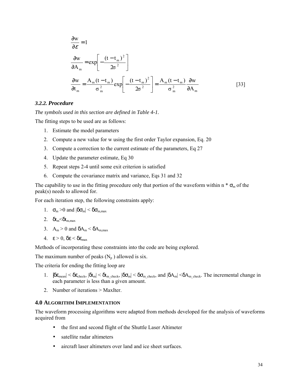<span id="page-33-0"></span>
$$
\frac{\partial w}{\partial \mathbf{A}_m} = 1
$$
\n
$$
\frac{\partial w}{\partial \mathbf{A}_m} = \exp\left[-\frac{(t - t_m)^2}{2\sigma^2}\right]
$$
\n
$$
\frac{\partial w}{\partial t_m} = \frac{A_m (t - t_m)}{\sigma_m^2} \exp\left[-\frac{(t - t_m)^2}{2\sigma^2}\right] = \frac{A_m (t - t_m)}{\sigma_m^2} \frac{\partial w}{\partial A_m}
$$
\n[33]

#### *3.2.2. Procedure*

*The symbols used in this section are defined in Table 4-1.* 

The fitting steps to be used are as follows:

- 1. Estimate the model parameters
- 2. Compute a new value for w using the first order Taylor expansion, Eq. 20
- 3. Compute a correction to the current estimate of the parameters, Eq 27
- 4. Update the parameter estimate, Eq 30
- 5. Repeat steps 2-4 until some exit criterion is satisfied
- 6. Compute the covariance matrix and variance, Eqs 31 and 32

The capability to use in the fitting procedure only that portion of the waveform within n  $* \sigma_{m}$  of the peak(s) needs to allowed for.

For each iteration step, the following constraints apply:

1. 
$$
\sigma_m > 0
$$
 and  $|\delta \sigma_m| < \delta \sigma_{m,max}$ 

- 2.  $\delta t_{\rm m} < \delta t_{\rm m,max}$
- 3.  $A_m > 0$  and  $\delta A_m < \delta A_{m,max}$
- 4.  $\epsilon > 0$ ,  $\delta \epsilon < \delta \epsilon_{\text{max}}$

Methods of incorporating these constraints into the code are being explored.

The maximum number of peaks  $(N_p)$  allowed is six.

The criteria for ending the fitting loop are

- 1.  $|\delta \epsilon_{\text{mean}}| \leq \delta \epsilon_{\text{check}}, |\delta t_{\text{m}}| \leq \delta t_{\text{m\_check}}, |\delta \sigma_{\text{m}}| \leq \delta \sigma_{\text{m\_check}},$  and  $|\delta A_{\text{m}}| \leq \delta A_{\text{m\_check}}$ . The incremental change in each parameter is less than a given amount.
- 2. Number of iterations > MaxIter.

#### **4.0 ALGORITHM IMPLEMENTATION**

The waveform processing algorithms were adapted from methods developed for the analysis of waveforms acquired from

- the first and second flight of the Shuttle Laser Altimeter
- satellite radar altimeters
- aircraft laser altimeters over land and ice sheet surfaces.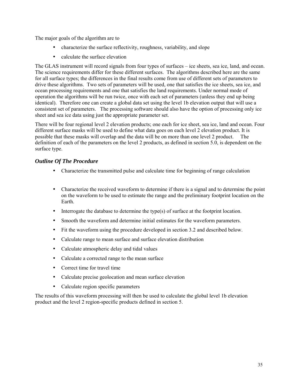<span id="page-34-0"></span>The major goals of the algorithm are to

- characterize the surface reflectivity, roughness, variability, and slope
- calculate the surface elevation

The GLAS instrument will record signals from four types of surfaces – ice sheets, sea ice, land, and ocean. The science requirements differ for these different surfaces. The algorithms described here are the same for all surface types; the differences in the final results come from use of different sets of parameters to drive these algorithms. Two sets of parameters will be used, one that satisfies the ice sheets, sea ice, and ocean processing requirements and one that satisfies the land requirements. Under normal mode of operation the algorithms will be run twice, once with each set of parameters (unless they end up being identical). Therefore one can create a global data set using the level 1b elevation output that will use a consistent set of parameters. The processing software should also have the option of processing only ice sheet and sea ice data using just the appropriate parameter set.

There will be four regional level 2 elevation products; one each for ice sheet, sea ice, land and ocean. Four different surface masks will be used to define what data goes on each level 2 elevation product. It is possible that these masks will overlap and the data will be on more than one level 2 product. The definition of each of the parameters on the level 2 products, as defined in section 5.0, is dependent on the surface type.

### *Outline Of The Procedure*

- Characterize the transmitted pulse and calculate time for beginning of range calculation
- Characterize the received waveform to determine if there is a signal and to determine the point on the waveform to be used to estimate the range and the preliminary footprint location on the Earth.
- Interrogate the database to determine the type(s) of surface at the footprint location.
- Smooth the waveform and determine initial estimates for the waveform parameters.
- Fit the waveform using the procedure developed in section 3.2 and described below.
- Calculate range to mean surface and surface elevation distribution
- Calculate atmospheric delay and tidal values
- Calculate a corrected range to the mean surface
- Correct time for travel time
- Calculate precise geolocation and mean surface elevation
- Calculate region specific parameters

The results of this waveform processing will then be used to calculate the global level 1b elevation product and the level 2 region-specific products defined in section 5.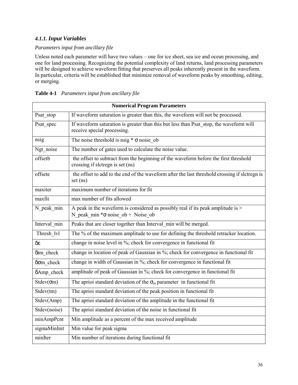# <span id="page-35-0"></span>*4.1.1. Input Variables*

### *Parameters input from ancillary file*

Unless noted each parameter will have two values – one for ice sheet, sea ice and ocean processing, and one for land processing. Recognizing the potential complexity of land returns, land processing parameters will be designed to achieve waveform fitting that preserves all peaks inherently present in the waveform. In particular, criteria will be established that minimize removal of waveform peaks by smoothing, editing, or merging.

| <b>Numerical Program Parameters</b> |                                                                                                                                |  |  |
|-------------------------------------|--------------------------------------------------------------------------------------------------------------------------------|--|--|
| Psat stop                           | If waveform saturation is greater than this, the waveform will not be processed.                                               |  |  |
| Psat spec                           | If waveform saturation is greater than this but less than Psat stop, the waveform will<br>receive special processing.          |  |  |
| nsig                                | The noise threshold is nsig $* \sigma$ noise ob                                                                                |  |  |
| Ngt noise                           | The number of gates used to calculate the noise value.                                                                         |  |  |
| offsetb                             | the offset to subtract from the beginning of the waveform before the first threshold<br>crossing if slctregn is set (ns)       |  |  |
| offsete                             | the offset to add to the end of the waveform after the last threshold crossing if slctregn is<br>set(ns)                       |  |  |
| maxiter                             | maximum number of iterations for fit                                                                                           |  |  |
| maxfit                              | max number of fits allowed                                                                                                     |  |  |
| N peak min                          | A peak in the waveform is considered as possibly real if its peak amplitude is $>$<br>N peak min $*\sigma$ noise ob + Noise ob |  |  |
| Interval min                        | Peaks that are closer together than Interval min will be merged.                                                               |  |  |
| Thresh lvl                          | The % of the maximum amplitude to use for defining the threshold retracker location.                                           |  |  |
| $\delta \varepsilon$                | change in noise level in %; check for convergence in functional fit                                                            |  |  |
| δtm check                           | change in location of peak of Gaussian in $\frac{1}{2}$ ; check for convergence in functional fit                              |  |  |
| $\delta$ om check                   | change in width of Gaussian in %; check for convergence in functional fit                                                      |  |  |
| δAmp check                          | amplitude of peak of Gaussian in %; check for convergence in functional fit                                                    |  |  |
| $Stdev(\sigma m)$                   | The aprioi standard deviation of the $\sigma_m$ parameter in functional fit                                                    |  |  |
| Stdev(tm)                           | The aprioi standard deviation of the peak position in functional fit                                                           |  |  |
| Stdev(Amp)                          | The aprioi standard deviation of the amplitude in the functional fit                                                           |  |  |
| Stdev(noise)                        | The aprioi standard deviation of the noise in functional fit                                                                   |  |  |
| minAmpPcnt                          | Min amplitude as a percent of the max received amplitude                                                                       |  |  |
| sigmaMinInit                        | Min value for peak sigma                                                                                                       |  |  |
| minIter                             | Min number of iterations during functional fit                                                                                 |  |  |

|  | Table 4-1 Parameters input from ancillary file |
|--|------------------------------------------------|
|  |                                                |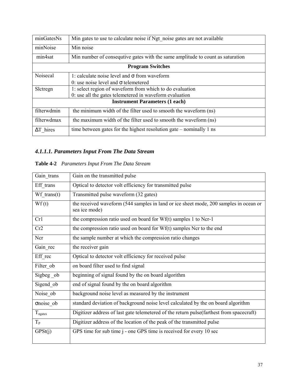| minGatesNs                            | Min gates to use to calculate noise if Ngt noise gates are not available      |  |
|---------------------------------------|-------------------------------------------------------------------------------|--|
| minNoise                              | Min noise                                                                     |  |
| min4sat                               | Min number of consequive gates with the same amplitude to count as saturation |  |
| <b>Program Switches</b>               |                                                                               |  |
| Noisecal                              | 1: calculate noise level and $\sigma$ from waveform                           |  |
|                                       | 0: use noise level and $\sigma$ telemetered                                   |  |
| Slctregn                              | 1: select region of waveform from which to do evaluation                      |  |
|                                       | 0: use all the gates telemetered in waveform evaluation                       |  |
| <b>Instrument Parameters (1 each)</b> |                                                                               |  |
| filterwdmin                           | the minimum width of the filter used to smooth the waveform (ns)              |  |
| filterwdmax                           | the maximum width of the filter used to smooth the waveform (ns)              |  |
| $\Delta T$ hires                      | time between gates for the highest resolution gate – nominally 1 ns           |  |

# *4.1.1.1. Parameters Input From The Data Stream*

# **Table 4-2** *Parameters Input From The Data Stream*

| Gain trans                      | Gain on the transmitted pulse                                                                          |
|---------------------------------|--------------------------------------------------------------------------------------------------------|
| Eff trans                       | Optical to detector volt efficiency for transmitted pulse                                              |
| $Wf$ trans(t)                   | Transmitted pulse waveform (32 gates)                                                                  |
| Wf(t)                           | the received waveform (544 samples in land or ice sheet mode, 200 samples in ocean or<br>sea ice mode) |
| Cr1                             | the compression ratio used on board for Wf(t) samples 1 to Ncr-1                                       |
| Cr2                             | the compression ratio used on board for Wf(t) samples Ncr to the end                                   |
| Ncr                             | the sample number at which the compression ratio changes                                               |
| Gain rec                        | the receiver gain                                                                                      |
| Eff rec                         | Optical to detector volt efficiency for received pulse                                                 |
| Filter ob                       | on board filter used to find signal                                                                    |
| Sigbeg ob                       | beginning of signal found by the on board algorithm                                                    |
| Sigend ob                       | end of signal found by the on board algorithm                                                          |
| Noise ob                        | background noise level as measured by the instrument                                                   |
| σnoise ob                       | standard deviation of background noise level calculated by the on board algorithm                      |
| $T_{\hbox{\scriptsize ngates}}$ | Digitizer address of last gate telemetered of the return pulse (farthest from spacecraft)              |
| $T_{P}$                         | Digitizer address of the location of the peak of the transmitted pulse                                 |
| GPSt(j)                         | GPS time for sub time j - one GPS time is received for every 10 sec                                    |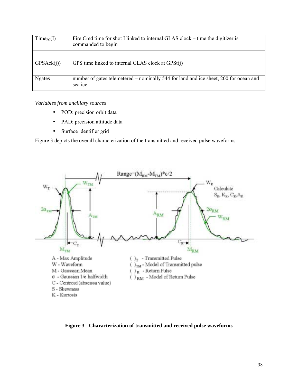| $Time_{FC}(I)$ | Fire Cmd time for shot I linked to internal GLAS clock – time the digitizer is<br>commanded to begin |
|----------------|------------------------------------------------------------------------------------------------------|
|                |                                                                                                      |
| GPSAck(i)      | GPS time linked to internal GLAS clock at GPSt(j)                                                    |
| <b>Ngates</b>  | number of gates telemetered – nominally 544 for land and ice sheet, 200 for ocean and<br>sea ice     |

*Variables from ancillary sources* 

- POD: precision orbit data
- PAD: precision attitude data
- Surface identifier grid

Figure 3 depicts the overall characterization of the transmitted and received pulse waveforms.



**Figure 3 - Characterization of transmitted and received pulse waveforms**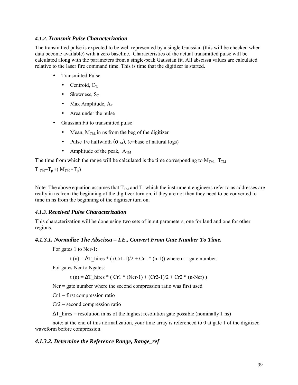### *4.1.2. Transmit Pulse Characterization*

The transmitted pulse is expected to be well represented by a single Gaussian (this will be checked when data become available) with a zero baseline. Characteristics of the actual transmitted pulse will be calculated along with the parameters from a single-peak Gaussian fit. All abscissa values are calculated relative to the laser fire command time. This is time that the digitizer is started.

- Transmitted Pulse
	- Centroid,  $C_T$ .
	- Skewness,  $S_T$
	- Max Amplitude,  $A_T$
	- Area under the pulse
- Gaussian Fit to transmitted pulse
	- Mean,  $M_{TM}$  in ns from the beg of the digitizer
	- Pulse 1/e halfwidth  $(\sigma_{TM})$ , (e=base of natural logs)
	- Amplitude of the peak,  $A_{TM}$

The time from which the range will be calculated is the time corresponding to  $M_{TM}$ ,  $T_{TM}$ 

 $T_{TM} = T_p + (M_{TM} - T_p)$ 

Note: The above equation assumes that  $T_{TM}$  and  $T_{P}$  which the instrument engineers refer to as addresses are really in ns from the beginning of the digitizer turn on, if they are not then they need to be converted to time in ns from the beginning of the digitizer turn on.

### *4.1.3. Received Pulse Characterization*

This characterization will be done using two sets of input parameters, one for land and one for other regions.

### *4.1.3.1. Normalize The Abscissa – I.E., Convert From Gate Number To Time.*

For gates 1 to Ncr-1:

t (n) =  $\Delta T$  hires \* ( (Cr1-1)/2 + Cr1 \* (n-1)) where n = gate number.

For gates Ncr to Ngates:

t (n) =  $\Delta T$  hires \* ( Cr1 \* (Ncr-1) + (Cr2-1)/2 + Cr2 \* (n-Ncr) )

 $Ncr = gate$  number where the second compression ratio was first used

 $Cr1 =$  first compression ratio

 $Cr2$  = second compression ratio

 $\Delta T$  hires = resolution in ns of the highest resolution gate possible (nominally 1 ns)

note: at the end of this normalization, your time array is referenced to 0 at gate 1 of the digitized waveform before compression.

### *4.1.3.2. Determine the Reference Range, Range\_ref*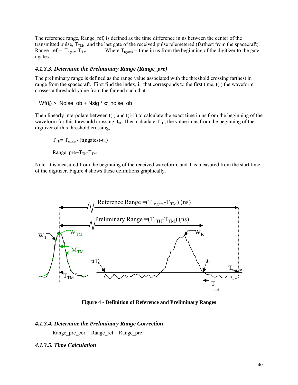The reference range, Range ref, is defined as the time difference in ns between the center of the transmitted pulse,  $T_{TM}$ , and the last gate of the received pulse telemetered (farthest from the spacecraft).<br>Range ref =  $T_{\text{meates}} - T_{TM}$  Where  $T_{\text{meates}}$  = time in ns from the beginning of the digitizer to the gate, Where  $T_{ngates}$  = time in ns from the beginning of the digitizer to the gate, ngates.

### *4.1.3.3. Determine the Preliminary Range (Range\_pre)*

The preliminary range is defined as the range value associated with the threshold crossing farthest in range from the spacecraft. First find the index, i, that corresponds to the first time, t(i) the waveform crosses a threshold value from the far end such that

Wf(t<sub>i</sub>) > Noise ob + Nsig  $*$  **σ** noise ob

Then linearly interpolate between  $f(i)$  and  $f(i-1)$  to calculate the exact time in ns from the beginning of the waveform for this threshold crossing,  $t_{th}$ . Then calculate  $T_{TH}$ , the value in ns from the beginning of the digitizer of this threshold crossing,

 $T_{TH}$ =  $T_{neates}$ - (t(ngates)-t<sub>th</sub>)

Range pre= $T_{TH}$ - $T_{TM}$ 

Note - t is measured from the beginning of the received waveform, and T is measured from the start time of the digitizer. Figure 4 shows these definitions graphically.



**Figure 4 - Definition of Reference and Preliminary Ranges** 

### *4.1.3.4. Determine the Preliminary Range Correction*

Range pre  $cor = Range\ref - Range\ pre$ 

### *4.1.3.5. Time Calculation*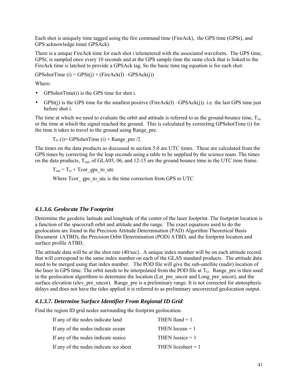Each shot is uniquely time tagged using the fire command time (FireAck), the GPS time (GPSt), and GPS acknowledge time( GPSAck).

There is a unique FireAck time for each shot i telemetered with the associated waveform. The GPS time, GPSt, is sampled once every 10 seconds and at the GPS sample time the same clock that is linked to the FireAck time is latched to provide a GPSAck tag. So the basic time tag equation is for each shot:

 $GPSshotTime (i) = GPSt(j) + (FireAcknowled(D - GPSAck(j)))$ 

Where:

- GPSshotTime(i) is the GPS time for shot i.
- GPSt(j) is the GPS time for the smallest positive (FireAck(I)  $-GPSAck(i)$ ). i.e. the last GPS time just before shot i.

The time at which we need to evaluate the orbit and attitude is referred to as the ground-bounce time,  $T_G$ , or the time at which the signal reached the ground. This is calculated by correcting GPSshotTime (i) for the time it takes to travel to the ground using Range pre.

 $T_G$  (i)= GPSshotTime (i) + Range pre /2

The times on the data products as discussed in section 5.0 are UTC times. These are calculated from the GPS times by correcting for the leap seconds using a table to be supplied by the science team. The times on the data products,  $T_{out}$ , of GLA05, 06, and 12-15 are the ground bounce time in the UTC time frame.

 $T_{\text{out}} = T_G + T_{\text{cor}}$  gps to utc

Where Tcor gps to utc is the time correction from GPS to UTC

### *4.1.3.6. Geolocate The Footprint*

Determine the geodetic latitude and longitude of the center of the laser footprint. The footprint location is a function of the spacecraft orbit and attitude and the range. The exact equations used to do the geolocation are found in the Precision Attitude Determination (PAD) Algorithm Theoretical Basis Document (ATBD), the Precision Orbit Determination (POD) ATBD, and the footprint location and surface profile ATBD.

The attitude data will be at the shot rate (40/sec). A unique index number will be on each attitude record that will correspond to the same index number on each of the GLAS standard products. The attitude data need to be merged using that index number. The POD file will give the sub-satellite (nadir) location of the laser in GPS time. The orbit needs to be interpolated from the POD file at  $T<sub>G</sub>$ . Range pre is then used in the geolocation algorithms to determine the location (Lat pre uncor and Long pre uncor), and the surface elevation (elev pre uncor). Range pre is a preliminary range. It is not corrected for atmospheric delays and does not have the tides applied it is referred to as preliminary uncorrected geolocation output.

### *4.1.3.7. Determine Surface Identifier From Regional ID Grid*

Find the region ID grid nodes surrounding the footprint geolocation.

| If any of the nodes indicate land      | THEN lland $= 1$     |
|----------------------------------------|----------------------|
| If any of the nodes indicate ocean     | THEN locean $= 1$    |
| If any of the nodes indicate seaice    | THEN Iseaice $= 1$   |
| If any of the nodes indicate ice sheet | THEN licesheet $= 1$ |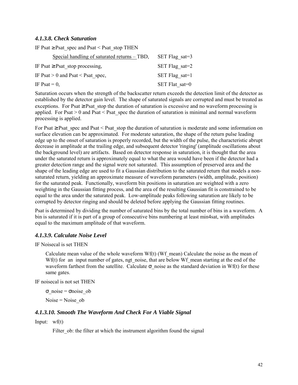### *4.1.3.8. Check Saturation*

IF Psat  $\geq$  Psat spec and Psat < Psat stop THEN

| Special handling of saturated returns – TBD, | SET Flag sat=3         |
|----------------------------------------------|------------------------|
| IF Psat $\geq$ Psat stop processing,         | SET Flag sat= $2$      |
| IF Psat $> 0$ and Psat $\leq$ Psat spec,     | $SET \, Flag \, sat=1$ |
| IF Psat = $0$ ,                              | SET Flat sat=0         |

Saturation occurs when the strength of the backscatter return exceeds the detection limit of the detector as established by the detector gain level. The shape of saturated signals are corrupted and must be treated as exceptions. For Psat  $\geq$  Psat\_stop the duration of saturation is excessive and no waveform processing is applied. For Psat  $> 0$  and Psat  $\leq$  Psat spec the duration of saturation is minimal and normal waveform processing is applied.

For Psat  $\geq$  Psat spec and Psat < Psat stop the duration of saturation is moderate and some information on surface elevation can be approximated. For moderate saturation, the shape of the return pulse leading edge up to the onset of saturation is properly recorded, but the width of the pulse, the characteristic abrupt decrease in amplitude at the trailing edge, and subsequent detector 'ringing' (amplitude oscillations about the background level) are artifacts. Based on detector response in saturation, it is thought that the area under the saturated return is approximately equal to what the area would have been if the detector had a greater detection range and the signal were not saturated. This assumption of preserved area and the shape of the leading edge are used to fit a Gaussian distribution to the saturated return that models a nonsaturated return, yielding an approximate measure of waveform parameters (width, amplitude, position) for the saturated peak. Functionally, waveform bin positions in saturation are weighted with a zero weighting in the Gaussian fitting process, and the area of the resulting Gaussian fit is constrained to be equal to the area under the saturated peak. Low-amplitude peaks following saturation are likely to be corrupted by detector ringing and should be deleted before applying the Gaussian fitting routines.

Psat is determined by dividing the number of saturated bins by the total number of bins in a waveform. A bin is saturated if it is part of a group of consecutive bins numbering at least min4sat, with amplitudes equal to the maximum amplitude of that waveform.

### *4.1.3.9. Calculate Noise Level*

IF Noisecal is set THEN

Calculate mean value of the whole waveform  $Wf(t)$  (Wf\_mean) Calculate the noise as the mean of  $Wf(t)$  for an input number of gates, ngt noise, that are below Wf mean starting at the end of the waveform farthest from the satellite. Calculate  $\sigma$  noise as the standard deviation in Wf(t) for these same gates.

IF noisecal is not set THEN

σ\_noise = σnoise\_ob Noise = Noise\_ob

### *4.1.3.10. Smooth The Waveform And Check For A Viable Signal*

Input: wf(t)

Filter ob: the filter at which the instrument algorithm found the signal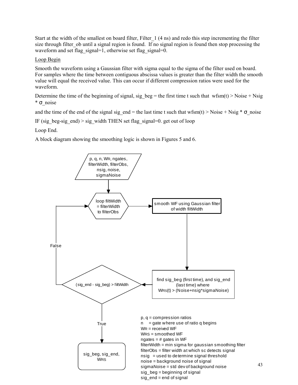Start at the width of the smallest on board filter, Filter\_1 (4 ns) and redo this step incrementing the filter size through filter ob until a signal region is found. If no signal region is found then stop processing the waveform and set flag\_signal=1, otherwise set flag\_signal=0.

### Loop Begin

Smooth the waveform using a Gaussian filter with sigma equal to the sigma of the filter used on board. For samples where the time between contiguous abscissa values is greater than the filter width the smooth value will equal the received value. This can occur if different compression ratios were used for the waveform.

Determine the time of the beginning of signal, sig beg = the first time t such that wfsm(t) > Noise + Nsig \* σ\_noise

and the time of the end of the signal sig\_end = the last time t such that wfsm(t) > Noise + Nsig  $*$   $\sigma$  noise

IF (sig\_beg-sig\_end) > sig\_width THEN set flag\_signal=0. get out of loop

Loop End.

A block diagram showing the smoothing logic is shown in Figures 5 and 6.

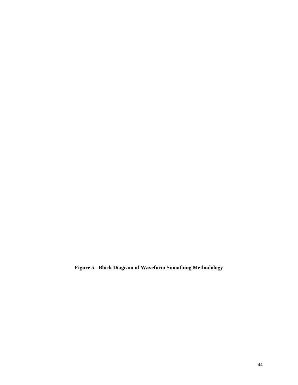**Figure 5 - Block Diagram of Waveform Smoothing Methodology**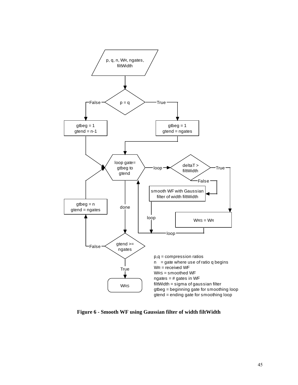

**Figure 6 - Smooth WF using Gaussian filter of width filtWidth**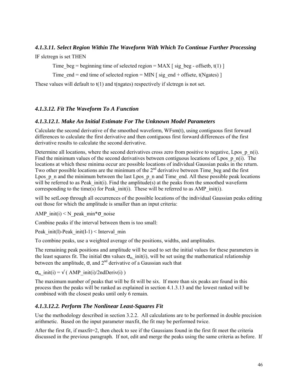## *4.1.3.11. Select Region Within The Waveform With Which To Continue Further Processing*

IF slctregn is set THEN

Time beg = beginning time of selected region = MAX [ sig beg - offsetb, t(1) ]

Time end = end time of selected region = MIN  $\lceil$  sig end + offsete, t(Ngates)  $\rceil$ 

These values will default to t(1) and t(ngates) respectively if slctregn is not set.

## *4.1.3.12. Fit The Waveform To A Function*

## *4.1.3.12.1. Make An Initial Estimate For The Unknown Model Parameters*

Calculate the second derivative of the smoothed waveform, WFsm(t), using contiguous first forward differences to calculate the first derivative and then contiguous first forward differences of the first derivative results to calculate the second derivative.

Determine all locations, where the second derivatives cross zero from positive to negative, Lpos p n(i). Find the minimum values of the second derivatives between contiguous locations of Lpos  $p_n(i)$ . The locations at which these minima occur are possible locations of individual Gaussian peaks in the return. Two other possible locations are the minimum of the  $2<sup>nd</sup>$  derivative between Time beg and the first Lpos p\_n and the minimum between the last Lpos p\_n and Time\_end. All these possible peak locations will be referred to as Peak  $init(i)$ . Find the amplitude(s) at the peaks from the smoothed waveform corresponding to the time(s) for Peak init(i). These will be referred to as AMP init(i).

will be setLoop through all occurrences of the possible locations of the individual Gaussian peaks editing out those for which the amplitude is smaller than an input criteria:

AMP init(i)  $\leq N$  peak min\* $\sigma$  noise

Combine peaks if the interval between them is too small:

Peak init(I)-Peak init(I-1) < Interval min

To combine peaks, use a weighted average of the positions, widths, and amplitudes.

The remaining peak positions and amplitude will be used to set the initial values for these parameters in the least squares fit. The initial  $\sigma$ m values  $\sigma_{m}$  init(i), will be set using the mathematical relationship between the amplitude,  $\sigma$ , and  $2^{nd}$  derivative of a Gaussian such that

 $\sigma_m$  init(i) =  $\sqrt{(AMP \text{init}(i)/2ndDeriv(i))}$ 

The maximum number of peaks that will be fit will be six. If more than six peaks are found in this process then the peaks will be ranked as explained in section 4.1.3.13 and the lowest ranked will be combined with the closest peaks until only 6 remain.

## *4.1.3.12.2. Perform The Nonlinear Least-Squares Fit*

Use the methodology described in section 3.2.2. All calculations are to be performed in double precision arithmetic. Based on the input parameter maxfit, the fit may be performed twice.

After the first fit, if maxfit=2, then check to see if the Gaussians found in the first fit meet the criteria discussed in the previous paragraph. If not, edit and merge the peaks using the same criteria as before. If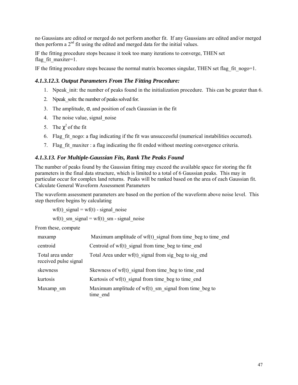no Gaussians are edited or merged do not perform another fit. If any Gaussians are edited and/or merged then perform a 2<sup>nd</sup> fit using the edited and merged data for the initial values.

IF the fitting procedure stops because it took too many iterations to converge, THEN set flag fit maxiter=1.

IF the fitting procedure stops because the normal matrix becomes singular, THEN set flag fit nogo=1.

## *4.1.3.12.3. Output Parameters From The Fitting Procedure:*

- 1. Npeak init: the number of peaks found in the initialization procedure. This can be greater than 6.
- 2. Npeak soln: the number of peaks solved for.
- 3. The amplitude,  $\sigma$ , and position of each Gaussian in the fit
- 4. The noise value, signal\_noise
- 5. The  $\chi^2$  of the fit
- 6. Flag fit nogo: a flag indicating if the fit was unsuccessful (numerical instabilities occurred).
- 7. Flag\_fit\_maxiter : a flag indicating the fit ended without meeting convergence criteria.

### *4.1.3.13. For Multiple-Gaussian Fits, Rank The Peaks Found*

The number of peaks found by the Gaussian fitting may exceed the available space for storing the fit parameters in the final data structure, which is limited to a total of 6 Gaussian peaks. This may in particular occur for complex land returns. Peaks will be ranked based on the area of each Gaussian fit. Calculate General Waveform Assessment Parameters

The waveform assessment parameters are based on the portion of the waveform above noise level. This step therefore begins by calculating

wf(t) signal = wf(t) - signal noise

wf(t) sm signal = wf(t) sm - signal noise

From these, compute

| maxamp                                    | Maximum amplitude of $wf(t)$ signal from time beg to time end       |
|-------------------------------------------|---------------------------------------------------------------------|
| centroid                                  | Centroid of wf(t) signal from time beg to time end                  |
| Total area under<br>received pulse signal | Total Area under $wf(t)$ signal from sig beg to sig end             |
| skewness                                  | Skewness of wf(t) signal from time beg to time end                  |
| kurtosis                                  | Kurtosis of wf(t) signal from time beg to time end                  |
| Maxamp sm                                 | Maximum amplitude of $wf(t)$ sm signal from time beg to<br>time end |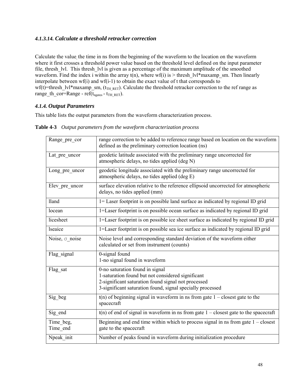## *4.1.3.14. Calculate a threshold retracker correction*

Calculate the value the time in ns from the beginning of the waveform to the location on the waveform where it first crosses a threshold power value based on the threshold level defined on the input parameter file, thresh Ivl. This thresh Ivl is given as a percentage of the maximum amplitude of the smoothed waveform. Find the index i within the array  $t(n)$ , where wf(i) is > thresh lvl\*maxamp sm. Then linearly interpolate between wf(i) and wf(i-1) to obtain the exact value of t that corresponds to wf(t)=thresh\_lvl\*maxamp\_sm, ( $t_{TH_RET}$ ). Calculate the threshold retracker correction to the ref range as range th\_cor=Range - ref( $t_{\text{neates}}$  -  $t_{\text{TH}}$ <sub>RET</sub>).

## *4.1.4. Output Parameters*

This table lists the output parameters from the waveform characterization process.

| Range pre cor         | range correction to be added to reference range based on location on the waveform<br>defined as the preliminary correction location (ns)                                                                  |
|-----------------------|-----------------------------------------------------------------------------------------------------------------------------------------------------------------------------------------------------------|
| Lat pre uncor         | geodetic latitude associated with the preliminary range uncorrected for<br>atmospheric delays, no tides applied (deg N)                                                                                   |
| Long pre uncor        | geodetic longitude associated with the preliminary range uncorrected for<br>atmospheric delays, no tides applied (deg E)                                                                                  |
| Elev pre uncor        | surface elevation relative to the reference ellipsoid uncorrected for atmospheric<br>delays, no tides applied (mm)                                                                                        |
| <b>lland</b>          | 1= Laser footprint is on possible land surface as indicated by regional ID grid                                                                                                                           |
| locean                | 1=Laser footprint is on possible ocean surface as indicated by regional ID grid                                                                                                                           |
| licesheet             | 1=Laser footprint is on possible ice sheet surface as indicated by regional ID grid                                                                                                                       |
| <b>lseaice</b>        | 1=Laser footprint is on possible sea ice surface as indicated by regional ID grid                                                                                                                         |
| Noise, $\sigma$ noise | Noise level and corresponding standard deviation of the waveform either<br>calculated or set from instrument (counts)                                                                                     |
| Flag signal           | 0-signal found<br>1-no signal found in waveform                                                                                                                                                           |
| Flag sat              | 0-no saturation found in signal<br>1-saturation found but not considered significant<br>2-significant saturation found signal not processed<br>3-significant saturation found, signal specially processed |
| Sig_beg               | $t(n)$ of beginning signal in waveform in ns from gate $1 -$ closest gate to the<br>spacecraft                                                                                                            |
| Sig end               | $t(n)$ of end of signal in waveform in ns from gate $1 -$ closest gate to the spacecraft                                                                                                                  |
| Time beg,<br>Time end | Beginning and end time within which to process signal in ns from gate $1 -$ closest<br>gate to the spacecraft                                                                                             |
| Npeak init            | Number of peaks found in waveform during initialization procedure                                                                                                                                         |

**Table 4-3** *Output parameters from the waveform characterization process*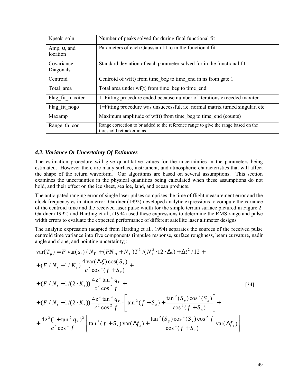| Npeak soln                      | Number of peaks solved for during final functional fit                                                          |
|---------------------------------|-----------------------------------------------------------------------------------------------------------------|
| Amp, $\sigma$ , and<br>location | Parameters of each Gaussian fit to in the functional fit                                                        |
| Covariance<br>Diagonals         | Standard deviation of each parameter solved for in the functional fit                                           |
| Centroid                        | Centroid of $wf(t)$ from time beg to time end in ns from gate 1                                                 |
| Total area                      | Total area under $wf(t)$ from time beg to time end                                                              |
| Flag fit maxiter                | 1=Fitting procedure ended because number of iterations exceeded maxiter                                         |
| Flag fit nogo                   | 1=Fitting procedure was unsuccessful, <i>i.e.</i> normal matrix turned singular, etc.                           |
| Maxamp                          | Maximum amplitude of $wf(t)$ from time beg to time end (counts)                                                 |
| Range th cor                    | Range correction to br added to the reference range to give the range based on the<br>threshold retracker in ns |

### *4.2. Variance Or Uncertainty Of Estimates*

The estimation procedure will give quantitative values for the uncertainties in the parameters being estimated. However there are many surface, instrument, and atmospheric characteristics that will affect the shape of the return waveform. Our algorithms are based on several assumptions. This section examines the uncertainties in the physical quantities being calculated when these assumptions do not hold, and their effect on the ice sheet, sea ice, land, and ocean products.

The anticipated ranging error of single laser pulses comprises the time of flight measurement error and the clock frequency estimation error. Gardner (1992) developed analytic expressions to compute the variance of the centroid time and the received laser pulse width for the simple terrain surface pictured in Figure 2. Gardner (1992) and Harding et al., (1994) used these expressions to determine the RMS range and pulse width errors to evaluate the expected performance of different satellite laser altimeter designs.

The analytic expression (adapted from Harding et al., 1994) separates the sources of the received pulse centroid time variance into five components (impulse response, surface roughness, beam curvature, nadir angle and slope, and pointing uncertainty):

$$
\begin{aligned}\n\text{var}(T_p) &= F \, \text{var}(s_1) / N_r + (FN_B + N_D) T^3 / (N_s^2 \cdot 12 \cdot \Delta t) + \Delta t^2 / 12 + \\
&+ (F / N_r + 1 / K_s) \frac{4 \, \text{var}(\Delta \xi) \cos(S_x)}{c^2 \cos^2(f + S_x)} + \\
&+ (F / N_r + 1 / (2 \cdot K_s)) \frac{4z^2 \tan^4 q_r}{c^2 \cos^2 f} + \\
&+ (F / N_r + 1 / (2 \cdot K_s)) \frac{4z^2 \tan^2 q_r}{c^2 \cos^2 f} \cdot \left[ \tan^2(f + S_x) + \frac{\tan^2(S_y) \cos^2(S_x)}{\cos^2(f + S_x)} \right] + \\
&+ \frac{4z^2 (1 + \tan^2 q_r)^2}{c^2 \cos^2 f} \left[ \tan^2(f + S_x) \, \text{var}(\Delta f_x) + \frac{\tan^2(S_y) \cos^2(S_x) \cos^2 f}{\cos^2(f + S_x)} \, \text{var}(\Delta f_y) \right]\n\end{aligned}
$$
\n
$$
\begin{aligned}\n&= \frac{1}{\sqrt{2\pi}} \left[ \tan^2(f + S_x) \tan(\Delta f_x) + \frac{\tan^2(S_y) \cos^2(S_x) \cos^2 f}{\cos^2(f + S_x)} \right] + \\
&+ \frac{1}{\sqrt{2\pi}} \left[ \tan^2(f + S_x) \tan(\Delta f_x) + \frac{\tan^2(S_y) \cos^2(S_x) \cos^2 f}{\cos^2(f + S_x)} \right] + \\
&+ \frac{1}{\sqrt{2\pi}} \left[ \tan^2(g + S_x) \tan(\Delta f_x) + \frac{\tan^2(g + S_x)}{\cos^2(g + S_x)} \right]\n\end{aligned}
$$
\n
$$
\begin{aligned}\n&= \frac{1}{\sqrt{2\pi}} \left[ \tan^2(g + S_x) \tan(\Delta f_x) + \frac{\tan^2(g + S_x)}{\cos^2(g + S_x)} \right] + \\
&= \frac{1}{\sqrt{2\pi}} \left[ \tan^2(g + S_x) \tan(\Delta f_x) + \frac{\tan^2(g + S_x)}{\cos^2(g + S_x)} \right] + \\
&= \frac{1}{\sqrt{2\pi}} \left[ \tan^2(g + S_x) \tan(\Delta f_x) + \frac{\tan^2(g +
$$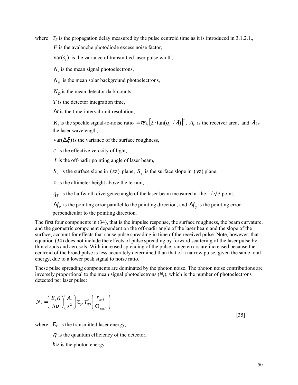where  $T_p$  is the propagation delay measured by the pulse centroid time as it is introduced in 3.1.2.1., *F* is the avalanche photodiode excess noise factor,

 $var(s_i)$  is the variance of transmitted laser pulse width,

 $N_r$  is the mean signal photoelectrons,

 $N_B$  is the mean solar background photoelectrons,

 $N<sub>D</sub>$  is the mean detector dark counts,

*T* is the detector integration time,

∆*t* is the time-interval-unit resolution,

*K<sub>s</sub>* is the speckle signal-to-noise ratio =  $\pi A_r [2 \cdot \tan(q_T / \lambda)]^2$ ,  $A_r$  is the receiver area, and  $\lambda$  is the laser wavelength,

 $var(\Delta \xi)$  is the variance of the surface roughness,

*c* is the effective velocity of light,

*f* is the off-nadir pointing angle of laser beam,

 $S_x$  is the surface slope in (*xz*) plane,  $S_y$  is the surface slope in (*yz*) plane,

*z* is the altimeter height above the terrain,

 $q_T$  is the halfwidth divergence angle of the laser beam measured at the  $1/\sqrt{e}$  point,

 $\Delta f$ <sub>x</sub> is the pointing error parallel to the pointing direction, and  $\Delta f$ <sub>y</sub> is the pointing error perpendicular to the pointing direction.

The first four components in (34), that is the impulse response, the surface roughness, the beam curvature, and the geometric component dependent on the off-nadir angle of the laser beam and the slope of the surface, account for effects that cause pulse spreading in time of the received pulse. Note, however, that equation (34) does not include the effects of pulse spreading by forward scattering of the laser pulse by thin clouds and aerosols. With increased spreading of the pulse, range errors are increased because the centroid of the broad pulse is less accurately determined than that of a narrow pulse, given the same total energy, due to a lower peak signal to noise ratio.

These pulse spreading components are dominated by the photon noise. The photon noise contributions are inversely proportional to the mean signal photoelectrons  $(N_r)$ , which is the number of photoelectrons detected per laser pulse:

$$
N_r = \left(\frac{E_r \eta}{h \nu}\right) \left(\frac{A_r}{z^2}\right) \tau_{sys} \tau_{sys}^2 \left(\frac{r_{surf}}{\Omega_{surf}}\right)
$$

[35]

where  $E_r$  is the transmitted laser energy,

 $\eta$  is the quantum efficiency of the detector,

 $h\nu$  is the photon energy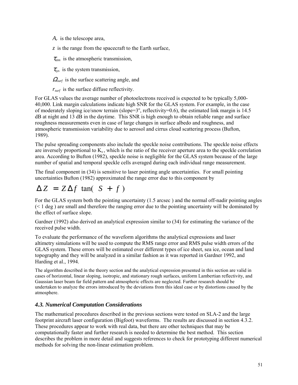*Ar* is the telescope area,

*z* is the range from the spacecraft to the Earth surface,

 $\tau_{atm}$  is the atmospheric transmission,

 $\tau_{\rm sw}$  is the system transmission,

<sup>Ω</sup>*surf* is the surface scattering angle, and

*rsurf* is the surface diffuse reflectivity.

For GLAS values the average number of photoelectrons received is expected to be typically 5,000- 40,000. Link margin calculations indicate high SNR for the GLAS system. For example, in the case of moderately sloping ice/snow terrain (slope= $3^\circ$ , reflectivity=0.6), the estimated link margin is 14.5 dB at night and 13 dB in the daytime. This SNR is high enough to obtain reliable range and surface roughness measurements even in case of large changes in surface albedo and roughness, and atmospheric transmission variability due to aerosol and cirrus cloud scattering process (Bufton, 1989).

The pulse spreading components also include the speckle noise contributions. The speckle noise effects are inversely proportional to  $K_s$ , which is the ratio of the receiver aperture area to the speckle correlation area. According to Bufton (1982), speckle noise is negligible for the GLAS system because of the large number of spatial and temporal speckle cells averaged during each individual range measurement.

The final component in (34) is sensitive to laser pointing angle uncertainties. For small pointing uncertainties Bufton (1982) approximated the range error due to this component by

# $\Delta Z = Z \Delta f$  tan(  $S + f$ )

For the GLAS system both the pointing uncertainty (1.5 arcsec ) and the normal off-nadir pointing angles  $(< 1$  deg) are small and therefore the ranging error due to the pointing uncertainty will be dominated by the effect of surface slope.

Gardner (1992) also derived an analytical expression similar to (34) for estimating the variance of the received pulse width.

To evaluate the performance of the waveform algorithms the analytical expressions and laser altimetry simulations will be used to compute the RMS range error and RMS pulse width errors of the GLAS system. These errors will be estimated over different types of ice sheet, sea ice, ocean and land topography and they will be analyzed in a similar fashion as it was reported in Gardner 1992, and Harding et al., 1994.

The algorithm described in the theory section and the analytical expression presented in this section are valid in cases of horizontal, linear sloping, isotropic, and stationary rough surfaces, uniform Lambertian reflectivity, and Gaussian laser beam far field pattern and atmospheric effects are neglected. Further research should be undertaken to analyze the errors introduced by the deviations from this ideal case or by distortions caused by the atmosphere.

## *4.3. Numerical Computation Considerations*

The mathematical procedures described in the previous sections were tested on SLA-2 and the large footprint aircraft laser configuration (Bigfoot) waveforms. The results are discussed in section 4.3.2. These procedures appear to work with real data, but there are other techniques that may be computationally faster and further research is needed to determine the best method. This section describes the problem in more detail and suggests references to check for prototyping different numerical methods for solving the non-linear estimation problem.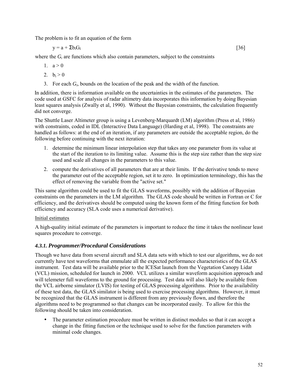The problem is to fit an equation of the form

 $y = a + \sum b_i G_i$  [36]

where the  $G_i$  are functions which also contain parameters, subject to the constraints

1.  $a > 0$ 

- 2.  $b_i > 0$
- 3. For each *Gi*, bounds on the location of the peak and the width of the function.

In addition, there is information available on the uncertainties in the estimates of the parameters. The code used at GSFC for analysis of radar altimetry data incorporates this information by doing Bayesian least squares analysis (Zwally et al, 1990). Without the Bayesian constraints, the calculation frequently did not converge.

The Shuttle Laser Altimeter group is using a Levenberg-Marquardt (LM) algorithm (Press et al, 1986) with constraints, coded in IDL (Interactive Data Language) (Harding et al, 1998). The constraints are handled as follows: at the end of an iteration, if any parameters are outside the acceptable region, do the following before continuing with the next iteration:

- 1. determine the minimum linear interpolation step that takes any one parameter from its value at the start of the iteration to its limiting value. Assume this is the step size rather than the step size used and scale all changes in the parameters to this value.
- 2. compute the derivatives of all parameters that are at their limits. If the derivative tends to move the parameter out of the acceptable region, set it to zero. In optimization terminology, this has the effect of removing the variable from the "active set."

This same algorithm could be used to fit the GLAS waveforms, possibly with the addition of Bayesian constraints on the parameters in the LM algorithm. The GLAS code should be written in Fortran or C for efficiency, and the derivatives should be computed using the known form of the fitting function for both efficiency and accuracy (SLA code uses a numerical derivative).

### Initial estimates

A high-quality initial estimate of the parameters is important to reduce the time it takes the nonlinear least squares procedure to converge.

## *4.3.1. Programmer/Procedural Considerations*

Though we have data from several aircraft and SLA data sets with which to test our algorithms, we do not currently have test waveforms that emmulate all the expected performance characteristics of the GLAS instrument. Test data will be available prior to the ICESat launch from the Vegetation Canopy Lidar (VCL) mission, scheduled for launch in 2000. VCL utilizes a similar waveform acquisition approach and will telemeter full waveforms to the ground for processing. Test data will also likely be available from the VCL airborne simulator (LVIS) for testing of GLAS processing algorithms. Prior to the availability of these test data, the GLAS similator is being used to exercise processing algorithms. However, it must be recognized that the GLAS instrument is different from any previously flown, and therefore the algorithms need to be programmed so that changes can be incorporated easily. To allow for this the following should be taken into consideration.

The parameter estimation procedure must be written in distinct modules so that it can accept a change in the fitting function or the technique used to solve for the function parameters with minimal code changes.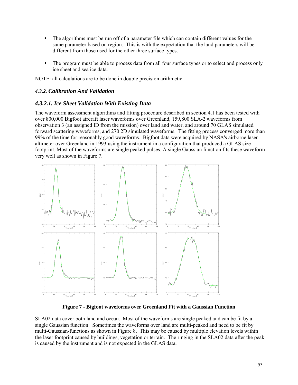- The algorithms must be run off of a parameter file which can contain different values for the same parameter based on region. This is with the expectation that the land parameters will be different from those used for the other three surface types.
- The program must be able to process data from all four surface types or to select and process only ice sheet and sea ice data.

NOTE: all calculations are to be done in double precision arithmetic.

## *4.3.2. Calibration And Validation*

### *4.3.2.1. Ice Sheet Validation With Existing Data*

The waveform assessment algorithms and fitting procedure described in section 4.1 has been tested with over 800,000 Bigfoot aircraft laser waveforms over Greenland, 159,800 SLA-2 waveforms from observation 3 (an assigned ID from the mission) over land and water, and around 70 GLAS simulated forward scattering waveforms, and 270 2D simulated waveforms. The fitting process converged more than 99% of the time for reasonably good waveforms. Bigfoot data were acquired by NASA's airborne laser altimeter over Greenland in 1993 using the instrument in a configuration that produced a GLAS size footprint. Most of the waveforms are single peaked pulses. A single Gaussian function fits these waveform very well as shown in Figure 7.



**Figure 7 - Bigfoot waveforms over Greenland Fit with a Gaussian Function** 

SLA02 data cover both land and ocean. Most of the waveforms are single peaked and can be fit by a single Gaussian function. Sometimes the waveforms over land are multi-peaked and need to be fit by multi-Gaussian-functions as shown in Figure 8. This may be caused by multiple elevation levels within the laser footprint caused by buildings, vegetation or terrain. The ringing in the SLA02 data after the peak is caused by the instrument and is not expected in the GLAS data.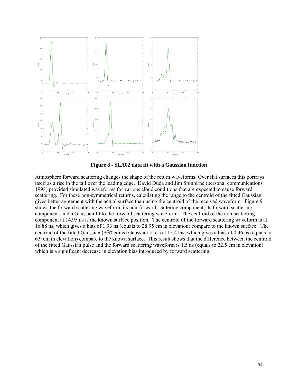

**Figure 8 - SLA02 data fit with a Gaussian function** 

Atmosphere forward scattering changes the shape of the return waveforms. Over flat surfaces this portrays itself as a rise in the tail over the leading edge. David Duda and Jim Spinhirne (personal communications 1998) provided simulated waveforms for various cloud conditions that are expected to cause forward scattering. For these non-symmetrical returns, calculating the range to the centroid of the fitted Gaussian gives better agreement with the actual surface than using the centroid of the received waveform. Figure 9 shows the forward scattering waveform, its non-forward scattering component, its forward scattering component, and a Gaussian fit to the forward scattering waveform. The centroid of the non-scattering component at 14.95 ns is the known surface position. The centroid of the forward scattering waveform is at 16.88 ns, which gives a bias of 1.93 ns (equals to 28.95 cm in elevation) compare to the known surface. The centroid of the fitted Gaussian (±3σ edited Gaussian fit) is at 15.41ns, which gives a bias of 0.46 ns (equals to 6.9 cm in elevation) compare to the known surface. This result shows that the difference between the centroid of the fitted Gaussian pulse and the forward scattering waveform is 1.5 ns (equals to 22.5 cm in elevation) which is a significant decrease in elevation bias introduced by forward scattering.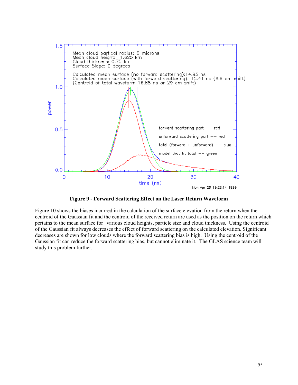

**Figure 9 - Forward Scattering Effect on the Laser Return Waveform** 

Figure 10 shows the biases incurred in the calculation of the surface elevation from the return when the centroid of the Gaussian fit and the centroid of the received return are used as the position on the return which pertains to the mean surface for various cloud heights, particle size and cloud thickness. Using the centroid of the Gaussian fit always decreases the effect of forward scattering on the calculated elevation. Significant decreases are shown for low clouds where the forward scattering bias is high. Using the centroid of the Gaussian fit can reduce the forward scattering bias, but cannot eliminate it. The GLAS science team will study this problem further.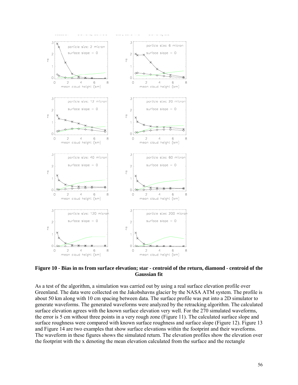

**Figure 10 - Bias in ns from surface elevation; star - centroid of the return, diamond - centroid of the Gaussian fit** 

As a test of the algorithm, a simulation was carried out by using a real surface elevation profile over Greenland. The data were collected on the Jakobshavns glacier by the NASA ATM system. The profile is about 50 km along with 10 cm spacing between data. The surface profile was put into a 2D simulator to generate waveforms. The generated waveforms were analyzed by the retracking algorithm. The calculated surface elevation agrees with the known surface elevation very well. For the 270 simulated waveforms, the error is 5 cm without three points in a very rough zone (Figure 11). The calculated surface slope and surface roughness were compared with known surface roughness and surface slope (Figure 12). Figure 13 and Figure 14 are two examples that show surface elevations within the footprint and their waveforms. The waveform in these figures shows the simulated return. The elevation profiles show the elevation over the footprint with the x denoting the mean elevation calculated from the surface and the rectangle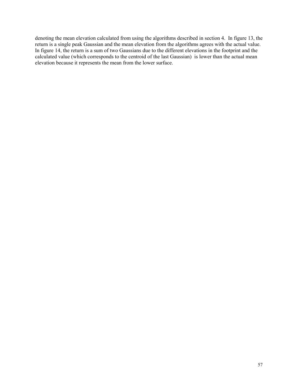denoting the mean elevation calculated from using the algorithms described in section 4. In figure 13, the return is a single peak Gaussian and the mean elevation from the algorithms agrees with the actual value. In figure 14, the return is a sum of two Gaussians due to the different elevations in the footprint and the calculated value (which corresponds to the centroid of the last Gaussian) is lower than the actual mean elevation because it represents the mean from the lower surface.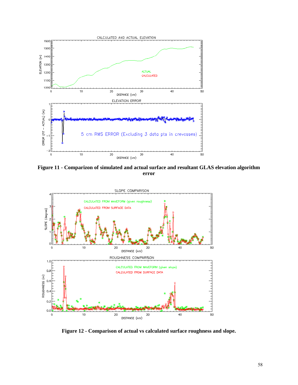

**Figure 11 - Comparizon of simulated and actual surface and resultant GLAS elevation algorithm error** 



**Figure 12 - Comparison of actual vs calculated surface roughness and slope.**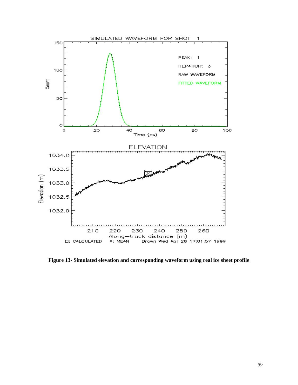

**Figure 13- Simulated elevation and corresponding waveform using real ice sheet profile**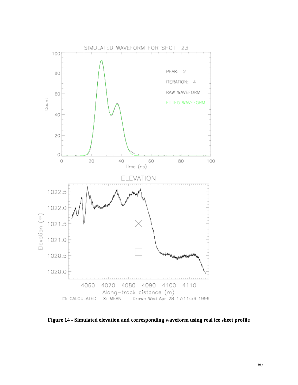

**Figure 14 - Simulated elevation and corresponding waveform using real ice sheet profile**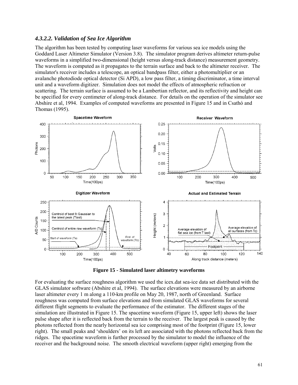### *4.3.2.2. Validation of Sea Ice Algorithm*

The algorithm has been tested by computing laser waveforms for various sea ice models using the Goddard Laser Altimeter Simulator (Version 3.8). The simulator program derives altimeter return-pulse waveforms in a simplified two-dimensional (height versus along-track distance) measurement geometry. The waveform is computed as it propagates to the terrain surface and back to the altimeter receiver. The simulator's receiver includes a telescope, an optical bandpass filter, either a photomultiplier or an avalanche photodiode optical detector (Si APD), a low pass filter, a timing discriminator, a time interval unit and a waveform digitizer. Simulation does not model the effects of atmospheric refraction or scattering. The terrain surface is assumed to be a Lambertian reflector, and its reflectivity and height can be specified for every centimeter of along-track distance. For details on the operation of the simulator see Abshire et al, 1994. Examples of computed waveforms are presented in Figure 15 and in Csathó and Thomas (1995).



**Figure 15 - Simulated laser altimetry waveforms** 

For evaluating the surface roughness algorithm we used the icex.dat sea-ice data set distributed with the GLAS simulator software (Abshire et al, 1994). The surface elevations were measured by an airborne laser altimeter every 1 m along a 110-km profile on May 20, 1987, north of Greenland. Surface roughness was computed from surface elevations and from simulated GLAS waveforms for several different flight segments to evaluate the performance of the estimator. The different stages of the simulation are illustrated in Figure 15. The spacetime waveform (Figure 15, upper left) shows the laser pulse shape after it is reflected back from the terrain to the receiver. The largest peak is caused by the photons reflected from the nearly horizontal sea ice comprising most of the footprint (Figure 15, lower right). The small peaks and 'shoulders' on its left are associated with the photons reflected back from the ridges. The spacetime waveform is further processed by the simulator to model the influence of the receiver and the background noise. The smooth electrical waveform (upper right) emerging from the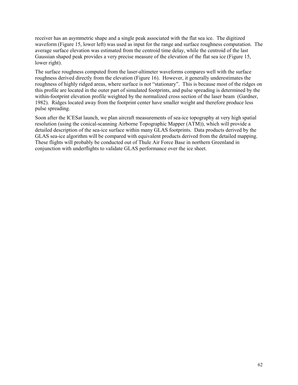receiver has an asymmetric shape and a single peak associated with the flat sea ice. The digitized waveform (Figure 15, lower left) was used as input for the range and surface roughness computation. The average surface elevation was estimated from the centroid time delay, while the centroid of the last Gaussian shaped peak provides a very precise measure of the elevation of the flat sea ice (Figure 15, lower right).

The surface roughness computed from the laser-altimeter waveforms compares well with the surface roughness derived directly from the elevation (Figure 16). However, it generally underestimates the roughness of highly ridged areas, where surface is not "stationary". This is because most of the ridges on this profile are located in the outer part of simulated footprints, and pulse spreading is determined by the within-footprint elevation profile weighted by the normalized cross section of the laser beam (Gardner, 1982). Ridges located away from the footprint center have smaller weight and therefore produce less pulse spreading.

Soon after the ICESat launch, we plan aircraft measurements of sea-ice topography at very high spatial resolution (using the conical-scanning Airborne Topographic Mapper (ATM)), which will provide a detailed description of the sea-ice surface within many GLAS footprints. Data products derived by the GLAS sea-ice algorithm will be compared with equivalent products derived from the detailed mapping. These flights will probably be conducted out of Thule Air Force Base in northern Greenland in conjunction with underflights to validate GLAS performance over the ice sheet.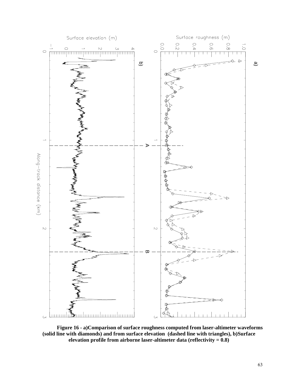

 **Figure 16 - a)Comparison of surface roughness computed from laser-altimeter waveforms (solid line with diamonds) and from surface elevation (dashed line with triangles), b)Surface elevation profile from airborne laser-altimeter data (reflectivity = 0.8)**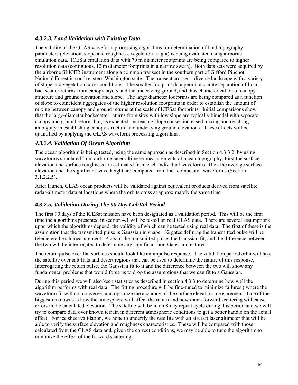## *4.3.2.3. Land Validation with Existing Data*

The validity of the GLAS waveform processing algorithms for determination of land topography parameters (elevation, slope and roughness, vegetation height) is being evaluated using airborne emulation data. ICESat emulation data with 70 m diameter footprints are being compared to higher resolution data (contiguous, 12 m diameter footprints in a narrow swath). Both data sets were acquired by the airborne SLICER instrument along a common transect in the southern part of Gifford Pinchot National Forest in south eastern Washington state. The transect crosses a diverse landscape with a variety of slope and vegetation cover conditions. The smaller footprint data permit accurate separation of lidar backscatter returns from canopy layers and the underlying ground, and thus characterization of canopy structure and ground elevation and slope. The large diameter footprints are being compared as a function of slope to coincident aggregates of the higher resolution footprints in order to establish the amount of mixing between canopy and ground returns at the scale of ICESat footprints. Initial comparisons show that the large-diameter backscatter returns from sites with low slope are typically bimodal with separate canopy and ground returns but, as expected, increasing slope causes increased mixing and resulting ambiguity in establishing canopy structure and underlying ground elevations. These effects will be quantified by applying the GLAS waveform processing algorithms.

## *4.3.2.4. Validation Of Ocean Algorithm*

The ocean algorithm is being tested, using the same approach as described in Section 4.3.3.2, by using waveforms simulated from airborne laser-altimeter measurements of ocean topography. First the surface elevation and surface roughness are estimated from each individual waveforms. Then the average surface elevation and the significant wave height are computed from the "composite" waveforms (Section 3.1.2.2.5).

After launch, GLAS ocean products will be validated against equivalent products derived from satellite radar-altimeter data at locations where the orbits cross at approximately the same time.

## *4.3.2.5. Validation During The 90 Day Cal/Val Period*

The first 90 days of the ICESat mission have been designated as a validation period. This will be the first time the algorithms presented in section 4.1 will be tested on real GLAS data. There are several assumptions upon which the algorithms depend, the validity of which can be tested using real data. The first of these is the assumption that the transmitted pulse is Gaussian in shape. 32 gates defining the transmitted pulse will be telemetered each measurement. Plots of the transmitted pulse, the Gaussian fit, and the difference between the two will be interrogated to determine any significant non-Gaussian features.

The return pulse over flat surfaces should look like an impulse response. The validation period orbit will take the satellite over salt flats and desert regions that can be used to determine the nature of this response. Interrogating the return pulse, the Gaussian fit to it and the difference between the two will show any fundamental problems that would force us to drop the assumptions that we can fit to a Gaussian.

During this period we will also keep statistics as described in section 4.3.3 to determine how well the algorithm performs with real data. The fitting procedure will be fine-tuned to minimize failures ( where the waveform fit will not converge) and optimize the accuracy of the surface elevation measurement. One of the biggest unknowns is how the atmosphere will affect the return and how much forward scattering will cause errors in the calculated elevation. The satellite will be in an 8-day repeat cycle during this period and we will try to compare data over known terrain in different atmospheric conditions to get a better handle on the actual effect. For ice sheet validation, we hope to underfly the satellite with an aircraft laser altimeter that will be able to verify the surface elevation and roughness characteristics. These will be compared with those calculated from the GLAS data and, given the correct conditions, we may be able to tune the algorithm to minimize the effect of the forward scattering.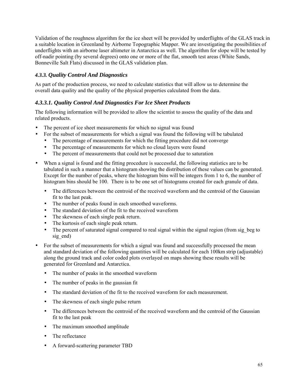Validation of the roughness algorithm for the ice sheet will be provided by underflights of the GLAS track in a suitable location in Greenland by Airborne Topographic Mapper. We are investigating the possibilities of underflights with an airborne laser altimeter in Antarctica as well. The algorithm for slope will be tested by off-nadir pointing (by several degrees) onto one or more of the flat, smooth test areas (White Sands, Bonneville Salt Flats) discussed in the GLAS validation plan.

# *4.3.3. Quality Control And Diagnostics*

As part of the production process, we need to calculate statistics that will allow us to determine the overall data quality and the quality of the physical properties calculated from the data.

# *4.3.3.1. Quality Control And Diagnostics For Ice Sheet Products*

The following information will be provided to allow the scientist to assess the quality of the data and related products.

- The percent of ice sheet measurements for which no signal was found
- For the subset of measurements for which a signal was found the following will be tabulated
	- The percentage of measurements for which the fitting procedure did not converge
	- The percentage of measurements for which no cloud layers were found
	- The percent of measurements that could not be processed due to saturation
- When a signal is found and the fitting procedure is successful, the following statistics are to be tabulated in such a manner that a histogram showing the distribution of these values can be generated. Except for the number of peaks, where the histogram bins will be integers from 1 to 6, the number of histogram bins should be 100. There is to be one set of histograms created for each granule of data.
	- The differences between the centroid of the received waveform and the centroid of the Gaussian fit to the last peak.
	- The number of peaks found in each smoothed waveforms.
	- The standard deviation of the fit to the received waveform
	- The skewness of each single peak return.
	- The kurtosis of each single peak return.
	- The percent of saturated signal compared to real signal within the signal region (from sig beg to sig end)
- For the subset of measurements for which a signal was found and successfully processed the mean and standard deviation of the following quantities will be calculated for each 100km strip (adjustable) along the ground track and color coded plots overlayed on maps showing these results will be generated for Greenland and Antarctica.
	- The number of peaks in the smoothed waveform
	- The number of peaks in the gaussian fit
	- The standard deviation of the fit to the received waveform for each measurement.
	- The skewness of each single pulse return
	- The differences between the centroid of the received waveform and the centroid of the Gaussian fit to the last peak
	- The maximum smoothed amplitude
	- The reflectance
	- A forward-scattering parameter TBD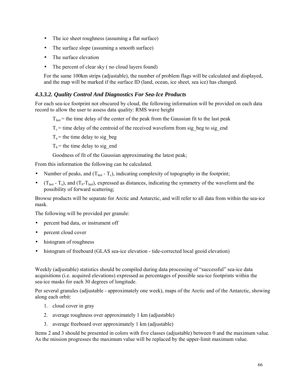- The ice sheet roughness (assuming a flat surface)
- The surface slope (assuming a smooth surface)
- The surface elevation
- The percent of clear sky (no cloud layers found)

For the same 100km strips (adjustable), the number of problem flags will be calculated and displayed, and the map will be marked if the surface ID (land, ocean, ice sheet, sea ice) has changed.

### *4.3.3.2. Quality Control And Diagnostics For Sea-Ice Products*

For each sea-ice footprint not obscured by cloud, the following information will be provided on each data record to allow the user to assess data quality: RMS wave height

 $T<sub>last</sub>$  = the time delay of the center of the peak from the Gaussian fit to the last peak

 $T_c$  = time delay of the centroid of the received waveform from sig\_beg to sig\_end

 $T_a$  = the time delay to sig beg

 $T_b$  = the time delay to sig\_end

Goodness of fit of the Gaussian approximating the latest peak;

From this information the following can be calculated.

- Number of peaks, and  $(T_{last} T_c)$ , indicating complexity of topography in the footprint;
- $(T_{\text{last}} T_a)$ , and  $(T_b T_{\text{last}})$ , expressed as distances, indicating the symmetry of the waveform and the possibility of forward scattering;

Browse products will be separate for Arctic and Antarctic, and will refer to all data from within the sea-ice mask.

The following will be provided per granule:

- percent bad data, or instrument off
- percent cloud cover
- histogram of roughness
- histogram of freeboard (GLAS sea-ice elevation tide-corrected local geoid elevation)

Weekly (adjustable) statistics should be compiled during data processing of "successful" sea-ice data acquisitions (i.e. acquired elevations) expressed as percentages of possible sea-ice footprints within the sea-ice masks for each 30 degrees of longitude.

Per several granules (adjustable - approximately one week), maps of the Arctic and of the Antarctic, showing along each orbit:

- 1. cloud cover in gray
- 2. average roughness over approximately 1 km (adjustable)
- 3. average freeboard over approximately 1 km (adjustable)

Items 2 and 3 should be presented in colors with five classes (adjustable) between 0 and the maximum value. As the mission progresses the maximum value will be replaced by the upper-limit maximum value.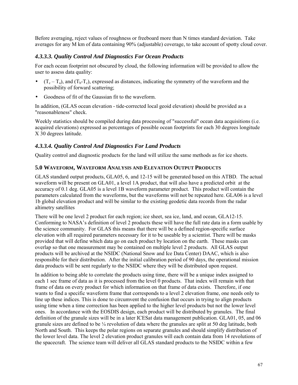Before averaging, reject values of roughness or freeboard more than N times standard deviation. Take averages for any M km of data containing 90% (adjustable) coverage, to take account of spotty cloud cover.

## *4.3.3.3. Quality Control And Diagnostics For Ocean Products*

For each ocean footprint not obscured by cloud, the following information will be provided to allow the user to assess data quality:

- $(T_c T_a)$ , and  $(T_b T_c)$ , expressed as distances, indicating the symmetry of the waveform and the possibility of forward scattering;
- Goodness of fit of the Gaussian fit to the waveform.

In addition, (GLAS ocean elevation - tide-corrected local geoid elevation) should be provided as a "reasonableness" check.

Weekly statistics should be compiled during data processing of "successful" ocean data acquisitions (i.e. acquired elevations) expressed as percentages of possible ocean footprints for each 30 degrees longitude X 30 degrees latitude.

# *4.3.3.4. Quality Control And Diagnostics For Land Products*

Quality control and diagnostic products for the land will utilize the same methods as for ice sheets.

## **5.0 WAVEFORM, WAVEFORM ANALYSIS AND ELEVATION OUTPUT PRODUCTS**

GLAS standard output products, GLA05, 6, and 12-15 will be generated based on this ATBD. The actual waveform will be present on GLA01, a level 1A product, that will also have a predicted orbit at the accuracy of 0.1 deg. GLA05 is a level 1B waveform parameter product. This product will contain the parameters calculated from the waveforms, but the waveforms will not be repeated here. GLA06 is a level 1b global elevation product and will be similar to the existing geodetic data records from the radar altimetry satellites

There will be one level 2 product for each region; ice sheet, sea ice, land, and ocean, GLA12-15. Conforming to NASA's definition of level 2 products these will have the full rate data in a form usable by the science community. For GLAS this means that there will be a defined region-specific surface elevation with all required parameters necessary for it to be useable by a scientist. There will be masks provided that will define which data go on each product by location on the earth. These masks can overlap so that one measurement may be contained on multiple level 2 products. All GLAS output products will be archived at the NSIDC (National Snow and Ice Data Center) DAAC, which is also responsible for their distribution. After the initial calibration period of 90 days, the operational mission data products will be sent regularly to the NSIDC where they will be distributed upon request.

In addition to being able to correlate the products using time, there will be a unique index assigned to each 1 sec frame of data as it is processed from the level 0 products. That index will remain with that frame of data on every product for which information on that frame of data exists. Therefore, if one wants to find a specific waveform frame that corresponds to a level 2 elevation frame, one needs only to line up these indices. This is done to circumvent the confusion that occurs in trying to align products using time when a time correction has been applied to the higher level products but not the lower level ones. In accordance with the EOSDIS design, each product will be distributed by granules. The final definition of the granule sizes will be in a later ICESat data management publication. GLA01, 05, and 06 granule sizes are defined to be  $\frac{1}{4}$  revolution of data where the granules are split at 50 deg latitude, both North and South. This keeps the polar regions on separate granules and should simplify distribution of the lower level data. The level 2 elevation product granules will each contain data from 14 revolutions of the spacecraft. The science team will deliver all GLAS standard products to the NSIDC within a few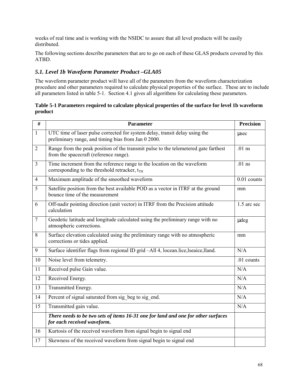weeks of real time and is working with the NSIDC to assure that all level products will be easily distributed.

The following sections describe parameters that are to go on each of these GLAS products covered by this ATBD.

# *5.1. Level 1b Waveform Parameter Product –GLA05*

The waveform parameter product will have all of the parameters from the waveform characterization procedure and other parameters required to calculate physical properties of the surface. These are to include all parameters listed in table 5-1. Section 4.1 gives all algorithms for calculating these parameters.

**Table 5-1 Parameters required to calculate physical properties of the surface for level 1b waveform product** 

| #               | <b>Parameter</b>                                                                                                                   | <b>Precision</b> |
|-----------------|------------------------------------------------------------------------------------------------------------------------------------|------------------|
| $\mathbf{1}$    | UTC time of laser pulse corrected for system delay, transit delay using the<br>preliminary range, and timing bias from Jan 0 2000. | usec             |
| $\overline{2}$  | Range from the peak position of the transmit pulse to the telemetered gate farthest<br>from the spacecraft (reference range).      | $.01$ ns         |
| $\overline{3}$  | Time increment from the reference range to the location on the waveform<br>corresponding to the threshold retracker, $t_{TH}$      | $.01$ ns         |
| $\overline{4}$  | Maximum amplitude of the smoothed waveform                                                                                         | 0.01 counts      |
| $\overline{5}$  | Satellite position from the best available POD as a vector in ITRF at the ground<br>bounce time of the measurement                 | mm               |
| 6               | Off-nadir pointing direction (unit vector) in ITRF from the Precision attitude<br>calculation                                      | 1.5 arc sec      |
| $\overline{7}$  | Geodetic latitude and longitude calculated using the preliminary range with no<br>atmospheric corrections.                         | udeg             |
| 8               | Surface elevation calculated using the preliminary range with no atmospheric<br>corrections or tides applied.                      | mm               |
| 9               | Surface identifier flags from regional ID grid -All 4, locean.lice, lseaice, lland.                                                | N/A              |
| 10              | Noise level from telemetry.                                                                                                        | .01 counts       |
| 11              | Received pulse Gain value.                                                                                                         | N/A              |
| 12              | Received Energy.                                                                                                                   | N/A              |
| $\overline{13}$ | Transmitted Energy.                                                                                                                | N/A              |
| 14              | Percent of signal saturated from sig beg to sig end.                                                                               | N/A              |
| 15              | Transmitted gain value.                                                                                                            | N/A              |
|                 | There needs to be two sets of items 16-31 one for land and one for other surfaces<br>for each received waveform.                   |                  |
| 16              | Kurtosis of the received waveform from signal begin to signal end                                                                  |                  |
| 17              | Skewness of the received waveform from signal begin to signal end                                                                  |                  |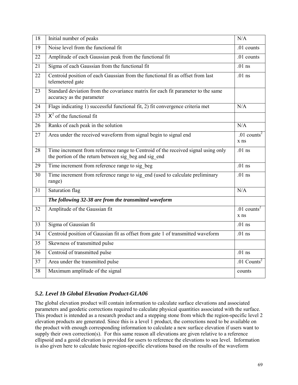| 18              | Initial number of peaks                                                                                                                    | N/A                                 |
|-----------------|--------------------------------------------------------------------------------------------------------------------------------------------|-------------------------------------|
| $\overline{19}$ | Noise level from the functional fit                                                                                                        | .01 counts                          |
| 22              | Amplitude of each Gaussian peak from the functional fit                                                                                    | .01 counts                          |
| 21              | Sigma of each Gaussian from the functional fit                                                                                             | $.01$ ns                            |
| 22              | Centroid position of each Gaussian from the functional fit as offset from last<br>telemetered gate                                         | $.01$ ns                            |
| 23              | Standard deviation from the covariance matrix for each fit parameter to the same<br>accuracy as the parameter                              |                                     |
| 24              | Flags indicating 1) successful functional fit, 2) fit convergence criteria met                                                             | N/A                                 |
| 25              | $X^2$ of the functional fit                                                                                                                |                                     |
| 26              | Ranks of each peak in the solution                                                                                                         | N/A                                 |
| 27              | Area under the received waveform from signal begin to signal end                                                                           | $.01$ counts <sup>2</sup><br>$x$ ns |
| 28              | Time increment from reference range to Centroid of the received signal using only<br>the portion of the return between sig beg and sig end | $.01$ ns                            |
| 29              | Time increment from reference range to sig beg                                                                                             | $.01$ ns                            |
| 30              | Time increment from reference range to sig end (used to calculate preliminary<br>range)                                                    | $.01$ ns                            |
| 31              | Saturation flag                                                                                                                            | N/A                                 |
|                 | The following 32-38 are from the transmitted waveform                                                                                      |                                     |
| 32              | Amplitude of the Gaussian fit                                                                                                              | $.01$ counts <sup>2</sup><br>$x$ ns |
| 33              | Sigma of Gaussian fit                                                                                                                      | $.01$ ns                            |
| 34              | Centroid position of Gaussian fit as offset from gate 1 of transmitted waveform                                                            | $.01$ ns                            |
| 35              | Skewness of transmitted pulse                                                                                                              |                                     |
| 36              | Centroid of transmitted pulse                                                                                                              | $.01$ ns                            |
| 37              | Area under the transmitted pulse                                                                                                           | .01 $\overline{\text{Counts}^2}$    |
| 38              | Maximum amplitude of the signal                                                                                                            | counts                              |

# *5.2. Level 1b Global Elevation Product-GLA06*

The global elevation product will contain information to calculate surface elevations and associated parameters and geodetic corrections required to calculate physical quantities associated with the surface. This product is intended as a research product and a stepping stone from which the region-specific level 2 elevation products are generated. Since this is a level 1 product, the corrections need to be available on the product with enough corresponding information to calculate a new surface elevation if users want to supply their own correction(s). For this same reason all elevations are given relative to a reference ellipsoid and a geoid elevation is provided for users to reference the elevations to sea level. Information is also given here to calculate basic region-specific elevations based on the results of the waveform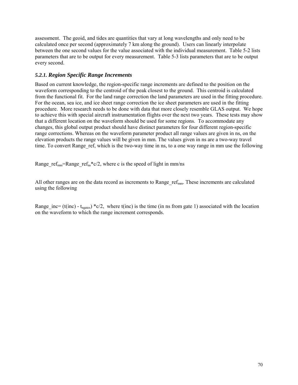assessment. The geoid, and tides are quantities that vary at long wavelengths and only need to be calculated once per second (approximately 7 km along the ground). Users can linearly interpolate between the one second values for the value associated with the individual measurement. Table 5-2 lists parameters that are to be output for every measurement. Table 5-3 lists parameters that are to be output every second.

## *5.2.1. Region Specific Range Increments*

Based on current knowledge, the region-specific range increments are defined to the position on the waveform corresponding to the centroid of the peak closest to the ground. This centroid is calculated from the functional fit. For the land range correction the land parameters are used in the fitting procedure. For the ocean, sea ice, and ice sheet range correction the ice sheet parameters are used in the fitting procedure. More research needs to be done with data that more closely resemble GLAS output. We hope to achieve this with special aircraft instrumentation flights over the next two years. These tests may show that a different location on the waveform should be used for some regions. To accommodate any changes, this global output product should have distinct parameters for four different region-specific range corrections. Whereas on the waveform parameter product all range values are given in ns, on the elevation products the range values will be given in mm. The values given in ns are a two-way travel time. To convert Range ref, which is the two-way time in ns, to a one way range in mm use the following

Range ref<sub>mm</sub>=Range ref<sub>ns</sub>\*c/2, where c is the speed of light in mm/ns

All other ranges are on the data record as increments to Range  $ref_{mm}$ . These increments are calculated using the following

Range inc= (t(inc) - t<sub>ngates</sub>) \*c/2, where t(inc) is the time (in ns from gate 1) associated with the location on the waveform to which the range increment corresponds.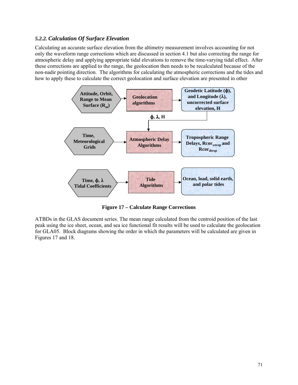### *5.2.2. Calculation Of Surface Elevation*

Calculating an accurate surface elevation from the altimetry measurement involves accounting for not only the waveform range corrections which are discussed in section 4.1 but also correcting the range for atmospheric delay and applying appropriate tidal elevations to remove the time-varying tidal effect. After these corrections are applied to the range, the geolocation then needs to be recalculated because of the non-nadir pointing direction. The algorithms for calculating the atmospheric corrections and the tides and how to apply these to calculate the correct geolocation and surface elevation are presented in other



**Figure 17 – Calculate Range Corrections** 

ATBDs in the GLAS document series. The mean range calculated from the centroid position of the last peak using the ice sheet, ocean, and sea ice functional fit results will be used to calculate the geolocation for GLA05. Block diagrams showing the order in which the parameters will be calculated are given in Figures 17 and 18.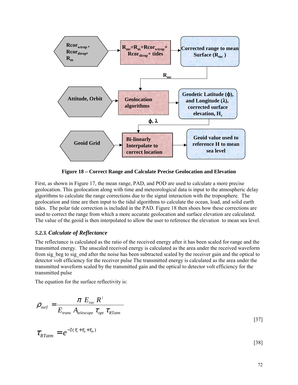

**Figure 18 – Correct Range and Calculate Precise Geolocation and Elevation** 

First, as shown in Figure 17, the mean range, PAD, and POD are used to calculate a more precise geolocation. This geolocation along with time and meteorological data is input to the atmospheric delay algorithms to calculate the range corrections due to the signal interaction with the troposphere. The geolocation and time are then input to the tidal algorithms to calculate the ocean, load, and solid earth tides. The polar tide correction is included in the PAD. Figure 18 then shoes how these corrections are used to correct the range from which a more accurate geolocation and surface elevation are calculated. The value of the geoid is then interpolated to allow the user to reference the elevation to mean sea level.

### *5.2.3. Calculate of Reflectance*

The reflectance is calculated as the ratio of the received energy after it has been scaled for range and the transmitted energy. The unscaled received energy is calculated as the area under the received waveform from sig\_beg to sig\_end after the noise has been subtracted scaled by the receiver gain and the optical to detector volt efficiency for the receiver pulse The transmitted energy is calculated as the area under the transmitted waveform scaled by the transmitted gain and the optical to detector volt efficiency for the transmitted pulse

The equation for the surface reflectivity is:

$$
\rho_{\text{surf}} = \frac{\pi E_{\text{rec}} R^2}{E_{\text{trans}} A_{\text{telescope}} \tau_{\text{opt}} \tau_{\text{RTatm}}}
$$
\n[37]

[38]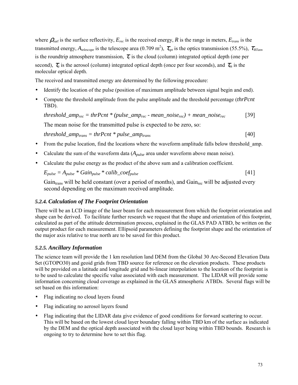where  $\rho_{\text{surf}}$  is the surface reflectivity,  $E_{rec}$  is the received energy, R is the range in meters,  $E_{trans}$  is the transmitted energy,  $A_{telescope}$  is the telescope area (0.709 m<sup>2</sup>),  $\tau_{opt}$  is the optics transmission (55.5%),  $\tau_{RTatm}$ is the roundtrip atmosphere transmission,  $\tau_c$  is the cloud (column) integrated optical depth (one per second),  $\tau_a$  is the aerosol (column) integrated optical depth (once per four seconds), and  $\tau_m$  is the molecular optical depth.

The received and transmitted energy are determined by the following procedure:

- Identify the location of the pulse (position of maximum amplitude between signal begin and end).
- Compute the threshold amplitude from the pulse amplitude and the threshold percentage (*thrPcnt* TBD).

$$
threshold\_amp_{rec} = thrPcnt * (pulse\_amp_{rec} - mean\_noise_{rec}) + mean\_noise_{rec}
$$
 [39]

The mean noise for the transmitted pulse is expected to be zero, so:

 $threshold\_amp_{trans} = thrPcnt * pulse\_amp_{trans}$  [40]

- From the pulse location, find the locations where the waveform amplitude falls below threshold amp.
- Calculate the sum of the waveform data (*Apulse* area under waveform above mean noise).
- Calculate the pulse energy as the product of the above sum and a calibration coefficient.

$$
E_{pulse} = A_{pulse} * Gain_{pulse} * calib\_coeff_{pulse}
$$
 [41]

Gain<sub>trans</sub> will be held constant (over a period of months), and Gain<sub>rec</sub> will be adjusted every second depending on the maximum received amplitude.

### *5.2.4. Calculation of The Footprint Orientation*

There will be an LCD image of the laser beam for each measurement from which the footprint orientation and shape can be derived. To facilitate further research we request that the shape and orientation of this footprint, calculated as part of the attitude determination process, explained in the GLAS PAD ATBD, be written on the output product for each measurement. Ellipsoid parameters defining the footprint shape and the orientation of the major axis relative to true north are to be saved for this product.

### *5.2.5. Ancillary Information*

The science team will provide the 1 km resolution land DEM from the Global 30 Arc-Second Elevation Data Set (GTOPO30) and geoid grids from TBD source for reference on the elevation products. These products will be provided on a latitude and longitude grid and bi-linear interpolation to the location of the footprint is to be used to calculate the specific value associated with each measurement. The LIDAR will provide some information concerning cloud coverage as explained in the GLAS atmospheric ATBDs. Several flags will be set based on this information:

- Flag indicating no cloud layers found
- Flag indicating no aerosol layers found
- Flag indicating that the LIDAR data give evidence of good conditions for forward scattering to occur. This will be based on the lowest cloud layer boundary falling within TBD km of the surface as indicated by the DEM and the optical depth associated with the cloud layer being within TBD bounds. Research is ongoing to try to determine how to set this flag.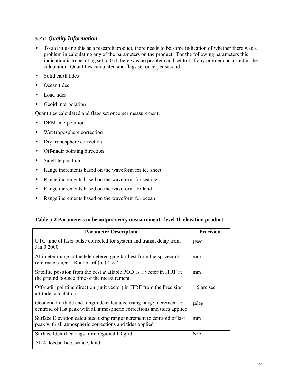# *5.2.6. Quality Information*

- To aid in using this as a research product, there needs to be some indication of whether there was a problem in calculating any of the parameters on the product. For the following parameters this indication is to be a flag set to 0 if there was no problem and set to 1 if any problem occurred in the calculation. Quantities calculated and flags set once per second:
- Solid earth tides
- Ocean tides
- Load tides
- Geoid interpolation

Quantities calculated and flags set once per measurement:

- DEM interpolation
- Wet troposphere correction
- Dry troposphere correction
- Off-nadir pointing direction
- Satellite position
- Range increments based on the waveform for ice sheet
- Range increments based on the waveform for sea ice
- Range increments based on the waveform for land
- Range increments based on the waveform for ocean

#### **Table 5-2 Parameters to be output every measurement –level 1b elevation product**

| <b>Parameter Description</b>                                                                                                                    | <b>Precision</b> |
|-------------------------------------------------------------------------------------------------------------------------------------------------|------------------|
| UTC time of laser pulse corrected for system and transit delay from<br>Jan 0 2000                                                               | usec             |
| Altimeter range to the telemetered gate farthest from the spacecraft -<br>reference range = Range ref (ns) $* c/2$                              | mm               |
| Satellite position from the best available POD as a vector in ITRF at<br>the ground bounce time of the measurement                              | mm               |
| Off-nadir pointing direction (unit vector) in ITRF from the Precision<br>attitude calculation                                                   | 1.5 arc sec      |
| Geodetic Latitude and longitude calculated using range increment to<br>centroid of last peak with all atmospheric corrections and tides applied | udeg             |
| Surface Elevation calculated using range increment to centroid of last<br>peak with all atmospheric corrections and tides applied               | mm               |
| Surface Identifier flags from regional ID grid –                                                                                                | N/A              |
| All 4, locean.lice, lseaice, lland                                                                                                              |                  |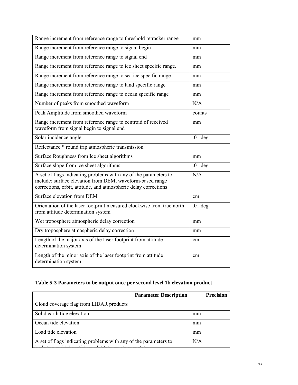| Range increment from reference range to threshold retracker range                                                                                                                                | mm        |
|--------------------------------------------------------------------------------------------------------------------------------------------------------------------------------------------------|-----------|
| Range increment from reference range to signal begin                                                                                                                                             | mm        |
| Range increment from reference range to signal end                                                                                                                                               | mm        |
| Range increment from reference range to ice sheet specific range.                                                                                                                                | mm        |
| Range increment from reference range to sea ice specific range                                                                                                                                   | mm        |
| Range increment from reference range to land specific range                                                                                                                                      | mm        |
| Range increment from reference range to ocean specific range                                                                                                                                     | mm        |
| Number of peaks from smoothed waveform                                                                                                                                                           | N/A       |
| Peak Amplitude from smoothed waveform                                                                                                                                                            | counts    |
| Range increment from reference range to centroid of received<br>waveform from signal begin to signal end                                                                                         | mm        |
| Solar incidence angle                                                                                                                                                                            | $.01$ deg |
| Reflectance * round trip atmospheric transmission                                                                                                                                                |           |
| Surface Roughness from Ice sheet algorithms                                                                                                                                                      | mm        |
| Surface slope from ice sheet algorithms                                                                                                                                                          | $.01$ deg |
| A set of flags indicating problems with any of the parameters to<br>include: surface elevation from DEM, waveform-based range<br>corrections, orbit, attitude, and atmospheric delay corrections | N/A       |
| Surface elevation from DEM                                                                                                                                                                       | cm        |
| Orientation of the laser footprint measured clockwise from true north<br>from attitude determination system                                                                                      | $.01$ deg |
| Wet troposphere atmospheric delay correction                                                                                                                                                     | mm        |
| Dry troposphere atmospheric delay correction                                                                                                                                                     | mm        |
| Length of the major axis of the laser footprint from attitude<br>determination system                                                                                                            | cm        |
| Length of the minor axis of the laser footprint from attitude<br>determination system                                                                                                            | cm        |

# **Table 5-3 Parameters to be output once per second level 1b elevation product**

|                                                                                                                        | <b>Parameter Description</b> | <b>Precision</b> |  |
|------------------------------------------------------------------------------------------------------------------------|------------------------------|------------------|--|
| Cloud coverage flag from LIDAR products                                                                                |                              |                  |  |
| Solid earth tide elevation                                                                                             |                              | mm               |  |
| Ocean tide elevation                                                                                                   |                              | mm               |  |
| Load tide elevation                                                                                                    |                              | mm               |  |
| A set of flags indicating problems with any of the parameters to<br>obit general dend tiden gelid tiden op de generale |                              | N/A              |  |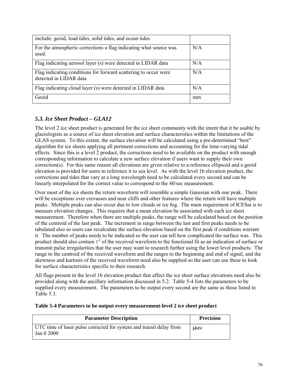| include: geoid, load tides, solid tides, and ocean tides                                  |     |
|-------------------------------------------------------------------------------------------|-----|
| For the atmospheric corrections a flag indicating what source was<br>used.                | N/A |
| Flag indicating aerosol layer (s) were detected in LIDAR data                             | N/A |
| Flag indicating conditions for forward scattering to occur were<br>detected in LIDAR data | N/A |
| Flag indicating cloud layer (s) were detected in LIDAR data                               | N/A |
| Geoid                                                                                     | mm  |

# *5.3. Ice Sheet Product – GLA12*

The level 2 ice sheet product is generated for the ice sheet community with the intent that it be usable by glaciologists as a source of ice sheet elevation and surface characteristics within the limitations of the GLAS system. To this extent, the surface elevation will be calculated using a pre-determined "best" algorithm for ice sheets applying all pertinent corrections and accounting for the time-varying tidal effects. Since this is a level 2 product, the corrections need to be available on the product with enough corresponding information to calculate a new surface elevation if users want to supply their own correction(s). For this same reason all elevations are given relative to a reference ellipsoid and a geoid elevation is provided for users to reference it to sea level. As with the level 1b elevation product, the corrections and tides that vary at a long wavelength need to be calculated every second and can be linearly interpolated for the correct value to correspond to the 40/sec measurement.

Over most of the ice sheets the return waveform will resemble a simple Gaussian with one peak. There will be exceptions over crevasses and near cliffs and other features where the return will have multiple peaks. Multiple peaks can also occur due to low clouds or ice fog. The main requirement of ICESat is to measure elevation changes. This requires that a mean elevation be associated with each ice sheet measurement. Therefore when there are multiple peaks, the range will be calculated based on the position of the centroid of the last peak. The increment in range between the last and first peaks needs to be tabulated also so users can recalculate the surface elevation based on the first peak if conditions warrant it. The number of peaks needs to be indicated so the user can tell how complicated the surface was. This product should also contain  $P^2$  of the received waveform to the functional fit as an indication of surface or transmit pulse irregularities that the user may want to research further using the lower level products. The range to the centroid of the received waveform and the ranges to the beginning and end of signal, and the skewness and kurtosis of the received waveform need also be supplied so the user can use these to look for surface characteristics specific to their research.

All flags present in the level 1b elevation product that affect the ice sheet surface elevations need also be provided along with the ancillary information discussed in 5.2. Table 5-4 lists the parameters to be supplied every measurement. The parameters to be output every second are the same as those listed in Table 5.3.

#### **Table 5-4 Parameters to be output every measurement-level 2 ice sheet product**

| <b>Parameter Description</b>                                                      | <b>Precision</b> |
|-----------------------------------------------------------------------------------|------------------|
| UTC time of laser pulse corrected for system and transit delay from<br>Jan 0 2000 | usec             |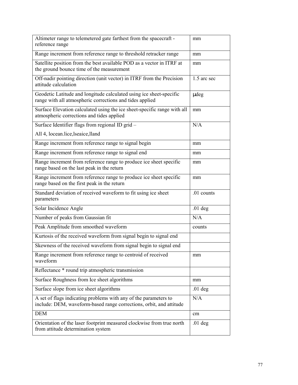| Altimeter range to telemetered gate farthest from the spacecraft -<br>reference range                                                   | mm          |
|-----------------------------------------------------------------------------------------------------------------------------------------|-------------|
| Range increment from reference range to threshold retracker range                                                                       | mm          |
| Satellite position from the best available POD as a vector in ITRF at<br>the ground bounce time of the measurement                      | mm          |
| Off-nadir pointing direction (unit vector) in ITRF from the Precision<br>attitude calculation                                           | 1.5 arc sec |
| Geodetic Latitude and longitude calculated using ice sheet-specific<br>range with all atmospheric corrections and tides applied         | udeg        |
| Surface Elevation calculated using the ice sheet-specific range with all<br>atmospheric corrections and tides applied                   | mm          |
| Surface Identifier flags from regional ID grid -                                                                                        | N/A         |
| All 4, locean.lice, lseaice, lland                                                                                                      |             |
| Range increment from reference range to signal begin                                                                                    | mm          |
| Range increment from reference range to signal end                                                                                      | mm          |
| Range increment from reference range to produce ice sheet specific<br>range based on the last peak in the return                        | mm          |
| Range increment from reference range to produce ice sheet specific<br>range based on the first peak in the return                       | mm          |
| Standard deviation of received waveform to fit using ice sheet<br>parameters                                                            | .01 counts  |
| Solar Incidence Angle                                                                                                                   | $.01$ deg   |
| Number of peaks from Gaussian fit                                                                                                       | N/A         |
| Peak Amplitude from smoothed waveform                                                                                                   | counts      |
| Kurtosis of the received waveform from signal begin to signal end                                                                       |             |
| Skewness of the received waveform from signal begin to signal end                                                                       |             |
| Range increment from reference range to centroid of received<br>waveform                                                                | mm          |
| Reflectance * round trip atmospheric transmission                                                                                       |             |
| Surface Roughness from Ice sheet algorithms                                                                                             | mm          |
| Surface slope from ice sheet algorithms                                                                                                 | $.01$ deg   |
| A set of flags indicating problems with any of the parameters to<br>include: DEM, waveform-based range corrections, orbit, and attitude | N/A         |
| <b>DEM</b>                                                                                                                              | cm          |
| Orientation of the laser footprint measured clockwise from true north<br>from attitude determination system                             | $.01$ deg   |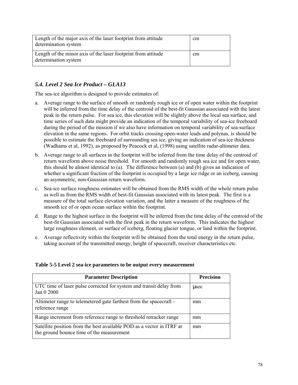| Length of the major axis of the laser footprint from attitude<br>determination system | cm |
|---------------------------------------------------------------------------------------|----|
| Length of the minor axis of the laser footprint from attitude<br>determination system | cm |

# *5.4. Level 2 Sea Ice Product – GLA13*

The sea-ice algorithm is designed to provide estimates of:

- a. Average range to the surface of smooth or randomly rough ice or of open water within the footprint will be inferred from the time delay of the centroid of the best-fit Gaussian associated with the latest peak in the return pulse. For sea ice, this elevation will be slightly above the local sea surface, and time series of such data might provide an indication of the temporal variability of sea-ice freeboard during the period of the mission if we also have information on temporal variability of sea-surface elevation in the same regions. For orbit tracks crossing open-water leads and polynas, is should be possible to estimate the freeboard of surrounding sea ice, giving an indication of sea-ice thickness (Wadhams et al, 1992), as proposed by Peacock et al, (1998) using satellite radar-altimeter data.
- b. Average range to all surfaces in the footprint will be inferred from the time delay of the centroid of return waveform above noise threshold. For smooth and randomly rough sea ice and for open water, this should be almost identical to (a). The difference between (a) and (b) gives an indication of whether a significant fraction of the footprint is occupied by a large ice ridge or an iceberg, causing an asymmetric, non-Gaussian return waveform.
- c. Sea-ice surface roughness estimates will be obtained from the RMS width of the whole return pulse as well as from the RMS width of best-fit Gaussian associated with its latest peak. The first is a measure of the total surface elevation variation, and the latter a measure of the roughness of the smooth ice of or open ocean surface within the footprint.
- d. Range to the highest surface in the footprint will be inferred from the time delay of the centroid of the best-fit Gaussian associated with the first peak in the return waveform. This indicates the highest large roughness element, or surface of iceberg, floating glacier tongue, or land within the footprint.
- e. Average reflectivity within the footprint will be obtained from the total energy in the return pulse, taking account of the transmitted energy, height of spacecraft, receiver characteristics etc.

| Table 5-5 Level 2 sea-ice parameters to be output every measurement |  |  |
|---------------------------------------------------------------------|--|--|
|---------------------------------------------------------------------|--|--|

| <b>Parameter Description</b>                                                                                       | <b>Precision</b> |
|--------------------------------------------------------------------------------------------------------------------|------------------|
| UTC time of laser pulse corrected for system and transit delay from<br>Jan 0 2000                                  | usec             |
| Altimeter range to telemetered gate farthest from the spacecraft -<br>reference range                              | mm               |
| Range increment from reference range to threshold retracker range                                                  | mm               |
| Satellite position from the best available POD as a vector in ITRF at<br>the ground bounce time of the measurement | mm               |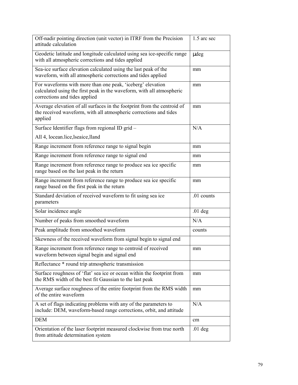| Off-nadir pointing direction (unit vector) in ITRF from the Precision<br>attitude calculation                                                                        | 1.5 arc sec |
|----------------------------------------------------------------------------------------------------------------------------------------------------------------------|-------------|
| Geodetic latitude and longitude calculated using sea ice-specific range<br>with all atmospheric corrections and tides applied                                        | udeg        |
| Sea-ice surface elevation calculated using the last peak of the<br>waveform, with all atmospheric corrections and tides applied                                      | mm          |
| For waveforms with more than one peak, 'iceberg' elevation<br>calculated using the first peak in the waveform, with all atmospheric<br>corrections and tides applied | mm          |
| Average elevation of all surfaces in the footprint from the centroid of<br>the received waveform, with all atmospheric corrections and tides<br>applied              | mm          |
| Surface Identifier flags from regional ID grid -                                                                                                                     | N/A         |
| All 4, locean.lice, lseaice, lland                                                                                                                                   |             |
| Range increment from reference range to signal begin                                                                                                                 | mm          |
| Range increment from reference range to signal end                                                                                                                   | mm          |
| Range increment from reference range to produce sea ice specific<br>range based on the last peak in the return                                                       | mm          |
| Range increment from reference range to produce sea ice specific<br>range based on the first peak in the return                                                      | mm          |
| Standard deviation of received waveform to fit using sea ice<br>parameters                                                                                           | .01 counts  |
| Solar incidence angle                                                                                                                                                | $.01$ deg   |
| Number of peaks from smoothed waveform                                                                                                                               | N/A         |
| Peak amplitude from smoothed waveform                                                                                                                                | counts      |
| Skewness of the received waveform from signal begin to signal end                                                                                                    |             |
| Range increment from reference range to centroid of received                                                                                                         |             |
| waveform between signal begin and signal end                                                                                                                         | mm          |
| Reflectance * round trip atmospheric transmission                                                                                                                    |             |
| Surface roughness of 'flat' sea ice or ocean within the footprint from<br>the RMS width of the best fit Gaussian to the last peak                                    | mm          |
| Average surface roughness of the entire footprint from the RMS width<br>of the entire waveform                                                                       | mm          |
| A set of flags indicating problems with any of the parameters to<br>include: DEM, waveform-based range corrections, orbit, and attitude                              | N/A         |
| <b>DEM</b>                                                                                                                                                           | cm          |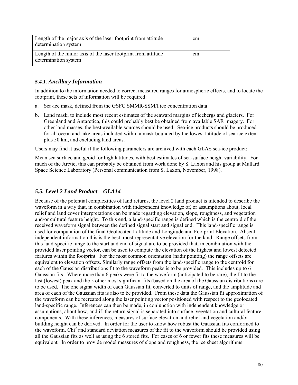| Length of the major axis of the laser footprint from attitude<br>determination system | cm |
|---------------------------------------------------------------------------------------|----|
| Length of the minor axis of the laser footprint from attitude<br>determination system | cm |

# *5.4.1. Ancillary Information*

In addition to the information needed to correct measured ranges for atmospheric effects, and to locate the footprint, these sets of information will be required:

- a. Sea-ice mask, defined from the GSFC SMMR-SSM/I ice concentration data
- b. Land mask, to include most recent estimates of the seaward margins of icebergs and glaciers. For Greenland and Antarctica, this could probably best be obtained from available SAR imagery. For other land masses, the best-available sources should be used. Sea-ice products should be produced for all ocean and lake areas included within a mask bounded by the lowest latitude of sea-ice extent plus 50 km, and excluding land areas.

Users may find it useful if the following parameters are archived with each GLAS sea-ice product:

Mean sea surface and geoid for high latitudes, with best estimates of sea-surface height variability. For much of the Arctic, this can probably be obtained from work done by S. Laxon and his group at Mullard Space Science Laboratory (Personal communication from S. Laxon, November, 1998).

#### *5.5. Level 2 Land Product – GLA14*

Because of the potential complexities of land returns, the level 2 land product is intended to describe the waveform in a way that, in combination with independent knowledge of, or assumptions about, local relief and land cover interpretations can be made regarding elevation, slope, roughness, and vegetation and/or cultural feature height. To this end, a land-specific range is defined which is the centroid of the received waveform signal between the defined signal start and signal end. This land-specific range is used for computation of the final Geolocated Latitude and Longitude and Footprint Elevation. Absent independent information this is the best, most representative elevation for the land. Range offsets from this land-specific range to the start and end of signal are to be provided that, in combination with the provided laser pointing vector, can be used to compute the elevation of the highest and lowest detected features within the footprint. For the most common orientation (nadir pointing) the range offsets are equivalent to elevation offsets. Similarly range offsets from the land-specific range to the centroid for each of the Gaussian distributions fit to the waveform peaks is to be provided. This includes up to 6 Gaussian fits. Where more than 6 peaks were fit to the waveform (anticipated to be rare), the fit to the last (lowest) peak and the 5 other most significant fits (based on the area of the Gaussian distributions) are to be used. The one sigma width of each Gaussian fit, converted to units of range, and the amplitude and area of each of the Gaussian fits is also to be provided. From these data the Gaussian fit approximation of the waveform can be recreated along the laser pointing vector positioned with respect to the geolocated land-specific range. Inferences can then be made, in conjunction with independent knowledge or assumptions, about how, and if, the return signal is separated into surface, vegetation and cultural feature components. With these inferences, measures of surface elevation and relief and vegetation and/or building height can be derived. In order for the user to know how robust the Gaussian fits conformed to the waveform, Chi<sup>2</sup> and standard deviation measures of the fit to the waveform should be provided using all the Gaussian fits as well as using the 6 stored fits. For cases of 6 or fewer fits these measures will be equivalent. In order to provide model measures of slope and roughness, the ice sheet algorithms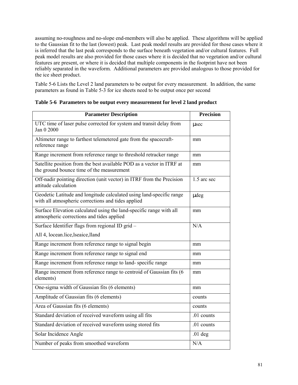assuming no-roughness and no-slope end-members will also be applied. These algorithms will be applied to the Gaussian fit to the last (lowest) peak. Last peak model results are provided for those cases where it is inferred that the last peak corresponds to the surface beneath vegetation and/or cultural features. Full peak model results are also provided for those cases where it is decided that no vegetation and/or cultural features are present, or where it is decided that multiple components in the footprint have not been reliably separated in the waveform. Additional parameters are provided analogous to those provided for the ice sheet product.

Table 5-6 Lists the Level 2 land parameters to be output for every measurement. In addition, the same parameters as found in Table 5-3 for ice sheets need to be output once per second

| <b>Parameter Description</b>                                                                                               | <b>Precision</b> |
|----------------------------------------------------------------------------------------------------------------------------|------------------|
| UTC time of laser pulse corrected for system and transit delay from<br>Jan 0 2000                                          | usec             |
| Altimeter range to farthest telemetered gate from the spacecraft-<br>reference range                                       | mm               |
| Range increment from reference range to threshold retracker range                                                          | mm               |
| Satellite position from the best available POD as a vector in ITRF at<br>the ground bounce time of the measurement         | mm               |
| Off-nadir pointing direction (unit vector) in ITRF from the Precision<br>attitude calculation                              | 1.5 arc sec      |
| Geodetic Latitude and longitude calculated using land-specific range<br>with all atmospheric corrections and tides applied | udeg             |
| Surface Elevation calculated using the land-specific range with all<br>atmospheric corrections and tides applied           | mm               |
| Surface Identifier flags from regional ID grid -                                                                           | N/A              |
| All 4, locean.lice, lseaice, lland                                                                                         |                  |
| Range increment from reference range to signal begin                                                                       | mm               |
| Range increment from reference range to signal end                                                                         | mm               |
| Range increment from reference range to land-specific range                                                                | mm               |
| Range increment from reference range to centroid of Gaussian fits (6<br>elements)                                          | mm               |
| One-sigma width of Gaussian fits (6 elements)                                                                              | mm               |
| Amplitude of Gaussian fits (6 elements)                                                                                    | counts           |
| Area of Gaussian fits (6 elements)                                                                                         | counts           |
| Standard deviation of received waveform using all fits                                                                     | .01 counts       |
| Standard deviation of received waveform using stored fits                                                                  | .01 counts       |
| Solar Incidence Angle                                                                                                      | $.01$ deg        |
| Number of peaks from smoothed waveform                                                                                     | N/A              |

**Table 5-6 Parameters to be output every measurement for level 2 land product**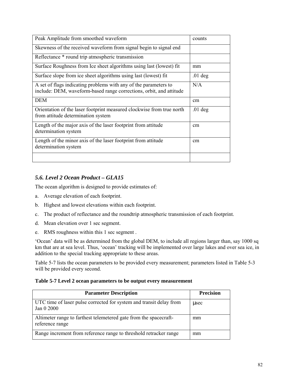| Peak Amplitude from smoothed waveform                                                                                                   | counts    |
|-----------------------------------------------------------------------------------------------------------------------------------------|-----------|
| Skewness of the received waveform from signal begin to signal end                                                                       |           |
| Reflectance * round trip atmospheric transmission                                                                                       |           |
| Surface Roughness from Ice sheet algorithms using last (lowest) fit                                                                     | mm        |
| Surface slope from ice sheet algorithms using last (lowest) fit                                                                         | $.01$ deg |
| A set of flags indicating problems with any of the parameters to<br>include: DEM, waveform-based range corrections, orbit, and attitude | N/A       |
| <b>DEM</b>                                                                                                                              | cm        |
| Orientation of the laser footprint measured clockwise from true north<br>from attitude determination system                             | $.01$ deg |
| Length of the major axis of the laser footprint from attitude<br>determination system                                                   | cm        |
| Length of the minor axis of the laser footprint from attitude<br>determination system                                                   | cm        |
|                                                                                                                                         |           |

# *5.6. Level 2 Ocean Product – GLA15*

The ocean algorithm is designed to provide estimates of:

- a. Average elevation of each footprint.
- b. Highest and lowest elevations within each footprint.
- c. The product of reflectance and the roundtrip atmospheric transmission of each footprint.
- d. Mean elevation over 1 sec segment.
- e. RMS roughness within this 1 sec segment .

'Ocean' data will be as determined from the global DEM, to include all regions larger than, say 1000 sq km that are at sea level. Thus, 'ocean' tracking will be implemented over large lakes and over sea ice, in addition to the special tracking appropriate to these areas.

Table 5-7 lists the ocean parameters to be provided every measurement; parameters listed in Table 5-3 will be provided every second.

#### **Table 5-7 Level 2 ocean parameters to be output every measurement**

| <b>Parameter Description</b>                                                         | Precision |
|--------------------------------------------------------------------------------------|-----------|
| UTC time of laser pulse corrected for system and transit delay from<br>Jan 0 2000    | usec      |
| Altimeter range to farthest telemetered gate from the spacecraft-<br>reference range | mm        |
| Range increment from reference range to threshold retracker range                    | mm        |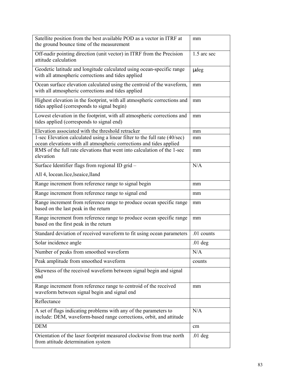| Satellite position from the best available POD as a vector in ITRF at<br>the ground bounce time of the measurement                                | mm          |
|---------------------------------------------------------------------------------------------------------------------------------------------------|-------------|
| Off-nadir pointing direction (unit vector) in ITRF from the Precision<br>attitude calculation                                                     | 1.5 arc sec |
| Geodetic latitude and longitude calculated using ocean-specific range<br>with all atmospheric corrections and tides applied                       | udeg        |
| Ocean surface elevation calculated using the centroid of the waveform,<br>with all atmospheric corrections and tides applied                      | mm          |
| Highest elevation in the footprint, with all atmospheric corrections and<br>tides applied (corresponds to signal begin)                           | mm          |
| Lowest elevation in the footprint, with all atmospheric corrections and<br>tides applied (corresponds to signal end)                              | mm          |
| Elevation associated with the threshold retracker                                                                                                 | mm          |
| 1-sec Elevation calculated using a linear filter to the full rate (40/sec)<br>ocean elevations with all atmospheric corrections and tides applied | mm          |
| RMS of the full rate elevations that went into calculation of the 1-sec<br>elevation                                                              | mm          |
| Surface Identifier flags from regional ID grid -                                                                                                  | N/A         |
| All 4, locean.lice, lseaice, lland                                                                                                                |             |
| Range increment from reference range to signal begin                                                                                              | mm          |
| Range increment from reference range to signal end                                                                                                | mm          |
| Range increment from reference range to produce ocean specific range<br>based on the last peak in the return                                      | mm          |
| Range increment from reference range to produce ocean specific range<br>based on the first peak in the return                                     | mm          |
| Standard deviation of received waveform to fit using ocean parameters                                                                             | .01 counts  |
| Solar incidence angle                                                                                                                             | $.01$ deg   |
| Number of peaks from smoothed waveform                                                                                                            | N/A         |
| Peak amplitude from smoothed waveform                                                                                                             | counts      |
| Skewness of the received waveform between signal begin and signal<br>end                                                                          |             |
| Range increment from reference range to centroid of the received<br>waveform between signal begin and signal end                                  | mm          |
| Reflectance                                                                                                                                       |             |
| A set of flags indicating problems with any of the parameters to<br>include: DEM, waveform-based range corrections, orbit, and attitude           | N/A         |
| <b>DEM</b>                                                                                                                                        | cm          |
| Orientation of the laser footprint measured clockwise from true north<br>from attitude determination system                                       | $.01$ deg   |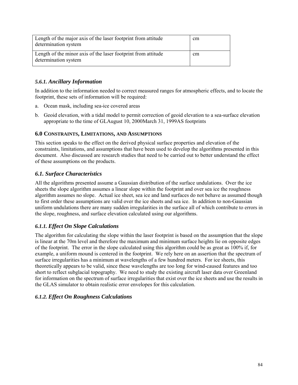| Length of the major axis of the laser footprint from attitude<br>determination system | <sub>cm</sub> |
|---------------------------------------------------------------------------------------|---------------|
| Length of the minor axis of the laser footprint from attitude<br>determination system | cm            |

# *5.6.1. Ancillary Information*

In addition to the information needed to correct measured ranges for atmospheric effects, and to locate the footprint, these sets of information will be required:

- a. Ocean mask, including sea-ice covered areas
- b. Geoid elevation, with a tidal model to permit correction of geoid elevation to a sea-surface elevation appropriate to the time of GLAugust 10, 2000March 31, 1999AS footprints

### **6.0 CONSTRAINTS, LIMITATIONS, AND ASSUMPTIONS**

This section speaks to the effect on the derived physical surface properties and elevation of the constraints, limitations, and assumptions that have been used to develop the algorithms presented in this document. Also discussed are research studies that need to be carried out to better understand the effect of these assumptions on the products.

# *6.1. Surface Characteristics*

All the algorithms presented assume a Gaussian distribution of the surface undulations. Over the ice sheets the slope algorithm assumes a linear slope within the footprint and over sea ice the roughness algorithm assumes no slope. Actual ice sheet, sea ice and land surfaces do not behave as assumed though to first order these assumptions are valid over the ice sheets and sea ice. In addition to non-Gaussian uniform undulations there are many sudden irregularities in the surface all of which contribute to errors in the slope, roughness, and surface elevation calculated using our algorithms.

# *6.1.1. Effect On Slope Calculations*

The algorithm for calculating the slope within the laser footprint is based on the assumption that the slope is linear at the 70m level and therefore the maximum and minimum surface heights lie on opposite edges of the footprint. The error in the slope calculated using this algorithm could be as great as 100% if, for example, a uniform mound is centered in the footprint. We rely here on an assertion that the spectrum of surface irregularities has a minimum at wavelengths of a few hundred meters. For ice sheets, this theoretically appears to be valid, since these wavelengths are too long for wind-caused features and too short to reflect subglacial topography. We need to study the existing aircraft laser data over Greenland for information on the spectrum of surface irregularities that exist over the ice sheets and use the results in the GLAS simulator to obtain realistic error envelopes for this calculation.

# *6.1.2. Effect On Roughness Calculations*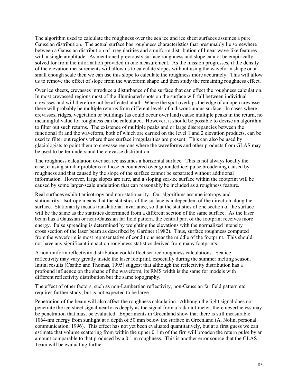The algorithm used to calculate the roughness over the sea ice and ice sheet surfaces assumes a pure Gaussian distribution. The actual surface has roughness characteristics that presumably lie somewhere between a Gaussian distribution of irregularities and a uniform distribution of linear wave-like features with a single amplitude. As mentioned previously surface roughness and slope cannot be empirically solved for from the information provided in one measurement. As the mission progresses, if the density of the elevation measurements will allow us to calculate slopes without using the waveform shape on a small enough scale then we can use this slope to calculate the roughness more accurately. This will allow us to remove the effect of slope from the waveform shape and then study the remaining roughness effect.

Over ice sheets, crevasses introduce a disturbance of the surface that can effect the roughness calculation. In most crevassed regions most of the illuminated spots on the surface will fall between individual crevasses and will therefore not be affected at all. Where the spot overlaps the edge of an open crevasse there will probably be multiple returns from different levels of a discontinuous surface. In cases where crevasses, ridges, vegetation or buildings (as could occur over land) cause multiple peaks in the return, no meaningful value for roughness can be calculated. However, it should be possible to devise an algorithm to filter out such returns. The existence of multiple peaks and or large discrepancies between the functional fit and the waveform, both of which are carried on the level 1 and 2 elevation products, can be used to filter out regions where these surface irregularities are present. This can also be used by glaciologists to point them to crevasse regions where the waveforms and other products from GLAS may be used to better understand the crevasse distribution.

The roughness calculation over sea ice assumes a horizontal surface. This is not always locally the case, causing similar problems to those encountered over grounded ice: pulse broadening caused by roughness and that caused by the slope of the surface cannot be separated without additional information. However, large slopes are rare, and a sloping sea-ice surface within the footprint will be caused by some larger-scale undulation that can reasonably be included as a roughness feature.

Real surfaces exhibit anisotropy and non-stationarity. Our algorithms assume isotropy and stationarity. Isotropy means that the statistics of the surface is independent of the direction along the surface. Stationarity means translational invariance, so that the statistics of one section of the surface will be the same as the statistics determined from a different section of the same surface. As the laser beam has a Gaussian or near-Gaussian far field pattern, the central part of the footprint receives more energy. Pulse spreading is determined by weighting the elevations with the normalized intensity cross section of the laser beam as described by Gardner (1982). Thus, surface roughness computed from the waveform is most representative of conditions near the middle of the footprint. This should not have any significant impact on roughness statistics derived from many footprints.

A non-uniform reflectivity distribution could affect sea ice roughness calculations. Sea ice reflectivity may vary greatly inside the laser footprint, especially during the summer melting season. Initial results (Csathó and Thomas, 1995) suggest that although the reflectivity distribution has a profound influence on the shape of the waveform, its RMS width is the same for models with different reflectivity distribution but the same topography.

The effect of other factors, such as non-Lambertian reflectivity, non-Gaussian far field pattern etc. requires further study, but is not expected to be large.

Penetration of the beam will also affect the roughness calculation. Although the light signal does not penetrate the ice-sheet signal nearly as deeply as the signal from a radar altimeter, there nevertheless may be penetration that must be evaluated. Experiments in Greenland show that there is still measurable 1064-nm energy from sunlight at a depth of 50 mm below the surface in Greenland (A. Nolin, personal communication, 1996). This effect has not yet been evaluated quantitatively, but at a first guess we can estimate that volume scattering from within the upper 0.1 m of the firn will broaden the return pulse by an amount comparable to that produced by a 0.1 m roughness. This is another error source that the GLAS Team will be evaluating further.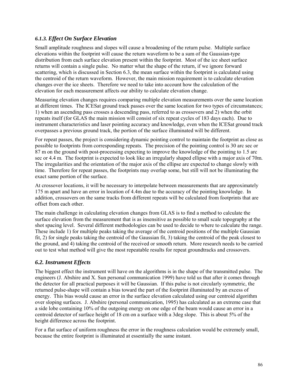# *6.1.3. Effect On Surface Elevation*

Small amplitude roughness and slopes will cause a broadening of the return pulse. Multiple surface elevations within the footprint will cause the return waveform to be a sum of the Gaussian-type distribution from each surface elevation present within the footprint. Most of the ice sheet surface returns will contain a single pulse. No matter what the shape of the return, if we ignore forward scattering, which is discussed in Section 6.3, the mean surface within the footprint is calculated using the centroid of the return waveform. However, the main mission requirement is to calculate elevation changes over the ice sheets. Therefore we need to take into account how the calculation of the elevation for each measurement affects our ability to calculate elevation change.

Measuring elevation changes requires comparing multiple elevation measurements over the same location at different times. The ICESat ground track passes over the same location for two types of circumstances; 1) when an ascending pass crosses a descending pass, referred to as crossovers and 2) when the orbit repeats itself (for GLAS the main mission will consist of six repeat cycles of 183 days each). Due to instrument characteristics and laser pointing accuracy and knowledge, even when the ICESat ground track overpasses a previous ground track, the portion of the surface illuminated will be different.

For repeat passes, the project is considering dynamic pointing control to maintain the footprint as close as possible to footprints from corresponding repeats. The precision of the pointing control is 30 arc sec or 87 m on the ground with post-processing expecting to improve the knowledge of the pointing to 1.5 arc sec or 4.4 m. The footprint is expected to look like an irregularly shaped ellipse with a major axis of 70m. The irregularities and the orientation of the major axis of the ellipse are expected to change slowly with time. Therefore for repeat passes, the footprints may overlap some, but still will not be illuminating the exact same portion of the surface.

At crossover locations, it will be necessary to interpolate between measurements that are approximately 175 m apart and have an error in location of 4.4m due to the accuracy of the pointing knowledge. In addition, crossovers on the same tracks from different repeats will be calculated from footprints that are offset from each other.

The main challenge in calculating elevation changes from GLAS is to find a method to calculate the surface elevation from the measurement that is as insensitive as possible to small scale topography at the shot spacing level. Several different methodologies can be used to decide to where to calculate the range. These include 1) for multiple peaks taking the average of the centroid positions of the multiple Gaussian fit, 2) for single peaks taking the centroid of the Gaussian fit, 3) taking the centroid of the peak closest to the ground, and 4) taking the centroid of the received or smooth return. More research needs to be carried out to test what method will give the most repeatable results for repeat groundtracks and crossovers.

# *6.2. Instrument Effects*

The biggest effect the instrument will have on the algorithms is in the shape of the transmitted pulse. The engineers (J. Abshire and X. Sun personal communication 1999) have told us that after it comes through the detector for all practical purposes it will be Gaussian. If this pulse is not circularly symmetric, the returned pulse-shape will contain a bias toward the part of the footprint illuminated by an excess of energy. This bias would cause an error in the surface elevation calculated using our centroid algorithm over sloping surfaces. J. Abshire (personal communication, 1995) has calculated as an extreme case that a side lobe containing 10% of the outgoing energy on one edge of the beam would cause an error in a centroid detector of surface height of 18 cm on a surface with a 3deg slope. This is about 5% of the height difference across the footprint.

For a flat surface of uniform roughness the error in the roughness calculation would be extremely small, because the entire footprint is illuminated at essentially the same instant.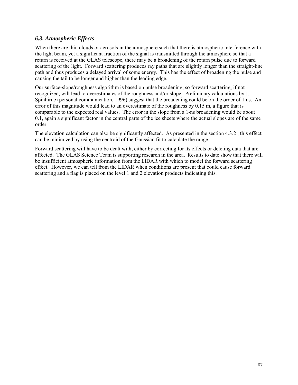### *6.3. Atmospheric Effects*

When there are thin clouds or aerosols in the atmosphere such that there is atmospheric interference with the light beam, yet a significant fraction of the signal is transmitted through the atmosphere so that a return is received at the GLAS telescope, there may be a broadening of the return pulse due to forward scattering of the light. Forward scattering produces ray paths that are slightly longer than the straight-line path and thus produces a delayed arrival of some energy. This has the effect of broadening the pulse and causing the tail to be longer and higher than the leading edge.

Our surface-slope/roughness algorithm is based on pulse broadening, so forward scattering, if not recognized, will lead to overestimates of the roughness and/or slope. Preliminary calculations by J. Spinhirne (personal communication, 1996) suggest that the broadening could be on the order of 1 ns. An error of this magnitude would lead to an overestimate of the roughness by 0.15 m, a figure that is comparable to the expected real values. The error in the slope from a 1-ns broadening would be about 0.1, again a significant factor in the central parts of the ice sheets where the actual slopes are of the same order.

The elevation calculation can also be significantly affected. As presented in the section 4.3.2 , this effect can be minimized by using the centroid of the Gaussian fit to calculate the range.

Forward scattering will have to be dealt with, either by correcting for its effects or deleting data that are affected. The GLAS Science Team is supporting research in the area. Results to date show that there will be insufficient atmospheric information from the LIDAR with which to model the forward scattering effect. However, we can tell from the LIDAR when conditions are present that could cause forward scattering and a flag is placed on the level 1 and 2 elevation products indicating this.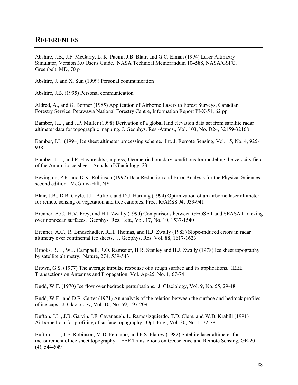# **REFERENCES**

Abshire, J.B., J.F. McGarry, L. K. Pacini, J.B. Blair, and G.C. Elman (1994) Laser Altimetry Simulator, Version 3.0 User's Guide. NASA Technical Memorandum 104588, NASA/GSFC, Greenbelt, MD, 70 p

Abshire, J. and X. Sun (1999) Personal communication

Abshire, J.B. (1995) Personal communication

Aldred, A., and G. Bonner (1985) Application of Airborne Lasers to Forest Surveys, Canadian Forestry Service, Petawawa National Forestry Centre, Information Report PI-X-51, 62 pp

Bamber, J.L., and J.P. Muller (1998) Derivation of a global land elevation data set from satellite radar altimeter data for topographic mapping. J. Geophys. Res.-Atmos., Vol. 103, No. D24, 32159-32168

Bamber, J.L. (1994) Ice sheet altimeter processing scheme. Int. J. Remote Sensing, Vol. 15, No. 4, 925- 938

Bamber, J.L., and P. Huybrechts (in press) Geometric boundary conditions for modeling the velocity field of the Antarctic ice sheet. Annals of Glaciology, 23

Bevington, P.R. and D.K. Robinson (1992) Data Reduction and Error Analysis for the Physical Sciences, second edition. McGraw-Hill, NY

Blair, J.B., D.B. Coyle, J.L. Bufton, and D.J. Harding (1994) Optimization of an airborne laser altimeter for remote sensing of vegetation and tree canopies. Proc. IGARSS'94, 939-941

Brenner, A.C., H.V. Frey, and H.J. Zwally (1990) Comparisons between GEOSAT and SEASAT tracking over nonocean surfaces. Geophys. Res. Lett., Vol. 17, No. 10, 1537-1540

Brenner, A.C., R. Bindschadler, R.H. Thomas, and H.J. Zwally (1983) Slope-induced errors in radar altimetry over continental ice sheets. J. Geophys. Res. Vol. 88, 1617-1623

Brooks, R.L., W.J. Campbell, R.O. Ramseier, H.R. Stanley and H.J. Zwally (1978) Ice sheet topography by satellite altimetry. Nature, 274, 539-543

Brown, G.S. (1977) The average impulse response of a rough surface and its applications. IEEE Transactions on Antennas and Propagation, Vol. Ap-25, No. 1, 67-74

Budd, W.F. (1970) Ice flow over bedrock perturbations. J. Glaciology, Vol. 9, No. 55, 29-48

Budd, W.F., and D.B. Carter (1971) An analysis of the relation between the surface and bedrock profiles of ice caps. J. Glaciology, Vol. 10, No. 59, 197-209

Bufton, J.L., J.B. Garvin, J.F. Cavanaugh, L. Ramosizquierdo, T.D. Clem, and W.B. Krabill (1991) Airborne lidar for profiling of surface topography. Opt. Eng., Vol. 30, No. 1, 72-78

Bufton, J.L., J.E. Robinson, M.D. Femiano, and F.S. Flatow (1982) Satellite laser altimeter for measurement of ice sheet topography. IEEE Transactions on Geoscience and Remote Sensing, GE-20 (4), 544-549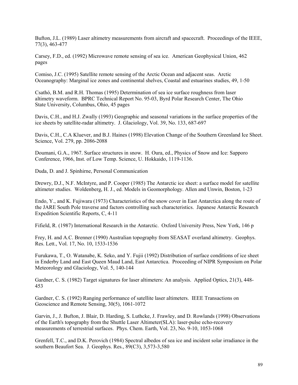Bufton, J.L. (1989) Laser altimetry measurements from aircraft and spacecraft. Proceedings of the IEEE, 77(3), 463-477

Carsey, F.D., ed. (1992) Microwave remote sensing of sea ice. American Geophysical Union, 462 pages

Comiso, J.C. (1995) Satellite remote sensing of the Arctic Ocean and adjacent seas. Arctic Oceanography: Marginal ice zones and continental shelves, Coastal and estuarines studies, 49, 1-50

Csathó, B.M. and R.H. Thomas (1995) Determination of sea ice surface roughness from laser altimetry waveform. BPRC Technical Report No. 95-03, Byrd Polar Research Center, The Ohio State University, Columbus, Ohio, 45 pages

Davis, C.H., and H.J. Zwally (1993) Geographic and seasonal variations in the surface properties of the ice sheets by satellite-radar altimetry. J. Glaciology, Vol. 39, No. 133, 687-697

Davis, C.H., C.A Kluever, and B.J. Haines (1998) Elevation Change of the Southern Greenland Ice Sheet. Science, Vol. 279, pp. 2086-2088

Doumani, G.A., 1967. Surface structures in snow. H. Oura, ed., Physics of Snow and Ice: Sapporo Conference, 1966, Inst. of Low Temp. Science, U. Hokkaido, 1119-1136.

Duda, D. and J. Spinhirne, Personal Communication

Drewry, D.J., N.F. McIntyre, and P. Cooper (1985) The Antarctic ice sheet: a surface model for satellite altimeter studies. Woldenberg, H. J., ed. Models in Geomorphology. Allen and Unwin, Boston, 1-23

Endo, Y., and K. Fujiwara (1973) Characteristics of the snow cover in East Antarctica along the route of the JARE South Pole traverse and factors controlling such characteristics. Japanese Antarctic Research Expedition Scientific Reports, C, 4-11

Fifield, R. (1987) International Research in the Antarctic. Oxford University Press, New York, 146 p

Frey, H. and A.C. Brenner (1990) Australian topography from SEASAT overland altimetry. Geophys. Res. Lett., Vol. 17, No. 10, 1533-1536

Furukawa, T., O. Watanabe, K. Seko, and Y. Fujii (1992) Distribution of surface conditions of ice sheet in Enderby Land and East Queen Maud Land, East Antarctica. Proceeding of NIPR Symposium on Polar Meteorology and Glaciology, Vol. 5, 140-144

Gardner, C. S. (1982) Target signatures for laser altimeters: An analysis. Applied Optics, 21(3), 448- 453

Gardner, C. S. (1992) Ranging performance of satellite laser altimeters. IEEE Transactions on Geoscience and Remote Sensing, 30(5), 1061-1072

Garvin, J., J. Bufton, J. Blair, D. Harding, S. Luthcke, J. Frawley, and D. Rowlands (1998) Observations of the Earth's topography from the Shuttle Laser Altimeter(SLA): laser-pulse echo-recovery measurements of terrestrial surfaces. Phys. Chem. Earth, Vol. 23, No. 9-10, 1053-1068

Grenfell, T.C., and D.K. Perovich (1984) Spectral albedos of sea ice and incident solar irradiance in the southern Beaufort Sea. J. Geophys. Res., 89(C3), 3,573-3,580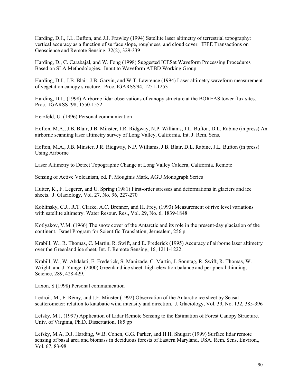Harding, D.J., J.L. Bufton, and J.J. Frawley (1994) Satellite laser altimetry of terrestrial topography: vertical accuracy as a function of surface slope, roughness, and cloud cover. IEEE Transactions on Geoscience and Remote Sensing, 32(2), 329-339

Harding, D., C. Carabajal, and W. Fong (1998) Suggested ICESat Waveform Processing Procedures Based on SLA Methodologies. Input to Waveform ATBD Working Group

Harding, D.J., J.B. Blair, J.B. Garvin, and W.T. Lawrence (1994) Laser altimetry waveform measurement of vegetation canopy structure. Proc. IGARSS'94, 1251-1253

Harding, D.J., (1998) Airborne lidar observations of canopy structure at the BOREAS tower flux sites. Proc. IGARSS '98, 1550-1552

Herzfeld, U. (1996) Personal communication

Hofton, M.A., J.B. Blair, J.B. Minster, J.R. Ridgway, N.P. Williams, J.L. Bufton, D.L. Rabine (in press) An airborne scanning laser altimetry survey of Long Valley, California. Int. J. Rem. Sens.

Hofton, M.A., J.B. Minster, J.R. Ridgway, N.P. Williams, J.B. Blair, D.L. Rabine, J.L. Bufton (in press) Using Airborne

Laser Altimetry to Detect Topographic Change at Long Valley Caldera, California. Remote

Sensing of Active Volcanism, ed. P. Mouginis Mark, AGU Monograph Series

Hutter, K., F. Legerer, and U. Spring (1981) First-order stresses and deformations in glaciers and ice sheets. J. Glaciology, Vol. 27, No. 96, 227-270

Koblinsky, C.J., R.T. Clarke, A.C. Brenner, and H. Frey, (1993) Measurement of rive level variations with satellite altimetry. Water Resour. Res., Vol. 29, No. 6, 1839-1848

Kotlyakov, V.M. (1966) The snow cover of the Antarctic and its role in the present-day glaciation of the continent. Israel Program for Scientific Translation, Jerusalem, 256 p

Krabill, W., R. Thomas, C. Martin, R. Swift, and E. Frederick (1995) Accuracy of airborne laser altimetry over the Greenland ice sheet, Int. J. Remote Sensing, 16, 1211-1222.

Krabill, W., W. Abdalati, E. Frederick, S. Manizade, C. Martin, J. Sonntag, R. Swift, R. Thomas, W. Wright, and J. Yungel (2000) Greenland ice sheet: high-elevation balance and peripheral thinning, Science, 289, 428-429.

Laxon, S (1998) Personal communication

Ledroit, M., F. RÈmy, and J.F. Minster (1992) Observation of the Antarctic ice sheet by Seasat scatterometer: relation to katabatic wind intensity and direction. J. Glaciology, Vol. 39, No. 132, 385-396

Lefsky, M.J. (1997) Application of Lidar Remote Sensing to the Estimation of Forest Canopy Structure. Univ. of Virginia, Ph.D. Dissertation, 185 pp

Lefsky, M.A, D.J. Harding, W.B. Cohen, G.G. Parker, and H.H. Shugart (1999) Surface lidar remote sensing of basal area and biomass in deciduous forests of Eastern Maryland, USA. Rem. Sens. Environ,, Vol. 67, 83-98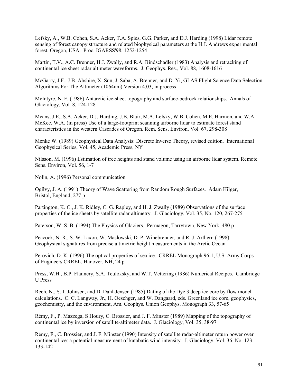Lefsky, A., W.B. Cohen, S.A. Acker, T.A. Spies, G.G. Parker, and D.J. Harding (1998) Lidar remote sensing of forest canopy structure and related biophysical parameters at the H.J. Andrews experimental forest, Oregon, USA. Proc. IGARSS'98, 1252-1254

Martin, T.V., A.C. Brenner, H.J. Zwally, and R.A. Bindschadler (1983) Analysis and retracking of continental ice sheet radar altimeter waveforms. J. Geophys. Res., Vol. 88, 1608-1616

McGarry, J.F., J B. Abshire, X. Sun, J. Saba, A. Brenner, and D. Yi, GLAS Flight Science Data Selection Algorithms For The Altimeter (1064nm) Version 4.03, in process

McIntyre, N. F. (1986) Antarctic ice-sheet topography and surface-bedrock relationships. Annals of Glaciology, Vol. 8, 124-128

Means, J.E., S.A. Acker, D.J. Harding, J.B. Blair, M.A. Lefsky, W.B. Cohen, M.E. Harmon, and W.A. McKee, W.A. (in press) Use of a large-footprint scanning airborne lidar to estimate forest stand characteristics in the western Cascades of Oregon. Rem. Sens. Environ. Vol. 67, 298-308

Menke W. (1989) Geophysical Data Analysis: Discrete Inverse Theory, revised edition. International Geophysical Series, Vol. 45, Academic Press, NY

Nilsson, M. (1996) Estimation of tree heights and stand volume using an airborne lidar system. Remote Sens. Environ, Vol. 56, 1-7

Nolin, A. (1996) Personal communication

Ogilvy, J. A. (1991) Theory of Wave Scattering from Random Rough Surfaces. Adam Hilger, Bristol, England, 277 p

Partington, K. C., J. K. Ridley, C. G. Rapley, and H. J. Zwally (1989) Observations of the surface properties of the ice sheets by satellite radar altimetry. J. Glaciology, Vol. 35, No. 120, 267-275

Paterson, W. S. B. (1994) The Physics of Glaciers. Permagon, Tarrytown, New York, 480 p

Peacock, N. R., S. W. Laxon, W. Maslowski, D. P. Winebrenner, and R. J. Arthern (1998) Geophysical signatures from precise altimetric height measurements in the Arctic Ocean

Perovich, D. K. (1996) The optical properties of sea ice. CRREL Monograph 96-1, U.S. Army Corps of Engineers CRREL, Hanover, NH, 24 p

Press, W.H., B.P. Flannery, S.A. Teuloksky, and W.T. Vettering (1986) Numerical Recipes. Cambridge U Press

Reeh, N., S. J. Johnsen, and D. Dahl-Jensen (1985) Dating of the Dye 3 deep ice core by flow model calculations. C. C. Langway, Jr., H. Oeschger, and W. Dangaard, eds. Greenland ice core, geophysics, geochemistry, and the environment, Am. Geophys. Union Geophys. Monograph 33, 57-65

RÈmy, F., P. Mazzega, S Houry, C. Brossier, and J. F. Minster (1989) Mapping of the topography of continental ice by inversion of satellite-altimeter data. J. Glaciology, Vol. 35, 38-97

RÈmy, F., C. Brossier, and J. F. Minster (1990) Intensity of satellite radar-altimeter return power over continental ice: a potential measurement of katabatic wind intensity. J. Glaciology, Vol. 36, No. 123, 133-142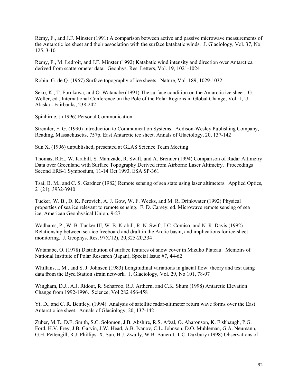RÈmy, F., and J.F. Minster (1991) A comparison between active and passive microwave measurements of the Antarctic ice sheet and their association with the surface katabatic winds. J. Glaciology, Vol. 37, No. 125, 3-10

RÈmy, F., M. Ledroit, and J.F. Minster (1992) Katabatic wind intensity and direction over Antarctica derived from scatterometer data. Geophys. Res. Letters, Vol. 19, 1021-1024

Robin, G. de Q. (1967) Surface topography of ice sheets. Nature, Vol. 189, 1029-1032

Seko, K., T. Furukawa, and O. Watanabe (1991) The surface condition on the Antarctic ice sheet. G. Weller, ed., International Conference on the Pole of the Polar Regions in Global Change, Vol. 1, U. Alaska - Fairbanks, 238-242

Spinhirne, J (1996) Personal Communication

Stremler, F. G. (1990) Introduction to Communication Systems. Addison-Wesley Publishing Company, Reading, Massachusetts, 757p. East Antarctic ice sheet. Annals of Glaciology, 20, 137-142

Sun X. (1996) unpublished, presented at GLAS Science Team Meeting

Thomas, R.H., W. Krabill, S. Manizade, R. Swift, and A. Brenner (1994) Comparison of Radar Altimetry Data over Greenland with Surface Topography Derived from Airborne Laser Altimetry. Proceedings Second ERS-1 Symposium, 11-14 Oct 1993, ESA SP-361

Tsai, B. M., and C. S. Gardner (1982) Remote sensing of sea state using laser altimeters. Applied Optics, 21(21), 3932-3940

Tucker, W. B., D. K. Perovich, A. J. Gow, W. F. Weeks, and M. R. Drinkwater (1992) Physical properties of sea ice relevant to remote sensing. F. D. Carsey, ed. Microwave remote sensing of sea ice, American Geophysical Union, 9-27

Wadhams, P., W. B. Tucker III, W. B. Krabill, R. N. Swift, J.C. Comiso, and N. R. Davis (1992) Relationship between sea-ice freeboard and draft in the Arctic basin, and implications for ice-sheet monitoring. J. Geophys. Res, 97(C12), 20,325-20,334

Watanabe, O. (1978) Distribution of surface features of snow cover in Mizuho Plateau. Memoirs of National Institute of Polar Research (Japan), Special Issue #7, 44-62

Whillans, I. M., and S. J. Johnsen (1983) Longitudinal variations in glacial flow: theory and test using data from the Byrd Station strain network. J. Glaciology, Vol. 29, No 101, 78-97

Wingham, D.J., A.J. Ridout, R. Scharroo, R.J. Arthern, and C.K. Shum (1998) Antarctic Elevation Change from 1992-1996. Science, Vol 282 456-458

Yi, D., and C. R. Bentley, (1994). Analysis of satellite radar-altimeter return wave forms over the East Antarctic ice sheet. Annals of Glaciology, 20, 137-142

Zuber, M.T., D.E. Smith, S.C. Solomon, J.B. Abshire, R.S. Afzal, O. Aharonson, K. Fishbaugh, P.G. Ford, H.V. Frey, J.B, Garvin, J.W. Head, A.B. Ivanov, C.L. Johnson, D.O. Muhleman, G.A. Neumann, G.H. Pettengill, R.J. Phillips. X. Sun, H.J. Zwally, W.B. Banerdt, T.C. Duxbury (1998) Observations of